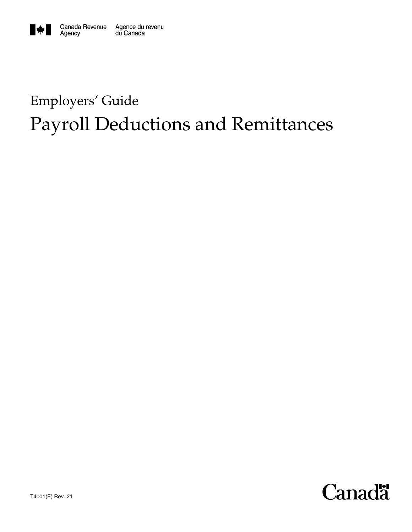

# Employers' Guide Payroll Deductions and Remittances

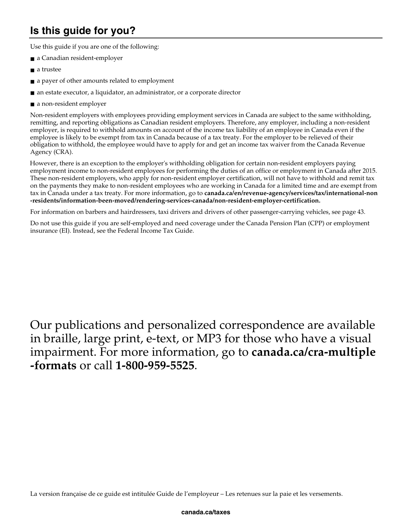## **Is this guide for you?**

Use this guide if you are one of the following:

- a Canadian resident-employer
- a trustee
- a payer of other amounts related to employment
- an estate executor, a liquidator, an administrator, or a corporate director
- a non-resident employer

Non-resident employers with employees providing employment services in Canada are subject to the same withholding, remitting, and reporting obligations as Canadian resident employers. Therefore, any employer, including a non-resident employer, is required to withhold amounts on account of the income tax liability of an employee in Canada even if the employee is likely to be exempt from tax in Canada because of a tax treaty. For the employer to be relieved of their obligation to withhold, the employee would have to apply for and get an income tax waiver from the Canada Revenue Agency (CRA).

 However, there is an exception to the employer's withholding obligation for certain non-resident employers paying employment income to non-resident employees for performing the duties of an office or employment in Canada after 2015. These non-resident employers, who apply for non-resident employer certification, will not have to withhold and remit tax on the payments they make to non-resident employees who are working in Canada for a limited time and are exempt from tax in Canada under a tax treaty. For more information, go to **canada.ca/en/revenue-agency/services/tax/international-non -residents/information-been-moved/rendering-services-canada/non-resident-employer-certification.**

For information on barbers and hairdressers, taxi drivers and drivers of other passenger-carrying vehicles, see page 43.

Do not use this guide if you are self-employed and need coverage under the Canada Pension Plan (CPP) or employment insurance (EI). Instead, see the Federal Income Tax Guide.

## Our publications and personalized correspondence are available in braille, large print, e-text, or MP3 for those who have a visual impairment. For more information, go to **canada.ca/cra-multiple -formats** or call **1-800-959-5525**.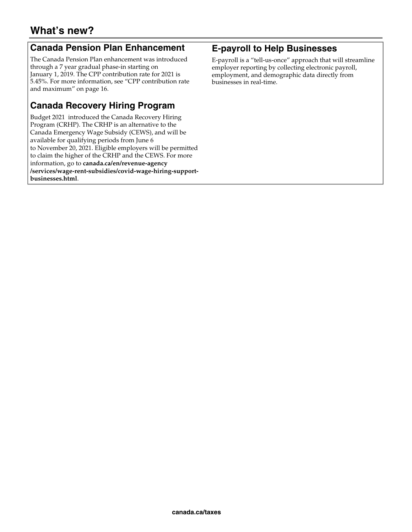### **Canada Pension Plan Enhancement**

The Canada Pension Plan enhancement was introduced through a 7 year gradual phase-in starting on January 1, 2019. The CPP contribution rate for 2021 is 5.45%. For more information, see "CPP contribution rate and maximum" on page 16.

## **Canada Recovery Hiring Program**

Budget 2021 introduced the Canada Recovery Hiring Program (CRHP). The CRHP is an alternative to the Canada Emergency Wage Subsidy (CEWS), and will be available for qualifying periods from June 6 to November 20, 2021. Eligible employers will be permitted to claim the higher of the CRHP and the CEWS. For more information, go to **canada.ca/en/revenue-agency /services/wage-rent-subsidies/covid-wage-hiring-supportbusinesses.html**.

### **E-payroll to Help Businesses**

E-payroll is a "tell-us-once" approach that will streamline employer reporting by collecting electronic payroll, employment, and demographic data directly from businesses in real-time.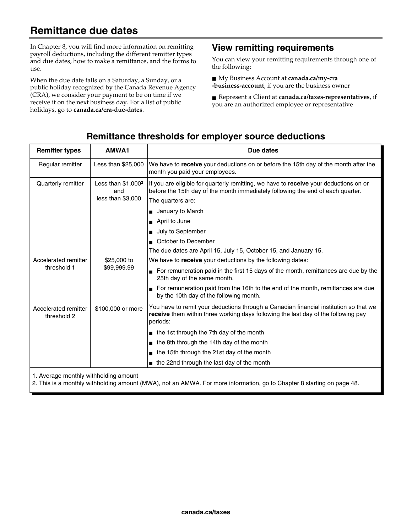## **Remittance due dates**

In Chapter 8, you will find more information on remitting payroll deductions, including the different remitter types and due dates, how to make a remittance, and the forms to use.

When the due date falls on a Saturday, a Sunday, or a public holiday recognized by the Canada Revenue Agency (CRA), we consider your payment to be on time if we receive it on the next business day. For a list of public holidays, go to **canada.ca/cra-due-dates**.

### **View remitting requirements**

You can view your remitting requirements through one of the following:

■ My Business Account at **canada.ca/my-cra -business-account**, if you are the business owner

■ Represent a Client at **canada.ca/taxes-representatives**, if you are an authorized employee or representative

### **Remittance thresholds for employer source deductions**

| <b>Remitter types</b>                                             | AMWA1                                            | Due dates                                                                                                                                                                                     |
|-------------------------------------------------------------------|--------------------------------------------------|-----------------------------------------------------------------------------------------------------------------------------------------------------------------------------------------------|
| Regular remitter                                                  | Less than \$25,000                               | We have to receive your deductions on or before the 15th day of the month after the<br>month you paid your employees.                                                                         |
| Quarterly remitter                                                | Less than $$1,000^2$<br>and<br>less than \$3,000 | If you are eligible for quarterly remitting, we have to receive your deductions on or<br>before the 15th day of the month immediately following the end of each quarter.<br>The quarters are: |
|                                                                   |                                                  | January to March                                                                                                                                                                              |
|                                                                   |                                                  | April to June<br>$\blacksquare$                                                                                                                                                               |
|                                                                   |                                                  | July to September                                                                                                                                                                             |
|                                                                   |                                                  | October to December                                                                                                                                                                           |
|                                                                   |                                                  | The due dates are April 15, July 15, October 15, and January 15.                                                                                                                              |
| Accelerated remitter<br>\$25,000 to<br>threshold 1<br>\$99,999.99 |                                                  | We have to <b>receive</b> your deductions by the following dates:                                                                                                                             |
|                                                                   |                                                  | For remuneration paid in the first 15 days of the month, remittances are due by the<br>25th day of the same month.                                                                            |
|                                                                   |                                                  | For remuneration paid from the 16th to the end of the month, remittances are due<br>by the 10th day of the following month.                                                                   |
| Accelerated remitter<br>threshold 2                               | \$100,000 or more                                | You have to remit your deductions through a Canadian financial institution so that we<br>receive them within three working days following the last day of the following pay<br>periods:       |
|                                                                   |                                                  | the 1st through the 7th day of the month                                                                                                                                                      |
|                                                                   |                                                  | the 8th through the 14th day of the month                                                                                                                                                     |
|                                                                   |                                                  | the 15th through the 21st day of the month<br>п                                                                                                                                               |
|                                                                   |                                                  | the 22nd through the last day of the month                                                                                                                                                    |
| 1. Average monthly withholding amount                             |                                                  |                                                                                                                                                                                               |

2. This is a monthly withholding amount (MWA), not an AMWA. For more information, go to Chapter 8 starting on page 48.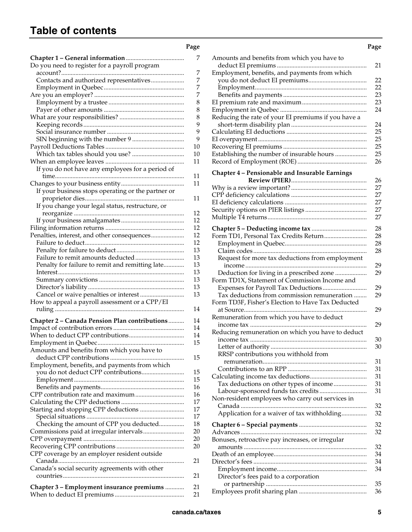## **Table of contents**

| - - | - -<br>× | I<br>× |
|-----|----------|--------|

| Do you need to register for a payroll program<br>Contacts and authorized representatives<br>If you do not have any employees for a period of<br>If your business stops operating or the partner or<br>If you change your legal status, restructure, or<br>Penalties, interest, and other consequences<br>Penalty for failure to remit and remitting late<br>How to appeal a payroll assessment or a CPP/EI<br>Chapter 2 - Canada Pension Plan contributions<br>Amounts and benefits from which you have to<br>Employment, benefits, and payments from which<br>Starting and stopping CPP deductions | Checking the amount of CPP you deducted<br>. |
|-----------------------------------------------------------------------------------------------------------------------------------------------------------------------------------------------------------------------------------------------------------------------------------------------------------------------------------------------------------------------------------------------------------------------------------------------------------------------------------------------------------------------------------------------------------------------------------------------------|----------------------------------------------|
|                                                                                                                                                                                                                                                                                                                                                                                                                                                                                                                                                                                                     |                                              |
|                                                                                                                                                                                                                                                                                                                                                                                                                                                                                                                                                                                                     |                                              |
|                                                                                                                                                                                                                                                                                                                                                                                                                                                                                                                                                                                                     |                                              |
|                                                                                                                                                                                                                                                                                                                                                                                                                                                                                                                                                                                                     |                                              |
|                                                                                                                                                                                                                                                                                                                                                                                                                                                                                                                                                                                                     |                                              |
|                                                                                                                                                                                                                                                                                                                                                                                                                                                                                                                                                                                                     |                                              |
|                                                                                                                                                                                                                                                                                                                                                                                                                                                                                                                                                                                                     |                                              |
|                                                                                                                                                                                                                                                                                                                                                                                                                                                                                                                                                                                                     |                                              |
|                                                                                                                                                                                                                                                                                                                                                                                                                                                                                                                                                                                                     |                                              |
|                                                                                                                                                                                                                                                                                                                                                                                                                                                                                                                                                                                                     |                                              |
|                                                                                                                                                                                                                                                                                                                                                                                                                                                                                                                                                                                                     |                                              |
|                                                                                                                                                                                                                                                                                                                                                                                                                                                                                                                                                                                                     |                                              |
|                                                                                                                                                                                                                                                                                                                                                                                                                                                                                                                                                                                                     |                                              |
|                                                                                                                                                                                                                                                                                                                                                                                                                                                                                                                                                                                                     |                                              |
|                                                                                                                                                                                                                                                                                                                                                                                                                                                                                                                                                                                                     |                                              |
|                                                                                                                                                                                                                                                                                                                                                                                                                                                                                                                                                                                                     |                                              |
|                                                                                                                                                                                                                                                                                                                                                                                                                                                                                                                                                                                                     |                                              |
|                                                                                                                                                                                                                                                                                                                                                                                                                                                                                                                                                                                                     |                                              |
|                                                                                                                                                                                                                                                                                                                                                                                                                                                                                                                                                                                                     |                                              |
|                                                                                                                                                                                                                                                                                                                                                                                                                                                                                                                                                                                                     |                                              |
|                                                                                                                                                                                                                                                                                                                                                                                                                                                                                                                                                                                                     |                                              |
|                                                                                                                                                                                                                                                                                                                                                                                                                                                                                                                                                                                                     |                                              |
|                                                                                                                                                                                                                                                                                                                                                                                                                                                                                                                                                                                                     |                                              |
|                                                                                                                                                                                                                                                                                                                                                                                                                                                                                                                                                                                                     |                                              |
|                                                                                                                                                                                                                                                                                                                                                                                                                                                                                                                                                                                                     |                                              |
|                                                                                                                                                                                                                                                                                                                                                                                                                                                                                                                                                                                                     |                                              |
|                                                                                                                                                                                                                                                                                                                                                                                                                                                                                                                                                                                                     |                                              |
|                                                                                                                                                                                                                                                                                                                                                                                                                                                                                                                                                                                                     |                                              |
|                                                                                                                                                                                                                                                                                                                                                                                                                                                                                                                                                                                                     |                                              |
|                                                                                                                                                                                                                                                                                                                                                                                                                                                                                                                                                                                                     |                                              |
|                                                                                                                                                                                                                                                                                                                                                                                                                                                                                                                                                                                                     |                                              |
|                                                                                                                                                                                                                                                                                                                                                                                                                                                                                                                                                                                                     |                                              |
|                                                                                                                                                                                                                                                                                                                                                                                                                                                                                                                                                                                                     |                                              |
|                                                                                                                                                                                                                                                                                                                                                                                                                                                                                                                                                                                                     |                                              |
|                                                                                                                                                                                                                                                                                                                                                                                                                                                                                                                                                                                                     |                                              |
|                                                                                                                                                                                                                                                                                                                                                                                                                                                                                                                                                                                                     |                                              |
|                                                                                                                                                                                                                                                                                                                                                                                                                                                                                                                                                                                                     |                                              |
|                                                                                                                                                                                                                                                                                                                                                                                                                                                                                                                                                                                                     |                                              |
|                                                                                                                                                                                                                                                                                                                                                                                                                                                                                                                                                                                                     |                                              |
|                                                                                                                                                                                                                                                                                                                                                                                                                                                                                                                                                                                                     |                                              |
|                                                                                                                                                                                                                                                                                                                                                                                                                                                                                                                                                                                                     |                                              |
|                                                                                                                                                                                                                                                                                                                                                                                                                                                                                                                                                                                                     |                                              |
|                                                                                                                                                                                                                                                                                                                                                                                                                                                                                                                                                                                                     |                                              |
|                                                                                                                                                                                                                                                                                                                                                                                                                                                                                                                                                                                                     |                                              |
|                                                                                                                                                                                                                                                                                                                                                                                                                                                                                                                                                                                                     |                                              |
|                                                                                                                                                                                                                                                                                                                                                                                                                                                                                                                                                                                                     |                                              |
|                                                                                                                                                                                                                                                                                                                                                                                                                                                                                                                                                                                                     |                                              |
|                                                                                                                                                                                                                                                                                                                                                                                                                                                                                                                                                                                                     |                                              |
|                                                                                                                                                                                                                                                                                                                                                                                                                                                                                                                                                                                                     |                                              |
|                                                                                                                                                                                                                                                                                                                                                                                                                                                                                                                                                                                                     |                                              |
|                                                                                                                                                                                                                                                                                                                                                                                                                                                                                                                                                                                                     |                                              |
|                                                                                                                                                                                                                                                                                                                                                                                                                                                                                                                                                                                                     |                                              |
|                                                                                                                                                                                                                                                                                                                                                                                                                                                                                                                                                                                                     |                                              |
|                                                                                                                                                                                                                                                                                                                                                                                                                                                                                                                                                                                                     |                                              |
|                                                                                                                                                                                                                                                                                                                                                                                                                                                                                                                                                                                                     |                                              |
|                                                                                                                                                                                                                                                                                                                                                                                                                                                                                                                                                                                                     |                                              |
| CPP coverage by an employer resident outside                                                                                                                                                                                                                                                                                                                                                                                                                                                                                                                                                        |                                              |
|                                                                                                                                                                                                                                                                                                                                                                                                                                                                                                                                                                                                     |                                              |
| Canada's social security agreements with other                                                                                                                                                                                                                                                                                                                                                                                                                                                                                                                                                      |                                              |
|                                                                                                                                                                                                                                                                                                                                                                                                                                                                                                                                                                                                     |                                              |
| Chapter 3 - Employment insurance premiums                                                                                                                                                                                                                                                                                                                                                                                                                                                                                                                                                           |                                              |

|                                                    | Page |                                                     | Page     |
|----------------------------------------------------|------|-----------------------------------------------------|----------|
|                                                    | 7    | Amounts and benefits from which you have to         |          |
| Do you need to register for a payroll program      |      | .                                                   | 21       |
|                                                    | 7    | Employment, benefits, and payments from which       |          |
| Contacts and authorized representatives            | 7    |                                                     | 22       |
|                                                    | 7    |                                                     | 22       |
|                                                    | 7    |                                                     | 23       |
|                                                    | 8    |                                                     | 23       |
|                                                    | 8    |                                                     | 24       |
|                                                    | 8    | Reducing the rate of your EI premiums if you have a |          |
|                                                    | 9    |                                                     | 24       |
|                                                    | 9    |                                                     | 25       |
|                                                    | 9    |                                                     | 25       |
|                                                    | 10   |                                                     | 25       |
|                                                    | 10   | Establishing the number of insurable hours          | 25       |
|                                                    | 11   |                                                     | 26       |
| If you do not have any employees for a period of   |      | Chapter 4 - Pensionable and Insurable Earnings      |          |
|                                                    | 11   |                                                     | 26       |
|                                                    | 11   |                                                     | 27       |
| If your business stops operating or the partner or |      |                                                     | 27       |
|                                                    | 11   |                                                     | 27       |
| If you change your legal status, restructure, or   |      |                                                     | 27       |
|                                                    | 12   |                                                     | 27       |
|                                                    | 12   |                                                     |          |
|                                                    | 12   |                                                     | 28       |
| Penalties, interest, and other consequences        | 12   |                                                     | 28       |
|                                                    | 12   |                                                     | 28       |
|                                                    | 13   |                                                     | 28       |
|                                                    | 13   | Request for more tax deductions from employment     |          |
| Penalty for failure to remit and remitting late    | 13   |                                                     | 29       |
|                                                    | 13   | Deduction for living in a prescribed zone           | 29       |
|                                                    | 13   | Form TD1X, Statement of Commission Income and       |          |
|                                                    | 13   |                                                     | 29       |
|                                                    | 13   | Tax deductions from commission remuneration         | 29       |
| How to appeal a payroll assessment or a CPP/EI     |      | Form TD3F, Fisher's Election to Have Tax Deducted   |          |
|                                                    | 14   |                                                     | 29       |
| Chapter 2 - Canada Pension Plan contributions      | 14   | Remuneration from which you have to deduct          |          |
|                                                    | 14   |                                                     | 29       |
|                                                    | 14   | Reducing remuneration on which you have to deduct   |          |
|                                                    | 15   |                                                     | 30<br>30 |
| Amounts and benefits from which you have to        |      |                                                     |          |
|                                                    | 15   | RRSP contributions you withhold from                |          |
| Employment, benefits, and payments from which      |      |                                                     | 31<br>31 |
|                                                    | 15   |                                                     | 31       |
|                                                    | 15   |                                                     | 31       |
|                                                    | 16   | Tax deductions on other types of income             | 31       |
|                                                    | 16   |                                                     |          |
|                                                    | 17   | Non-resident employees who carry out services in    | 32       |
| Starting and stopping CPP deductions               | 17   | Application for a waiver of tax withholding         | 32       |
|                                                    | 17   |                                                     |          |
| Checking the amount of CPP you deducted            | 18   |                                                     | 32       |
| Commissions paid at irregular intervals            | 20   |                                                     | 32       |
|                                                    | 20   | Bonuses, retroactive pay increases, or irregular    |          |
|                                                    | 20   |                                                     | 32       |
| CPP coverage by an employer resident outside       |      |                                                     | 34       |
|                                                    | 21   |                                                     | 34       |
| Canada's social security agreements with other     |      |                                                     | 34       |
|                                                    | 21   | Director's fees paid to a corporation               |          |
| Chapter 3 – Employment insurance premiums          | 21   |                                                     | 35       |
| Whon to doduct EL promiume                         | 21   |                                                     | 36       |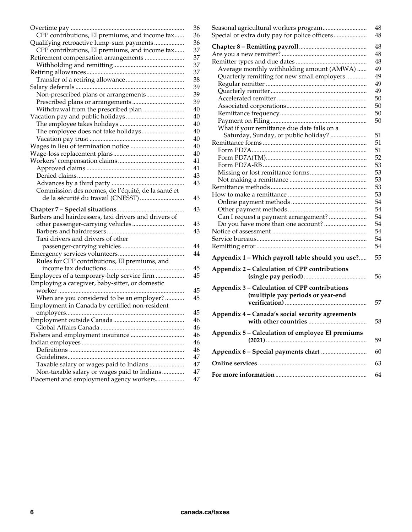| 48<br>48<br>48<br>Average monthly withholding amount (AMWA)<br>49<br>Quarterly remitting for new small employers<br>49<br>49<br>49<br>50<br>50<br>50<br>50<br>What if your remittance due date falls on a<br>51<br>Saturday, Sunday, or public holiday?<br>51<br>51<br>52<br>53<br>53 |  |  |
|---------------------------------------------------------------------------------------------------------------------------------------------------------------------------------------------------------------------------------------------------------------------------------------|--|--|
|                                                                                                                                                                                                                                                                                       |  |  |
|                                                                                                                                                                                                                                                                                       |  |  |
|                                                                                                                                                                                                                                                                                       |  |  |
|                                                                                                                                                                                                                                                                                       |  |  |
|                                                                                                                                                                                                                                                                                       |  |  |
|                                                                                                                                                                                                                                                                                       |  |  |
|                                                                                                                                                                                                                                                                                       |  |  |
|                                                                                                                                                                                                                                                                                       |  |  |
|                                                                                                                                                                                                                                                                                       |  |  |
|                                                                                                                                                                                                                                                                                       |  |  |
|                                                                                                                                                                                                                                                                                       |  |  |
|                                                                                                                                                                                                                                                                                       |  |  |
|                                                                                                                                                                                                                                                                                       |  |  |
|                                                                                                                                                                                                                                                                                       |  |  |
|                                                                                                                                                                                                                                                                                       |  |  |
|                                                                                                                                                                                                                                                                                       |  |  |
|                                                                                                                                                                                                                                                                                       |  |  |
|                                                                                                                                                                                                                                                                                       |  |  |
| 53                                                                                                                                                                                                                                                                                    |  |  |
| 53                                                                                                                                                                                                                                                                                    |  |  |
| 53                                                                                                                                                                                                                                                                                    |  |  |
| 54                                                                                                                                                                                                                                                                                    |  |  |
| 54                                                                                                                                                                                                                                                                                    |  |  |
| 54<br>Can I request a payment arrangement?                                                                                                                                                                                                                                            |  |  |
| 54<br>Do you have more than one account?                                                                                                                                                                                                                                              |  |  |
| 54                                                                                                                                                                                                                                                                                    |  |  |
| 54                                                                                                                                                                                                                                                                                    |  |  |
| 54                                                                                                                                                                                                                                                                                    |  |  |
| Appendix 1 - Which payroll table should you use?<br>55                                                                                                                                                                                                                                |  |  |
| Appendix 2 - Calculation of CPP contributions                                                                                                                                                                                                                                         |  |  |
| 56                                                                                                                                                                                                                                                                                    |  |  |
| Appendix 3 - Calculation of CPP contributions                                                                                                                                                                                                                                         |  |  |
| (multiple pay periods or year-end                                                                                                                                                                                                                                                     |  |  |
| 57                                                                                                                                                                                                                                                                                    |  |  |
| Appendix 4 - Canada's social security agreements                                                                                                                                                                                                                                      |  |  |
| 58                                                                                                                                                                                                                                                                                    |  |  |
| Appendix 5 - Calculation of employee EI premiums                                                                                                                                                                                                                                      |  |  |
| 59                                                                                                                                                                                                                                                                                    |  |  |
| 60                                                                                                                                                                                                                                                                                    |  |  |
| 63                                                                                                                                                                                                                                                                                    |  |  |
| 64                                                                                                                                                                                                                                                                                    |  |  |
|                                                                                                                                                                                                                                                                                       |  |  |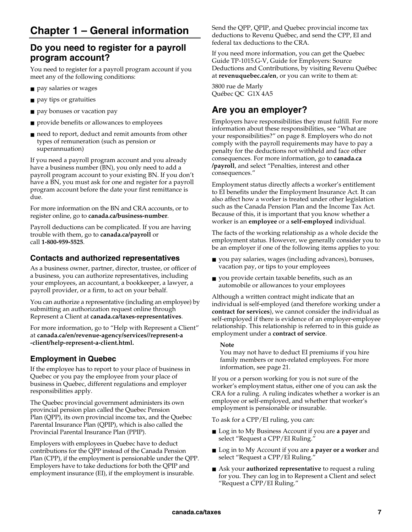## **Do you need to register for a payroll program account?**

You need to register for a payroll program account if you meet any of the following conditions:

- pay salaries or wages
- pay tips or gratuities
- pay bonuses or vacation pay
- provide benefits or allowances to employees
- need to report, deduct and remit amounts from other types of remuneration (such as pension or superannuation)

If you need a payroll program account and you already have a business number (BN), you only need to add a payroll program account to your existing BN. If you don't have a BN, you must ask for one and register for a payroll program account before the date your first remittance is due.

For more information on the BN and CRA accounts, or to register online, go to **canada.ca/business-number**.

Payroll deductions can be complicated. If you are having trouble with them, go to **canada.ca/payroll** or call **1-800-959-5525**.

### **Contacts and authorized representatives**

As a business owner, partner, director, trustee, or officer of a business, you can authorize representatives, including your employees, an accountant, a bookkeeper, a lawyer, a payroll provider, or a firm, to act on your behalf.

You can authorize a representative (including an employee) by submitting an authorization request online through Represent a Client at **canada.ca/taxes-representatives**.

For more information, go to "Help with Represent a Client" at **canada.ca/en/revenue-agency/services//represent-a -client/help-represent-a-client.html.**

### **Employment in Quebec**

If the employee has to report to your place of business in Quebec or you pay the employee from your place of business in Quebec, different regulations and employer responsibilities apply.

The Quebec provincial government administers its own provincial pension plan called the Quebec Pension Plan (QPP), its own provincial income tax, and the Quebec Parental Insurance Plan (QPIP), which is also called the Provincial Parental Insurance Plan (PPIP).

Employers with employees in Quebec have to deduct contributions for the QPP instead of the Canada Pension Plan (CPP), if the employment is pensionable under the QPP. Employers have to take deductions for both the QPIP and employment insurance (EI), if the employment is insurable.

Send the QPP, QPIP, and Quebec provincial income tax deductions to Revenu Québec, and send the CPP, EI and federal tax deductions to the CRA.

If you need more information, you can get the Quebec Guide TP-1015.G-V, Guide for Employers: Source Deductions and Contributions, by visiting Revenu Québec at **revenuquebec.ca/en**, or you can write to them at:

3800 rue de Marly Québec QC G1X 4A5

## **Are you an employer?**

Employers have responsibilities they must fulfill. For more information about these responsibilities, see "What are your responsibilities?" on page 8. Employers who do not comply with the payroll requirements may have to pay a penalty for the deductions not withheld and face other consequences. For more information, go to **canada.ca /payroll**, and select "Penalties, interest and other consequences."

Employment status directly affects a worker's entitlement to EI benefits under the Employment Insurance Act. It can also affect how a worker is treated under other legislation such as the Canada Pension Plan and the Income Tax Act. Because of this, it is important that you know whether a worker is an **employee** or a **self-employed** individual.

The facts of the working relationship as a whole decide the employment status. However, we generally consider you to be an employer if one of the following items applies to you:

- you pay salaries, wages (including advances), bonuses, vacation pay, or tips to your employees
- you provide certain taxable benefits, such as an automobile or allowances to your employees

Although a written contract might indicate that an individual is self-employed (and therefore working under a **contract for services**), we cannot consider the individual as self-employed if there is evidence of an employer-employee relationship. This relationship is referred to in this guide as employment under a **contract of service**.

### **Note**

You may not have to deduct EI premiums if you hire family members or non-related employees. For more information, see page 21.

If you or a person working for you is not sure of the worker's employment status, either one of you can ask the CRA for a ruling. A ruling indicates whether a worker is an employee or self-employed, and whether that worker's employment is pensionable or insurable.

To ask for a CPP/EI ruling, you can:

- Log in to My Business Account if you are **a payer** and select "Request a CPP/EI Ruling."
- Log in to My Account if you are **a payer or a worker** and select "Request a CPP/EI Ruling."
- Ask your **authorized representative** to request a ruling for you. They can log in to Represent a Client and select "Request a CPP/EI Ruling."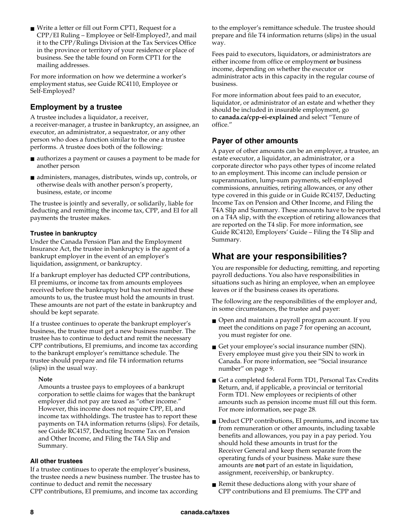■ Write a letter or fill out Form CPT1, Request for a CPP/EI Ruling – Employee or Self-Employed?, and mail it to the CPP/Rulings Division at the Tax Services Office in the province or territory of your residence or place of business. See the table found on Form CPT1 for the mailing addresses.

For more information on how we determine a worker's employment status, see Guide RC4110, Employee or Self-Employed?

### **Employment by a trustee**

A trustee includes a liquidator, a receiver, a receiver-manager, a trustee in bankruptcy, an assignee, an executor, an administrator, a sequestrator, or any other person who does a function similar to the one a trustee performs. A trustee does both of the following:

- authorizes a payment or causes a payment to be made for another person
- administers, manages, distributes, winds up, controls, or otherwise deals with another person's property, business, estate, or income

The trustee is jointly and severally, or solidarily, liable for deducting and remitting the income tax, CPP, and EI for all payments the trustee makes.

### **Trustee in bankruptcy**

Under the Canada Pension Plan and the Employment Insurance Act, the trustee in bankruptcy is the agent of a bankrupt employer in the event of an employer's liquidation, assignment, or bankruptcy.

If a bankrupt employer has deducted CPP contributions, EI premiums, or income tax from amounts employees received before the bankruptcy but has not remitted these amounts to us, the trustee must hold the amounts in trust. These amounts are not part of the estate in bankruptcy and should be kept separate.

If a trustee continues to operate the bankrupt employer's business, the trustee must get a new business number. The trustee has to continue to deduct and remit the necessary CPP contributions, EI premiums, and income tax according to the bankrupt employer's remittance schedule. The trustee should prepare and file T4 information returns (slips) in the usual way.

### **Note**

Amounts a trustee pays to employees of a bankrupt corporation to settle claims for wages that the bankrupt employer did not pay are taxed as "other income." However, this income does not require CPP, EI, and income tax withholdings. The trustee has to report these payments on T4A information returns (slips). For details, see Guide RC4157, Deducting Income Tax on Pension and Other Income, and Filing the T4A Slip and Summary.

### **All other trustees**

If a trustee continues to operate the employer's business, the trustee needs a new business number. The trustee has to continue to deduct and remit the necessary

CPP contributions, EI premiums, and income tax according

to the employer's remittance schedule. The trustee should prepare and file T4 information returns (slips) in the usual way.

Fees paid to executors, liquidators, or administrators are either income from office or employment **or** business income, depending on whether the executor or administrator acts in this capacity in the regular course of business.

For more information about fees paid to an executor, liquidator, or administrator of an estate and whether they should be included in insurable employment, go to **canada.ca/cpp-ei-explained** and select "Tenure of office."

### **Payer of other amounts**

A payer of other amounts can be an employer, a trustee, an estate executor, a liquidator, an administrator, or a corporate director who pays other types of income related to an employment. This income can include pension or superannuation, lump-sum payments, self-employed commissions, annuities, retiring allowances, or any other type covered in this guide or in Guide RC4157, Deducting Income Tax on Pension and Other Income, and Filing the T4A Slip and Summary. These amounts have to be reported on a T4A slip, with the exception of retiring allowances that are reported on the T4 slip. For more information, see Guide RC4120, Employers' Guide – Filing the T4 Slip and Summary.

### **What are your responsibilities?**

You are responsible for deducting, remitting, and reporting payroll deductions. You also have responsibilities in situations such as hiring an employee, when an employee leaves or if the business ceases its operations.

The following are the responsibilities of the employer and, in some circumstances, the trustee and payer:

- Open and maintain a payroll program account. If you meet the conditions on page 7 for opening an account, you must register for one.
- Get your employee's social insurance number (SIN). Every employee must give you their SIN to work in Canada. For more information, see "Social insurance number" on page 9.
- Get a completed federal Form TD1, Personal Tax Credits Return, and, if applicable, a provincial or territorial Form TD1. New employees or recipients of other amounts such as pension income must fill out this form. For more information, see page 28.
- Deduct CPP contributions, EI premiums, and income tax from remuneration or other amounts, including taxable benefits and allowances, you pay in a pay period. You should hold these amounts in trust for the Receiver General and keep them separate from the operating funds of your business. Make sure these amounts are **not** part of an estate in liquidation, assignment, receivership, or bankruptcy.
- Remit these deductions along with your share of CPP contributions and EI premiums. The CPP and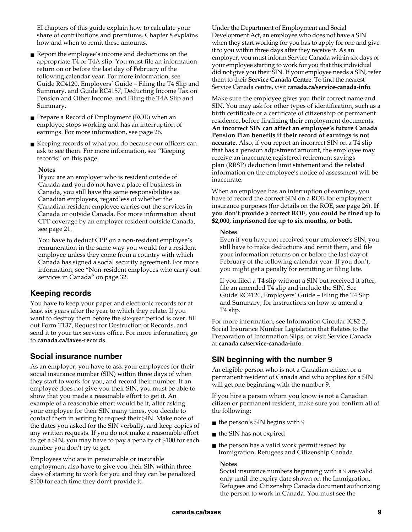EI chapters of this guide explain how to calculate your share of contributions and premiums. Chapter 8 explains how and when to remit these amounts.

■ Report the employee's income and deductions on the appropriate T4 or T4A slip. You must file an information return on or before the last day of February of the following calendar year. For more information, see Guide RC4120, Employers' Guide – Filing the T4 Slip and Summary, and Guide RC4157, Deducting Income Tax on Pension and Other Income, and Filing the T4A Slip and Summary.

■ Prepare a Record of Employment (ROE) when an employee stops working and has an interruption of earnings. For more information, see page 26.

■ Keeping records of what you do because our officers can ask to see them. For more information, see "Keeping records" on this page.

#### **Notes**

If you are an employer who is resident outside of Canada **and** you do not have a place of business in Canada, you still have the same responsibilities as Canadian employers, regardless of whether the Canadian resident employee carries out the services in Canada or outside Canada. For more information about CPP coverage by an employer resident outside Canada, see page 21.

You have to deduct CPP on a non-resident employee's remuneration in the same way you would for a resident employee unless they come from a country with which Canada has signed a social security agreement. For more information, see "Non-resident employees who carry out services in Canada" on page 32.

### **Keeping records**

You have to keep your paper and electronic records for at least six years after the year to which they relate. If you want to destroy them before the six-year period is over, fill out Form T137, Request for Destruction of Records, and send it to your tax services office. For more information, go to **canada.ca/taxes-records**.

### **Social insurance number**

As an employer, you have to ask your employees for their social insurance number (SIN) within three days of when they start to work for you, and record their number. If an employee does not give you their SIN, you must be able to show that you made a reasonable effort to get it. An example of a reasonable effort would be if, after asking your employee for their SIN many times, you decide to contact them in writing to request their SIN. Make note of the dates you asked for the SIN verbally, and keep copies of any written requests. If you do not make a reasonable effort to get a SIN, you may have to pay a penalty of \$100 for each number you don't try to get.

Employees who are in pensionable or insurable employment also have to give you their SIN within three days of starting to work for you and they can be penalized \$100 for each time they don't provide it.

Under the Department of Employment and Social Development Act, an employee who does not have a SIN when they start working for you has to apply for one and give it to you within three days after they receive it. As an employer, you must inform Service Canada within six days of your employee starting to work for you that this individual did not give you their SIN. If your employee needs a SIN, refer them to their **Service Canada Centre**. To find the nearest Service Canada centre, visit **canada.ca/service-canada-info**.

Make sure the employee gives you their correct name and SIN. You may ask for other types of identification, such as a birth certificate or a certificate of citizenship or permanent residence, before finalizing their employment documents. **An incorrect SIN can affect an employee's future Canada Pension Plan benefits if their record of earnings is not accurate**. Also, if you report an incorrect SIN on a T4 slip that has a pension adjustment amount, the employee may receive an inaccurate registered retirement savings plan (RRSP) deduction limit statement and the related information on the employee's notice of assessment will be inaccurate.

When an employee has an interruption of earnings, you have to record the correct SIN on a ROE for employment insurance purposes (for details on the ROE, see page 26). **If you don't provide a correct ROE, you could be fined up to \$2,000, imprisoned for up to six months, or both**.

#### **Notes**

Even if you have not received your employee's SIN, you still have to make deductions and remit them, and file your information returns on or before the last day of February of the following calendar year. If you don't, you might get a penalty for remitting or filing late.

If you filed a T4 slip without a SIN but received it after, file an amended T4 slip and include the SIN. See Guide RC4120, Employers' Guide – Filing the T4 Slip and Summary, for instructions on how to amend a T4 slip.

For more information, see Information Circular IC82-2, Social Insurance Number Legislation that Relates to the Preparation of Information Slips, or visit Service Canada at **canada.ca/service-canada-info**.

### **SIN beginning with the number 9**

An eligible person who is not a Canadian citizen or a permanent resident of Canada and who applies for a SIN will get one beginning with the number 9.

If you hire a person whom you know is not a Canadian citizen or permanent resident, make sure you confirm all of the following:

- the person's SIN begins with 9
- the SIN has not expired
- $\blacksquare$  the person has a valid work permit issued by Immigration, Refugees and Citizenship Canada

#### **Notes**

Social insurance numbers beginning with a 9 are valid only until the expiry date shown on the Immigration, Refugees and Citizenship Canada document authorizing the person to work in Canada. You must see the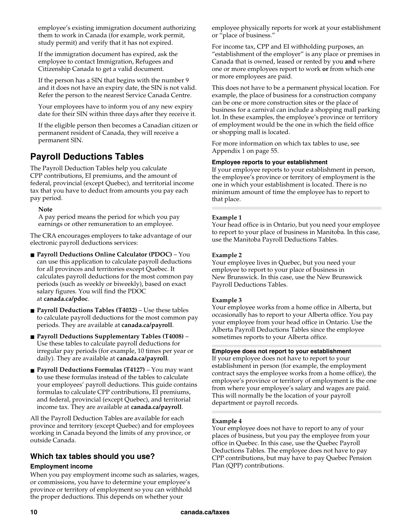employee's existing immigration document authorizing them to work in Canada (for example, work permit, study permit) and verify that it has not expired.

If the immigration document has expired, ask the employee to contact Immigration, Refugees and Citizenship Canada to get a valid document.

If the person has a SIN that begins with the number 9 and it does not have an expiry date, the SIN is not valid. Refer the person to the nearest Service Canada Centre.

Your employees have to inform you of any new expiry date for their SIN within three days after they receive it.

If the eligible person then becomes a Canadian citizen or permanent resident of Canada, they will receive a permanent SIN.

## **Payroll Deductions Tables**

The Payroll Deduction Tables help you calculate CPP contributions, EI premiums, and the amount of federal, provincial (except Quebec), and territorial income tax that you have to deduct from amounts you pay each pay period.

### **Note**

A pay period means the period for which you pay earnings or other remuneration to an employee.

The CRA encourages employers to take advantage of our electronic payroll deductions services:

- **Payroll Deductions Online Calculator (PDOC)** You can use this application to calculate payroll deductions for all provinces and territories except Quebec. It calculates payroll deductions for the most common pay periods (such as weekly or biweekly), based on exact salary figures. You will find the PDOC at **canada.ca/pdoc**.
- **Payroll Deductions Tables (T4032)** Use these tables to calculate payroll deductions for the most common pay periods. They are available at **canada.ca/payroll**.
- **Payroll Deductions Supplementary Tables (T4008)** Use these tables to calculate payroll deductions for irregular pay periods (for example, 10 times per year or daily). They are available at **canada.ca/payroll**.
- **Payroll Deductions Formulas (T4127)** You may want to use these formulas instead of the tables to calculate your employees' payroll deductions. This guide contains formulas to calculate CPP contributions, EI premiums, and federal, provincial (except Quebec), and territorial income tax. They are available at **canada.ca/payroll**.

All the Payroll Deduction Tables are available for each province and territory (except Quebec) and for employees working in Canada beyond the limits of any province, or outside Canada.

### **Which tax tables should you use?**

### **Employment income**

When you pay employment income such as salaries, wages, or commissions, you have to determine your employee's province or territory of employment so you can withhold the proper deductions. This depends on whether your

employee physically reports for work at your establishment or "place of business."

For income tax, CPP and EI withholding purposes, an "establishment of the employer" is any place or premises in Canada that is owned, leased or rented by you **and** where one or more employees report to work **or** from which one or more employees are paid.

This does not have to be a permanent physical location. For example, the place of business for a construction company can be one or more construction sites or the place of business for a carnival can include a shopping mall parking lot. In these examples, the employee's province or territory of employment would be the one in which the field office or shopping mall is located.

For more information on which tax tables to use, see Appendix 1 on page 55.

### **Employee reports to your establishment**

If your employee reports to your establishment in person, the employee's province or territory of employment is the one in which your establishment is located. There is no minimum amount of time the employee has to report to that place.

### **Example 1**

Your head office is in Ontario, but you need your employee to report to your place of business in Manitoba. In this case, use the Manitoba Payroll Deductions Tables.

### **Example 2**

Your employee lives in Quebec, but you need your employee to report to your place of business in New Brunswick. In this case, use the New Brunswick Payroll Deductions Tables.

### **Example 3**

Your employee works from a home office in Alberta, but occasionally has to report to your Alberta office. You pay your employee from your head office in Ontario. Use the Alberta Payroll Deductions Tables since the employee sometimes reports to your Alberta office.

#### **Employee does not report to your establishment**

If your employee does not have to report to your establishment in person (for example, the employment contract says the employee works from a home office), the employee's province or territory of employment is the one from where your employee's salary and wages are paid. This will normally be the location of your payroll department or payroll records.

### **Example 4**

Your employee does not have to report to any of your places of business, but you pay the employee from your office in Quebec. In this case, use the Quebec Payroll Deductions Tables. The employee does not have to pay CPP contributions, but may have to pay Quebec Pension Plan (QPP) contributions.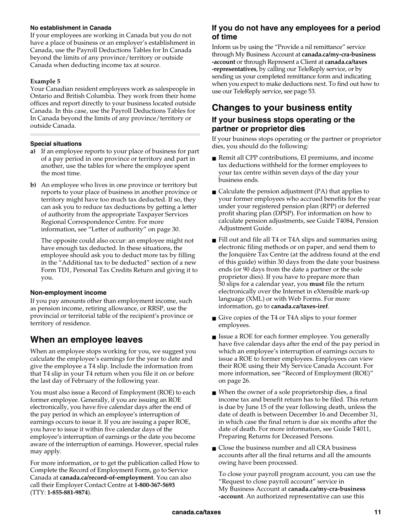### **No establishment in Canada**

If your employees are working in Canada but you do not have a place of business or an employer's establishment in Canada, use the Payroll Deductions Tables for In Canada beyond the limits of any province/territory or outside Canada when deducting income tax at source.

### **Example 5**

Your Canadian resident employees work as salespeople in Ontario and British Columbia. They work from their home offices and report directly to your business located outside Canada. In this case, use the Payroll Deductions Tables for In Canada beyond the limits of any province/territory or outside Canada.

### **Special situations**

- **a)** If an employee reports to your place of business for part of a pay period in one province or territory and part in another, use the tables for where the employee spent the most time.
- **b)** An employee who lives in one province or territory but reports to your place of business in another province or territory might have too much tax deducted. If so, they can ask you to reduce tax deductions by getting a letter of authority from the appropriate Taxpayer Services Regional Correspondence Centre. For more information, see "Letter of authority" on page 30.

 The opposite could also occur: an employee might not have enough tax deducted. In these situations, the employee should ask you to deduct more tax by filling in the "Additional tax to be deducted" section of a new Form TD1, Personal Tax Credits Return and giving it to you.

### **Non-employment income**

If you pay amounts other than employment income, such as pension income, retiring allowance, or RRSP, use the provincial or territorial table of the recipient's province or territory of residence.

### **When an employee leaves**

When an employee stops working for you, we suggest you calculate the employee's earnings for the year to date and give the employee a T4 slip. Include the information from that T4 slip in your T4 return when you file it on or before the last day of February of the following year.

You must also issue a Record of Employment (ROE) to each former employee. Generally, if you are issuing an ROE electronically, you have five calendar days after the end of the pay period in which an employee's interruption of earnings occurs to issue it. If you are issuing a paper ROE, you have to issue it within five calendar days of the employee's interruption of earnings or the date you become aware of the interruption of earnings. However, special rules may apply.

For more information, or to get the publication called How to Complete the Record of Employment Form, go to Service Canada at **canada.ca/record-of-employment**. You can also call their Employer Contact Centre at **1-800-367-5693**  (TTY: **1-855-881-9874**).

### **If you do not have any employees for a period of time**

Inform us by using the "Provide a nil remittance" service through My Business Account at **canada.ca/my-cra-business -account** or through Represent a Client at **canada.ca/taxes -representatives**, by calling our TeleReply service, or by sending us your completed remittance form and indicating when you expect to make deductions next. To find out how to use our TeleReply service, see page 53.

## **Changes to your business entity**

### **If your business stops operating or the partner or proprietor dies**

If your business stops operating or the partner or proprietor dies, you should do the following:

- Remit all CPP contributions, EI premiums, and income tax deductions withheld for the former employees to your tax centre within seven days of the day your business ends.
- $\blacksquare$  Calculate the pension adjustment (PA) that applies to your former employees who accrued benefits for the year under your registered pension plan (RPP) or deferred profit sharing plan (DPSP). For information on how to calculate pension adjustments, see Guide T4084, Pension Adjustment Guide.
- Fill out and file all T4 or T4A slips and summaries using electronic filing methods or on paper, and send them to the Jonquière Tax Centre (at the address found at the end of this guide) within 30 days from the date your business ends (or 90 days from the date a partner or the sole proprietor dies). If you have to prepare more than 50 slips for a calendar year, you **must** file the return electronically over the Internet in eXtensible mark-up language (XML) or with Web Forms. For more information, go to **canada.ca/taxes-iref**.
- Give copies of the T4 or T4A slips to your former employees.
- Issue a ROE for each former employee. You generally have five calendar days after the end of the pay period in which an employee's interruption of earnings occurs to issue a ROE to former employees. Employees can view their ROE using their My Service Canada Account. For more information, see "Record of Employment (ROE)" on page 26.
- When the owner of a sole proprietorship dies, a final income tax and benefit return has to be filed. This return is due by June 15 of the year following death, unless the date of death is between December 16 and December 31, in which case the final return is due six months after the date of death. For more information, see Guide T4011, Preparing Returns for Deceased Persons.
- Close the business number and all CRA business accounts after all the final returns and all the amounts owing have been processed.

To close your payroll program account, you can use the "Request to close payroll account" service in My Business Account at **canada.ca/my-cra-business -account**. An authorized representative can use this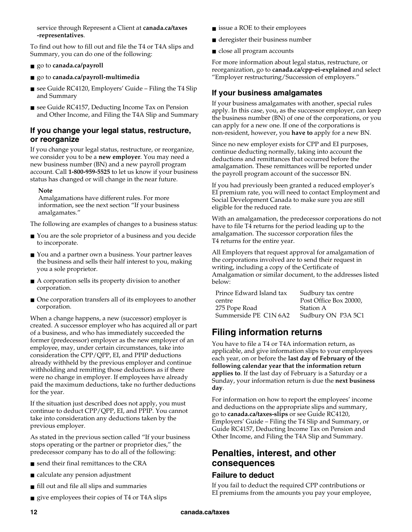service through Represent a Client at **canada.ca/taxes -representatives**.

To find out how to fill out and file the T4 or T4A slips and Summary, you can do one of the following:

- go to **canada.ca/payroll**
- go to **canada.ca/payroll-multimedia**
- see Guide RC4120, Employers' Guide Filing the T4 Slip and Summary
- see Guide RC4157, Deducting Income Tax on Pension and Other Income, and Filing the T4A Slip and Summary

### **If you change your legal status, restructure, or reorganize**

If you change your legal status, restructure, or reorganize, we consider you to be a **new employer**. You may need a new business number (BN) and a new payroll program account. Call **1-800-959-5525** to let us know if your business status has changed or will change in the near future.

### **Note**

Amalgamations have different rules. For more information, see the next section "If your business amalgamates."

The following are examples of changes to a business status:

- You are the sole proprietor of a business and you decide to incorporate.
- You and a partner own a business. Your partner leaves the business and sells their half interest to you, making you a sole proprietor.
- A corporation sells its property division to another corporation.
- One corporation transfers all of its employees to another corporation.

When a change happens, a new (successor) employer is created. A successor employer who has acquired all or part of a business, and who has immediately succeeded the former (predecessor) employer as the new employer of an employee, may, under certain circumstances, take into consideration the CPP/QPP, EI, and PPIP deductions already withheld by the previous employer and continue withholding and remitting those deductions as if there were no change in employer. If employees have already paid the maximum deductions, take no further deductions for the year.

If the situation just described does not apply, you must continue to deduct CPP/QPP, EI, and PPIP. You cannot take into consideration any deductions taken by the previous employer.

As stated in the previous section called "If your business stops operating or the partner or proprietor dies," the predecessor company has to do all of the following:

- send their final remittances to the CRA
- calculate any pension adjustment
- fill out and file all slips and summaries
- give employees their copies of T4 or T4A slips
- issue a ROE to their employees
- deregister their business number
- close all program accounts

For more information about legal status, restructure, or reorganization, go to **canada.ca/cpp-ei-explained** and select "Employer restructuring/Succession of employers."

### **If your business amalgamates**

If your business amalgamates with another, special rules apply. In this case, you, as the successor employer, can keep the business number (BN) of one of the corporations, or you can apply for a new one. If one of the corporations is non-resident, however, you **have to** apply for a new BN.

Since no new employer exists for CPP and EI purposes, continue deducting normally, taking into account the deductions and remittances that occurred before the amalgamation. These remittances will be reported under the payroll program account of the successor BN.

If you had previously been granted a reduced employer's EI premium rate, you will need to contact Employment and Social Development Canada to make sure you are still eligible for the reduced rate.

With an amalgamation, the predecessor corporations do not have to file T4 returns for the period leading up to the amalgamation. The successor corporation files the T4 returns for the entire year.

All Employers that request approval for amalgamation of the corporations involved are to send their request in writing, including a copy of the Certificate of Amalgamation or similar document, to the addresses listed below:

| Prince Edward Island tax | Sudbury tax centre     |
|--------------------------|------------------------|
| centre                   | Post Office Box 20000, |
| 275 Pope Road            | <b>Station A</b>       |
| Summerside PE C1N 6A2    | Sudbury ON P3A 5C1     |

## **Filing information returns**

You have to file a T4 or T4A information return, as applicable, and give information slips to your employees each year, on or before the **last day of February of the following calendar year that the information return applies to**. If the last day of February is a Saturday or a Sunday, your information return is due the **next business day**.

For information on how to report the employees' income and deductions on the appropriate slips and summary, go to **canada.ca/taxes-slips** or see Guide RC4120, Employers' Guide – Filing the T4 Slip and Summary, or Guide RC4157, Deducting Income Tax on Pension and Other Income, and Filing the T4A Slip and Summary.

### **Penalties, interest, and other consequences**

### **Failure to deduct**

If you fail to deduct the required CPP contributions or EI premiums from the amounts you pay your employee,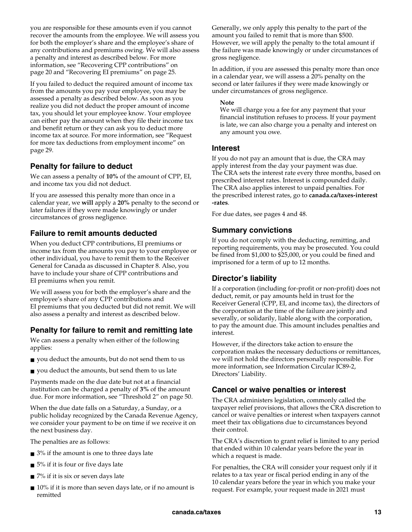you are responsible for these amounts even if you cannot recover the amounts from the employee. We will assess you for both the employer's share and the employee's share of any contributions and premiums owing. We will also assess a penalty and interest as described below. For more information, see "Recovering CPP contributions" on page 20 and "Recovering EI premiums" on page 25.

If you failed to deduct the required amount of income tax from the amounts you pay your employee, you may be assessed a penalty as described below. As soon as you realize you did not deduct the proper amount of income tax, you should let your employee know. Your employee can either pay the amount when they file their income tax and benefit return or they can ask you to deduct more income tax at source. For more information, see "Request for more tax deductions from employment income" on page 29.

### **Penalty for failure to deduct**

We can assess a penalty of **10%** of the amount of CPP, EI, and income tax you did not deduct.

If you are assessed this penalty more than once in a calendar year, we **will** apply a **20%** penalty to the second or later failures if they were made knowingly or under circumstances of gross negligence.

### **Failure to remit amounts deducted**

When you deduct CPP contributions, EI premiums or income tax from the amounts you pay to your employee or other individual, you have to remit them to the Receiver General for Canada as discussed in Chapter 8. Also, you have to include your share of CPP contributions and EI premiums when you remit.

We will assess you for both the employer's share and the employee's share of any CPP contributions and EI premiums that you deducted but did not remit. We will also assess a penalty and interest as described below.

### **Penalty for failure to remit and remitting late**

We can assess a penalty when either of the following applies:

- you deduct the amounts, but do not send them to us
- you deduct the amounts, but send them to us late

Payments made on the due date but not at a financial institution can be charged a penalty of **3%** of the amount due. For more information, see "Threshold 2" on page 50.

When the due date falls on a Saturday, a Sunday, or a public holiday recognized by the Canada Revenue Agency, we consider your payment to be on time if we receive it on the next business day.

The penalties are as follows:

- 3% if the amount is one to three days late
- 5% if it is four or five days late
- 7% if it is six or seven days late
- 10% if it is more than seven days late, or if no amount is remitted

Generally, we only apply this penalty to the part of the amount you failed to remit that is more than \$500. However, we will apply the penalty to the total amount if the failure was made knowingly or under circumstances of gross negligence.

In addition, if you are assessed this penalty more than once in a calendar year, we will assess a 20% penalty on the second or later failures if they were made knowingly or under circumstances of gross negligence.

### **Note**

We will charge you a fee for any payment that your financial institution refuses to process. If your payment is late, we can also charge you a penalty and interest on any amount you owe.

### **Interest**

If you do not pay an amount that is due, the CRA may apply interest from the day your payment was due. The CRA sets the interest rate every three months, based on prescribed interest rates. Interest is compounded daily. The CRA also applies interest to unpaid penalties. For the prescribed interest rates, go to **canada.ca/taxes-interest -rates**.

For due dates, see pages 4 and 48.

### **Summary convictions**

If you do not comply with the deducting, remitting, and reporting requirements, you may be prosecuted. You could be fined from \$1,000 to \$25,000, or you could be fined and imprisoned for a term of up to 12 months.

### **Director's liability**

If a corporation (including for-profit or non-profit) does not deduct, remit, or pay amounts held in trust for the Receiver General (CPP, EI, and income tax), the directors of the corporation at the time of the failure are jointly and severally, or solidarily, liable along with the corporation, to pay the amount due. This amount includes penalties and interest.

However, if the directors take action to ensure the corporation makes the necessary deductions or remittances, we will not hold the directors personally responsible. For more information, see Information Circular IC89-2, Directors' Liability.

### **Cancel or waive penalties or interest**

The CRA administers legislation, commonly called the taxpayer relief provisions, that allows the CRA discretion to cancel or waive penalties or interest when taxpayers cannot meet their tax obligations due to circumstances beyond their control.

The CRA's discretion to grant relief is limited to any period that ended within 10 calendar years before the year in which a request is made.

For penalties, the CRA will consider your request only if it relates to a tax year or fiscal period ending in any of the 10 calendar years before the year in which you make your request. For example, your request made in 2021 must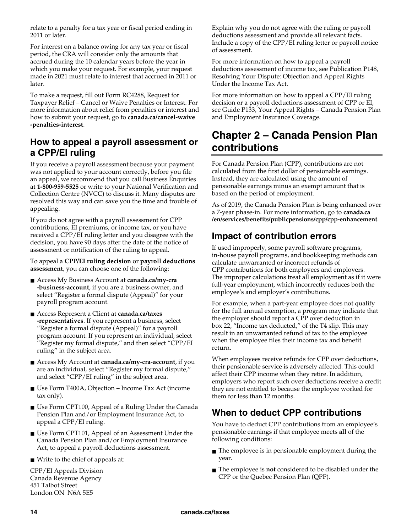relate to a penalty for a tax year or fiscal period ending in 2011 or later.

For interest on a balance owing for any tax year or fiscal period, the CRA will consider only the amounts that accrued during the 10 calendar years before the year in which you make your request. For example, your request made in 2021 must relate to interest that accrued in 2011 or later.

To make a request, fill out Form RC4288, Request for Taxpayer Relief – Cancel or Waive Penalties or Interest. For more information about relief from penalties or interest and how to submit your request, go to **canada.ca/cancel-waive -penalties-interest**.

## **How to appeal a payroll assessment or a CPP/EI ruling**

If you receive a payroll assessment because your payment was not applied to your account correctly, before you file an appeal, we recommend that you call Business Enquiries at **1-800-959-5525** or write to your National Verification and Collection Centre (NVCC) to discuss it. Many disputes are resolved this way and can save you the time and trouble of appealing.

If you do not agree with a payroll assessment for CPP contributions, EI premiums, or income tax, or you have received a CPP/EI ruling letter and you disagree with the decision, you have 90 days after the date of the notice of assessment or notification of the ruling to appeal.

To appeal a **CPP/EI ruling decision** or **payroll deductions assessment**, you can choose one of the following:

- Access My Business Account at **canada.ca/my-cra -business-account**, if you are a business owner, and select "Register a formal dispute (Appeal)" for your payroll program account.
- Access Represent a Client at **canada.ca/taxes -representatives**. If you represent a business, select "Register a formal dispute (Appeal)" for a payroll program account. If you represent an individual, select "Register my formal dispute," and then select "CPP/EI ruling" in the subject area.
- Access My Account at **canada.ca/my-cra-account**, if you are an individual, select "Register my formal dispute," and select "CPP/EI ruling" in the subject area.
- Use Form T400A, Objection Income Tax Act (income tax only).
- Use Form CPT100, Appeal of a Ruling Under the Canada Pension Plan and/or Employment Insurance Act, to appeal a CPP/EI ruling.
- Use Form CPT101, Appeal of an Assessment Under the Canada Pension Plan and/or Employment Insurance Act, to appeal a payroll deductions assessment.
- Write to the chief of appeals at:

CPP/EI Appeals Division Canada Revenue Agency 451 Talbot Street London ON N6A 5E5

Explain why you do not agree with the ruling or payroll deductions assessment and provide all relevant facts. Include a copy of the CPP/EI ruling letter or payroll notice of assessment.

For more information on how to appeal a payroll deductions assessment of income tax, see Publication P148, Resolving Your Dispute: Objection and Appeal Rights Under the Income Tax Act.

For more information on how to appeal a CPP/EI ruling decision or a payroll deductions assessment of CPP or EI, see Guide P133, Your Appeal Rights – Canada Pension Plan and Employment Insurance Coverage.

## **Chapter 2 – Canada Pension Plan contributions**

For Canada Pension Plan (CPP), contributions are not calculated from the first dollar of pensionable earnings. Instead, they are calculated using the amount of pensionable earnings minus an exempt amount that is based on the period of employment.

As of 2019, the Canada Pension Plan is being enhanced over a 7-year phase-in. For more information, go to **canada.ca /en/services/benefits/publicpensions/cpp/cpp-enhancement**.

## **Impact of contribution errors**

If used improperly, some payroll software programs, in-house payroll programs, and bookkeeping methods can calculate unwarranted or incorrect refunds of CPP contributions for both employees and employers. The improper calculations treat all employment as if it were full-year employment, which incorrectly reduces both the employee's and employer's contributions.

For example, when a part-year employee does not qualify for the full annual exemption, a program may indicate that the employer should report a CPP over deduction in box 22, "Income tax deducted," of the T4 slip. This may result in an unwarranted refund of tax to the employee when the employee files their income tax and benefit return.

When employees receive refunds for CPP over deductions, their pensionable service is adversely affected. This could affect their CPP income when they retire. In addition, employers who report such over deductions receive a credit they are not entitled to because the employee worked for them for less than 12 months.

## **When to deduct CPP contributions**

You have to deduct CPP contributions from an employee's pensionable earnings if that employee meets **all** of the following conditions:

- The employee is in pensionable employment during the year.
- The employee is **not** considered to be disabled under the CPP or the Quebec Pension Plan (QPP).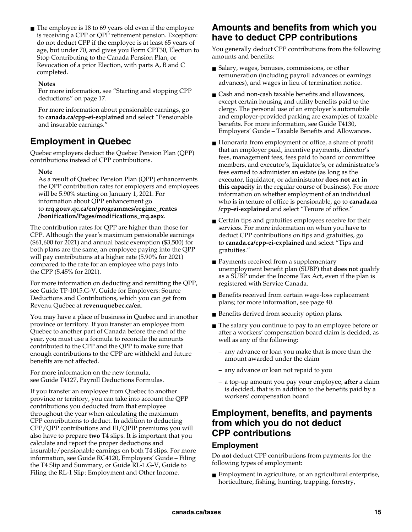■ The employee is 18 to 69 years old even if the employee is receiving a CPP or QPP retirement pension. Exception: do not deduct CPP if the employee is at least 65 years of age, but under 70, and gives you Form CPT30, Election to Stop Contributing to the Canada Pension Plan, or Revocation of a prior Election, with parts A, B and C completed.

#### **Notes**

For more information, see "Starting and stopping CPP deductions" on page 17.

For more information about pensionable earnings, go to **canada.ca/cpp-ei-explained** and select "Pensionable and insurable earnings."

### **Employment in Quebec**

Quebec employers deduct the Quebec Pension Plan (QPP) contributions instead of CPP contributions.

#### **Note**

As a result of Quebec Pension Plan (QPP) enhancements the QPP contribution rates for employers and employees will be 5.90% starting on January 1, 2021. For information about QPP enhancement go to **rrq.gouv.qc.ca/en/programmes/regime\_rentes /bonification/Pages/modifications\_rrq.aspx**.

The contribution rates for QPP are higher than those for CPP. Although the year's maximum pensionable earnings (\$61,600 for 2021) and annual basic exemption (\$3,500) for both plans are the same, an employee paying into the QPP will pay contributions at a higher rate (5.90% for 2021) compared to the rate for an employee who pays into the CPP (5.45% for 2021).

For more information on deducting and remitting the QPP, see Guide TP-1015.G-V, Guide for Employers: Source Deductions and Contributions, which you can get from Revenu Québec at **revenuquebec.ca/en**.

You may have a place of business in Quebec and in another province or territory. If you transfer an employee from Quebec to another part of Canada before the end of the year, you must use a formula to reconcile the amounts contributed to the CPP and the QPP to make sure that enough contributions to the CPP are withheld and future benefits are not affected.

For more information on the new formula, see Guide T4127, Payroll Deductions Formulas.

If you transfer an employee from Quebec to another province or territory, you can take into account the QPP contributions you deducted from that employee throughout the year when calculating the maximum CPP contributions to deduct. In addition to deducting CPP/QPP contributions and EI/QPIP premiums you will also have to prepare **two** T4 slips. It is important that you calculate and report the proper deductions and insurable/pensionable earnings on both T4 slips. For more information, see Guide RC4120, Employers' Guide – Filing the T4 Slip and Summary, or Guide RL-1.G-V, Guide to Filing the RL-1 Slip: Employment and Other Income.

### **Amounts and benefits from which you have to deduct CPP contributions**

You generally deduct CPP contributions from the following amounts and benefits:

- Salary, wages, bonuses, commissions, or other remuneration (including payroll advances or earnings advances), and wages in lieu of termination notice.
- Cash and non-cash taxable benefits and allowances, except certain housing and utility benefits paid to the clergy. The personal use of an employer's automobile and employer-provided parking are examples of taxable benefits. For more information, see Guide T4130, Employers' Guide – Taxable Benefits and Allowances.
- Honoraria from employment or office, a share of profit that an employer paid, incentive payments, director's fees, management fees, fees paid to board or committee members, and executor's, liquidator's, or administrator's fees earned to administer an estate (as long as the executor, liquidator, or administrator **does not act in this capacity** in the regular course of business). For more information on whether employment of an individual who is in tenure of office is pensionable, go to **canada.ca /cpp-ei-explained** and select "Tenure of office."
- Certain tips and gratuities employees receive for their services. For more information on when you have to deduct CPP contributions on tips and gratuities, go to **canada.ca/cpp-ei-explained** and select "Tips and gratuities."
- Payments received from a supplementary unemployment benefit plan (SUBP) that **does not** qualify as a SUBP under the Income Tax Act, even if the plan is registered with Service Canada.
- Benefits received from certain wage-loss replacement plans; for more information, see page 40.
- Benefits derived from security option plans.
- The salary you continue to pay to an employee before or after a workers' compensation board claim is decided, as well as any of the following:
	- any advance or loan you make that is more than the amount awarded under the claim
	- any advance or loan not repaid to you
	- a top-up amount you pay your employee, **after** a claim is decided, that is in addition to the benefits paid by a workers' compensation board

### **Employment, benefits, and payments from which you do not deduct CPP contributions**

### **Employment**

Do **not** deduct CPP contributions from payments for the following types of employment:

■ Employment in agriculture, or an agricultural enterprise, horticulture, fishing, hunting, trapping, forestry,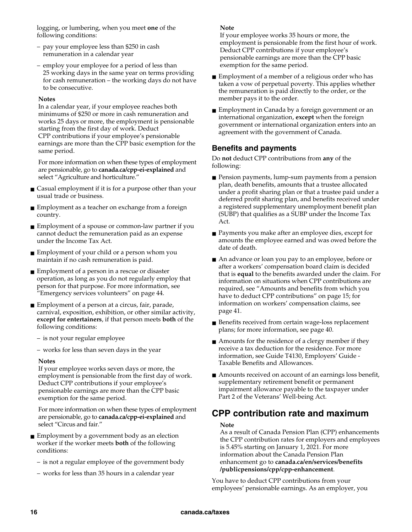logging, or lumbering, when you meet **one** of the following conditions:

- pay your employee less than \$250 in cash remuneration in a calendar year
- employ your employee for a period of less than 25 working days in the same year on terms providing for cash remuneration – the working days do not have to be consecutive.

#### **Notes**

In a calendar year, if your employee reaches both minimums of \$250 or more in cash remuneration and works 25 days or more, the employment is pensionable starting from the first day of work. Deduct CPP contributions if your employee's pensionable earnings are more than the CPP basic exemption for the same period.

For more information on when these types of employment are pensionable, go to **canada.ca/cpp-ei-explained** and select "Agriculture and horticulture."

- Casual employment if it is for a purpose other than your usual trade or business.
- Employment as a teacher on exchange from a foreign country.
- Employment of a spouse or common-law partner if you cannot deduct the remuneration paid as an expense under the Income Tax Act.
- Employment of your child or a person whom you maintain if no cash remuneration is paid.
- Employment of a person in a rescue or disaster operation, as long as you do not regularly employ that person for that purpose. For more information, see "Emergency services volunteers" on page 44.
- Employment of a person at a circus, fair, parade, carnival, exposition, exhibition, or other similar activity, **except for entertainers**, if that person meets **both** of the following conditions:
	- is not your regular employee
	- works for less than seven days in the year

#### **Notes**

If your employee works seven days or more, the employment is pensionable from the first day of work. Deduct CPP contributions if your employee's pensionable earnings are more than the CPP basic exemption for the same period.

For more information on when these types of employment are pensionable, go to **canada.ca/cpp-ei-explained** and select "Circus and fair."

- Employment by a government body as an election worker if the worker meets **both** of the following conditions:
	- is not a regular employee of the government body
	- works for less than 35 hours in a calendar year

#### **Note**

If your employee works 35 hours or more, the employment is pensionable from the first hour of work. Deduct CPP contributions if your employee's pensionable earnings are more than the CPP basic exemption for the same period.

- Employment of a member of a religious order who has taken a vow of perpetual poverty. This applies whether the remuneration is paid directly to the order, or the member pays it to the order.
- Employment in Canada by a foreign government or an international organization, **except** when the foreign government or international organization enters into an agreement with the government of Canada.

### **Benefits and payments**

Do **not** deduct CPP contributions from **any** of the following:

- Pension payments, lump-sum payments from a pension plan, death benefits, amounts that a trustee allocated under a profit sharing plan or that a trustee paid under a deferred profit sharing plan, and benefits received under a registered supplementary unemployment benefit plan (SUBP) that qualifies as a SUBP under the Income Tax Act.
- Payments you make after an employee dies, except for amounts the employee earned and was owed before the date of death.
- An advance or loan you pay to an employee, before or after a workers' compensation board claim is decided that is **equal** to the benefits awarded under the claim. For information on situations when CPP contributions are required, see "Amounts and benefits from which you have to deduct CPP contributions" on page 15; for information on workers' compensation claims, see page 41.
- Benefits received from certain wage-loss replacement plans; for more information, see page 40.
- Amounts for the residence of a clergy member if they receive a tax deduction for the residence. For more information, see Guide T4130, Employers' Guide - Taxable Benefits and Allowances.
- Amounts received on account of an earnings loss benefit, supplementary retirement benefit or permanent impairment allowance payable to the taxpayer under Part 2 of the Veterans' Well-being Act.

### **CPP contribution rate and maximum**

#### **Note**

As a result of Canada Pension Plan (CPP) enhancements the CPP contribution rates for employers and employees is 5.45% starting on January 1, 2021. For more information about the Canada Pension Plan enhancement go to **canada.ca/en/services/benefits /publicpensions/cpp/cpp-enhancement**.

You have to deduct CPP contributions from your employees' pensionable earnings. As an employer, you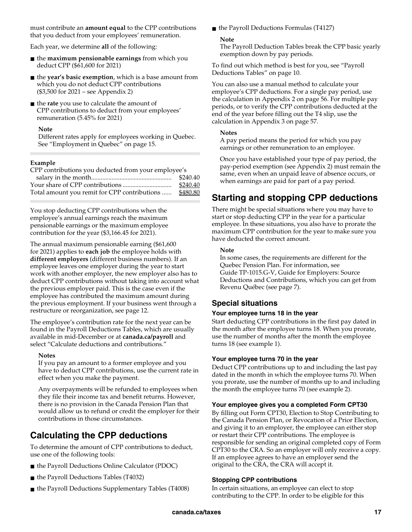must contribute an **amount equal** to the CPP contributions that you deduct from your employees' remuneration.

Each year, we determine **all** of the following:

- the **maximum pensionable earnings** from which you deduct CPP (\$61,600 for 2021)
- the **year's basic exemption**, which is a base amount from which you do not deduct CPP contributions (\$3,500 for 2021 – see Appendix 2)
- the **rate** you use to calculate the amount of CPP contributions to deduct from your employees' remuneration (5.45% for 2021)

### **Note**

Different rates apply for employees working in Quebec. See "Employment in Quebec" on page 15.

### **Example**

| CPP contributions you deducted from your employee's |
|-----------------------------------------------------|
| \$240.40                                            |
| \$240.40                                            |
| \$480.80                                            |
|                                                     |

You stop deducting CPP contributions when the employee's annual earnings reach the maximum pensionable earnings or the maximum employee contribution for the year (\$3,166.45 for 2021).

The annual maximum pensionable earning (\$61,600 for 2021) applies to **each job** the employee holds with **different employers** (different business numbers). If an employee leaves one employer during the year to start work with another employer, the new employer also has to deduct CPP contributions without taking into account what the previous employer paid. This is the case even if the employee has contributed the maximum amount during the previous employment. If your business went through a restructure or reorganization, see page 12.

The employee's contribution rate for the next year can be found in the Payroll Deductions Tables, which are usually available in mid-December or at **canada.ca/payroll** and select "Calculate deductions and contributions."

### **Notes**

If you pay an amount to a former employee and you have to deduct CPP contributions, use the current rate in effect when you make the payment.

Any overpayments will be refunded to employees when they file their income tax and benefit returns. However, there is no provision in the Canada Pension Plan that would allow us to refund or credit the employer for their contributions in those circumstances.

## **Calculating the CPP deductions**

To determine the amount of CPP contributions to deduct, use one of the following tools:

- the Payroll Deductions Online Calculator (PDOC)
- the Payroll Deductions Tables (T4032)
- the Payroll Deductions Supplementary Tables (T4008)

■ the Payroll Deductions Formulas (T4127)

### **Note**

The Payroll Deduction Tables break the CPP basic yearly exemption down by pay periods.

To find out which method is best for you, see "Payroll Deductions Tables" on page 10.

You can also use a manual method to calculate your employee's CPP deductions. For a single pay period, use the calculation in Appendix 2 on page 56. For multiple pay periods, or to verify the CPP contributions deducted at the end of the year before filling out the T4 slip, use the calculation in Appendix 3 on page 57.

#### **Notes**

A pay period means the period for which you pay earnings or other remuneration to an employee.

Once you have established your type of pay period, the pay-period exemption (see Appendix 2) must remain the same, even when an unpaid leave of absence occurs, or when earnings are paid for part of a pay period.

## **Starting and stopping CPP deductions**

There might be special situations where you may have to start or stop deducting CPP in the year for a particular employee. In these situations, you also have to prorate the maximum CPP contribution for the year to make sure you have deducted the correct amount.

#### **Note**

In some cases, the requirements are different for the Quebec Pension Plan. For information, see Guide TP-1015.G-V, Guide for Employers: Source Deductions and Contributions, which you can get from Revenu Québec (see page 7).

### **Special situations**

### **Your employee turns 18 in the year**

Start deducting CPP contributions in the first pay dated in the month after the employee turns 18. When you prorate, use the number of months after the month the employee turns 18 (see example 1).

### **Your employee turns 70 in the year**

Deduct CPP contributions up to and including the last pay dated in the month in which the employee turns 70. When you prorate, use the number of months up to and including the month the employee turns 70 (see example 2).

### **Your employee gives you a completed Form CPT30**

By filling out Form CPT30, Election to Stop Contributing to the Canada Pension Plan, or Revocation of a Prior Election, and giving it to an employer, the employee can either stop or restart their CPP contributions. The employee is responsible for sending an original completed copy of Form CPT30 to the CRA. So an employer will only receive a copy. If an employee agrees to have an employer send the original to the CRA, the CRA will accept it.

### **Stopping CPP contributions**

In certain situations, an employee can elect to stop contributing to the CPP. In order to be eligible for this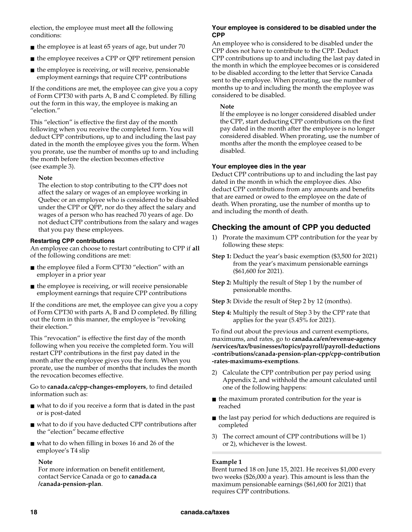election, the employee must meet **all** the following conditions:

- the employee is at least 65 years of age, but under 70
- the employee receives a CPP or QPP retirement pension
- the employee is receiving, or will receive, pensionable employment earnings that require CPP contributions

If the conditions are met, the employee can give you a copy of Form CPT30 with parts A, B and C completed. By filling out the form in this way, the employee is making an "election."

This "election" is effective the first day of the month following when you receive the completed form. You will deduct CPP contributions, up to and including the last pay dated in the month the employee gives you the form. When you prorate, use the number of months up to and including the month before the election becomes effective (see example 3).

#### **Note**

The election to stop contributing to the CPP does not affect the salary or wages of an employee working in Quebec or an employee who is considered to be disabled under the CPP or QPP, nor do they affect the salary and wages of a person who has reached 70 years of age. Do not deduct CPP contributions from the salary and wages that you pay these employees.

#### **Restarting CPP contributions**

An employee can choose to restart contributing to CPP if **all** of the following conditions are met:

- the employee filed a Form CPT30 "election" with an employer in a prior year
- the employee is receiving, or will receive pensionable employment earnings that require CPP contributions

If the conditions are met, the employee can give you a copy of Form CPT30 with parts A, B and D completed. By filling out the form in this manner, the employee is "revoking their election."

This "revocation" is effective the first day of the month following when you receive the completed form. You will restart CPP contributions in the first pay dated in the month after the employee gives you the form. When you prorate, use the number of months that includes the month the revocation becomes effective.

Go to **canada.ca/cpp-changes-employers**, to find detailed information such as:

- what to do if you receive a form that is dated in the past or is post-dated
- what to do if you have deducted CPP contributions after the "election" became effective
- what to do when filling in boxes 16 and 26 of the employee's T4 slip

#### **Note**

For more information on benefit entitlement, contact Service Canada or go to **canada.ca /canada-pension-plan**.

#### **Your employee is considered to be disabled under the CPP**

An employee who is considered to be disabled under the CPP does not have to contribute to the CPP. Deduct CPP contributions up to and including the last pay dated in the month in which the employee becomes or is considered to be disabled according to the letter that Service Canada sent to the employee. When prorating, use the number of months up to and including the month the employee was considered to be disabled.

#### **Note**

If the employee is no longer considered disabled under the CPP, start deducting CPP contributions on the first pay dated in the month after the employee is no longer considered disabled. When prorating, use the number of months after the month the employee ceased to be disabled.

### **Your employee dies in the year**

Deduct CPP contributions up to and including the last pay dated in the month in which the employee dies. Also deduct CPP contributions from any amounts and benefits that are earned or owed to the employee on the date of death. When prorating, use the number of months up to and including the month of death.

### **Checking the amount of CPP you deducted**

- 1) Prorate the maximum CPP contribution for the year by following these steps:
- **Step 1:** Deduct the year's basic exemption (\$3,500 for 2021) from the year's maximum pensionable earnings (\$61,600 for 2021).
- **Step 2:** Multiply the result of Step 1 by the number of pensionable months.
- **Step 3:** Divide the result of Step 2 by 12 (months).
- **Step 4:** Multiply the result of Step 3 by the CPP rate that applies for the year (5.45% for 2021).

To find out about the previous and current exemptions, maximums, and rates, go to **canada.ca/en/revenue-agency /services/tax/businesses/topics/payroll/payroll-deductions -contributions/canada-pension-plan-cpp/cpp-contribution -rates-maximums-exemptions**.

- 2) Calculate the CPP contribution per pay period using Appendix 2, and withhold the amount calculated until one of the following happens:
- the maximum prorated contribution for the year is reached
- the last pay period for which deductions are required is completed
- 3) The correct amount of CPP contributions will be 1) or 2), whichever is the lowest.

### **Example 1**

Brent turned 18 on June 15, 2021. He receives \$1,000 every two weeks (\$26,000 a year). This amount is less than the maximum pensionable earnings (\$61,600 for 2021) that requires CPP contributions.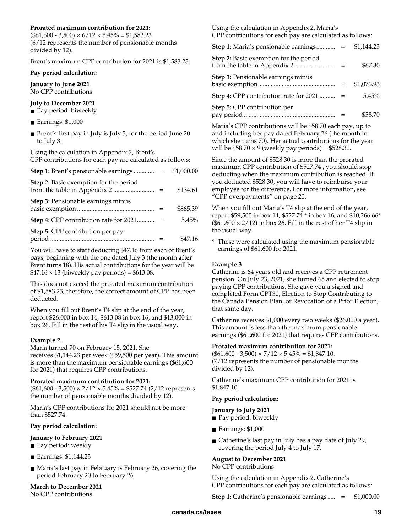### **Prorated maximum contribution for 2021:**

 $($ \$61,600 - 3,500)  $\times$  6/12  $\times$  5.45% = \$1,583.23 (6/12 represents the number of pensionable months divided by 12).

Brent's maximum CPP contribution for 2021 is \$1,583.23.

#### **Pay period calculation:**

**January to June 2021**  No CPP contributions

#### **July to December 2021**

- Pay period: biweekly
- Earnings: \$1,000
- Brent's first pay in July is July 3, for the period June 20 to July 3.

Using the calculation in Appendix 2, Brent's CPP contributions for each pay are calculated as follows:

|                                                 | \$1,000.00 |
|-------------------------------------------------|------------|
| <b>Step 2:</b> Basic exemption for the period   | \$134.61   |
| <b>Step 3: Pensionable earnings minus</b>       | \$865.39   |
| <b>Step 4: CPP contribution rate for 2021</b> = | 5.45%      |
| Step 5: CPP contribution per pay                | \$47.16    |

You will have to start deducting \$47.16 from each of Brent's pays, beginning with the one dated July 3 (the month **after** Brent turns 18). His actual contributions for the year will be  $$47.16 \times 13$  (biweekly pay periods) = \$613.08.

This does not exceed the prorated maximum contribution of \$1,583.23; therefore, the correct amount of CPP has been deducted.

When you fill out Brent's T4 slip at the end of the year, report \$26,000 in box 14, \$613.08 in box 16, and \$13,000 in box 26. Fill in the rest of his T4 slip in the usual way.

### **Example 2**

Maria turned 70 on February 15, 2021. She receives \$1,144.23 per week (\$59,500 per year). This amount is more than the maximum pensionable earnings (\$61,600 for 2021) that requires CPP contributions.

#### **Prorated maximum contribution for 2021:**

 $($61,600 - 3,500) \times 2/12 \times 5.45\% = $527.74 (2/12$  represents the number of pensionable months divided by 12).

Maria's CPP contributions for 2021 should not be more than \$527.74.

### **Pay period calculation:**

### **January to February 2021**

- Pay period: weekly
- Earnings: \$1,144.23
- Maria's last pay in February is February 26, covering the period February 20 to February 26

**March to December 2021**  No CPP contributions

Using the calculation in Appendix 2, Maria's CPP contributions for each pay are calculated as follows:

| <b>Step 1:</b> Maria's pensionable earnings     | \$1,144.23 |
|-------------------------------------------------|------------|
| <b>Step 2:</b> Basic exemption for the period   | \$67.30    |
| <b>Step 3: Pensionable earnings minus</b>       | \$1,076.93 |
| <b>Step 4:</b> CPP contribution rate for $2021$ | 5.45%      |
| Step 5: CPP contribution per                    | \$58.70    |

Maria's CPP contributions will be \$58.70 each pay, up to and including her pay dated February 26 (the month in which she turns 70). Her actual contributions for the year will be  $$58.70 \times 9$  (weekly pay periods) = \$528.30.

Since the amount of \$528.30 is more than the prorated maximum CPP contribution of \$527.74 , you should stop deducting when the maximum contribution is reached. If you deducted \$528.30, you will have to reimburse your employee for the difference. For more information, see "CPP overpayments" on page 20.

When you fill out Maria's T4 slip at the end of the year, report \$59,500 in box 14, \$527.74 \* in box 16, and \$10,266.66\*  $($61,600 \times 2/12)$  in box 26. Fill in the rest of her T4 slip in the usual way.

\* These were calculated using the maximum pensionable earnings of \$61,600 for 2021.

### **Example 3**

Catherine is 64 years old and receives a CPP retirement pension. On July 23, 2021, she turned 65 and elected to stop paying CPP contributions. She gave you a signed and completed Form CPT30, Election to Stop Contributing to the Canada Pension Plan, or Revocation of a Prior Election, that same day.

Catherine receives \$1,000 every two weeks (\$26,000 a year). This amount is less than the maximum pensionable earnings (\$61,600 for 2021) that requires CPP contributions.

#### **Prorated maximum contribution for 2021:**

 $($61,600 - 3,500) \times 7/12 \times 5.45\% = $1,847.10.$ (7/12 represents the number of pensionable months divided by 12).

Catherine's maximum CPP contribution for 2021 is \$1,847.10.

### **Pay period calculation:**

### **January to July 2021**

- Pay period: biweekly
- Earnings: \$1,000
- Catherine's last pay in July has a pay date of July 29, covering the period July 4 to July 17.

### **August to December 2021**

#### No CPP contributions

Using the calculation in Appendix 2, Catherine's CPP contributions for each pay are calculated as follows:

**Step 1:** Catherine's pensionable earnings..... = \$1,000.00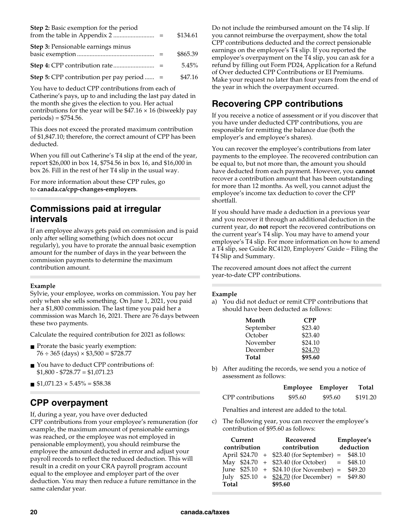| <b>Step 2:</b> Basic exemption for the period     | \$134.61 |
|---------------------------------------------------|----------|
| <b>Step 3:</b> Pensionable earnings minus         | \$865.39 |
|                                                   | $5.45\%$ |
| <b>Step 5:</b> CPP contribution per pay period  = | \$47.16  |

You have to deduct CPP contributions from each of Catherine's pays, up to and including the last pay dated in the month she gives the election to you. Her actual contributions for the year will be  $$47.16 \times 16$  (biweekly pay periods) = \$754.56.

This does not exceed the prorated maximum contribution of \$1,847.10; therefore, the correct amount of CPP has been deducted.

When you fill out Catherine's T4 slip at the end of the year, report \$26,000 in box 14, \$754.56 in box 16, and \$16,000 in box 26. Fill in the rest of her T4 slip in the usual way.

For more information about these CPP rules, go to **canada.ca/cpp-changes-employers**.

### **Commissions paid at irregular intervals**

If an employee always gets paid on commission and is paid only after selling something (which does not occur regularly), you have to prorate the annual basic exemption amount for the number of days in the year between the commission payments to determine the maximum contribution amount.

### **Example**

Sylvie, your employee, works on commission. You pay her only when she sells something. On June 1, 2021, you paid her a \$1,800 commission. The last time you paid her a commission was March 16, 2021. There are 76 days between these two payments.

Calculate the required contribution for 2021 as follows:

- Prorate the basic yearly exemption:  $76 \div 365$  (days)  $\times$  \$3,500 = \$728.77
- You have to deduct CPP contributions of:  $$1,800 - $728.77 = $1,071.23$
- $\blacksquare$  \$1,071.23  $\times$  5.45% = \$58.38

### **CPP overpayment**

If, during a year, you have over deducted

CPP contributions from your employee's remuneration (for example, the maximum amount of pensionable earnings was reached, or the employee was not employed in pensionable employment), you should reimburse the employee the amount deducted in error and adjust your payroll records to reflect the reduced deduction. This will result in a credit on your CRA payroll program account equal to the employee and employer part of the over deduction. You may then reduce a future remittance in the same calendar year.

Do not include the reimbursed amount on the T4 slip. If you cannot reimburse the overpayment, show the total CPP contributions deducted and the correct pensionable earnings on the employee's T4 slip. If you reported the employee's overpayment on the T4 slip, you can ask for a refund by filling out Form PD24, Application for a Refund of Over deducted CPP Contributions or EI Premiums. Make your request no later than four years from the end of the year in which the overpayment occurred.

## **Recovering CPP contributions**

If you receive a notice of assessment or if you discover that you have under deducted CPP contributions, you are responsible for remitting the balance due (both the employer's and employee's shares).

You can recover the employee's contributions from later payments to the employee. The recovered contribution can be equal to, but not more than, the amount you should have deducted from each payment. However, you **cannot** recover a contribution amount that has been outstanding for more than 12 months. As well, you cannot adjust the employee's income tax deduction to cover the CPP shortfall.

If you should have made a deduction in a previous year and you recover it through an additional deduction in the current year, do **not** report the recovered contributions on the current year's T4 slip. You may have to amend your employee's T4 slip. For more information on how to amend a T4 slip, see Guide RC4120, Employers' Guide – Filing the T4 Slip and Summary.

The recovered amount does not affect the current year-to-date CPP contributions.

### **Example**

a) You did not deduct or remit CPP contributions that should have been deducted as follows:

| Month     | <b>CPP</b> |
|-----------|------------|
| September | \$23.40    |
| October   | \$23.40    |
| November  | \$24.10    |
| December  | \$24.70    |
| Total     | \$95.60    |

b) After auditing the records, we send you a notice of assessment as follows:

|                   | Employee Employer |         | Total    |
|-------------------|-------------------|---------|----------|
| CPP contributions | \$95.60           | \$95.60 | \$191.20 |

Penalties and interest are added to the total.

c) The following year, you can recover the employee's contribution of \$95.60 as follows:

| Current<br>contribution | Recovered<br>contribution                         | Employee's<br>deduction |
|-------------------------|---------------------------------------------------|-------------------------|
|                         | April \$24.70 + \$23.40 (for September) = \$48.10 |                         |
|                         | May $$24.70 + $23.40$ (for October) = \$48.10     |                         |
|                         | June $$25.10 + $24.10$ (for November) = \$49.20   |                         |
|                         | July $$25.10 + $24.70$ (for December) = \$49.80   |                         |
| Total                   | \$95.60                                           |                         |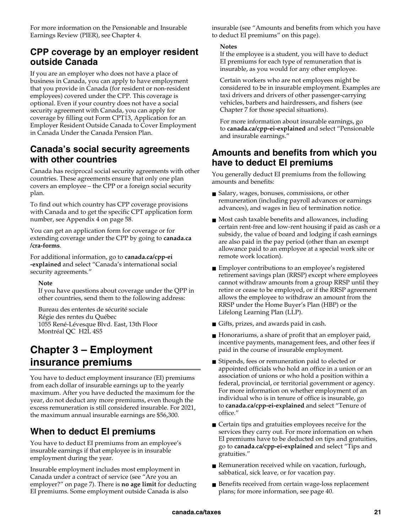For more information on the Pensionable and Insurable Earnings Review (PIER), see Chapter 4.

### **CPP coverage by an employer resident outside Canada**

If you are an employer who does not have a place of business in Canada, you can apply to have employment that you provide in Canada (for resident or non-resident employees) covered under the CPP. This coverage is optional. Even if your country does not have a social security agreement with Canada, you can apply for coverage by filling out Form CPT13, Application for an Employer Resident Outside Canada to Cover Employment in Canada Under the Canada Pension Plan.

### **Canada's social security agreements with other countries**

Canada has reciprocal social security agreements with other countries. These agreements ensure that only one plan covers an employee – the CPP or a foreign social security plan.

To find out which country has CPP coverage provisions with Canada and to get the specific CPT application form number, see Appendix 4 on page 58.

You can get an application form for coverage or for extending coverage under the CPP by going to **canada.ca /cra-forms**.

For additional information, go to **canada.ca/cpp-ei -explained** and select "Canada's international social security agreements."

### **Note**

If you have questions about coverage under the QPP in other countries, send them to the following address:

Bureau des ententes de sécurité sociale Régie des rentes du Québec 1055 René-Lévesque Blvd. East, 13th Floor Montréal QC H2L 4S5

## **Chapter 3 – Employment insurance premiums**

You have to deduct employment insurance (EI) premiums from each dollar of insurable earnings up to the yearly maximum. After you have deducted the maximum for the year, do not deduct any more premiums, even though the excess remuneration is still considered insurable. For 2021, the maximum annual insurable earnings are \$56,300.

## **When to deduct EI premiums**

You have to deduct EI premiums from an employee's insurable earnings if that employee is in insurable employment during the year.

Insurable employment includes most employment in Canada under a contract of service (see "Are you an employer?" on page 7). There is **no age limit** for deducting EI premiums. Some employment outside Canada is also

insurable (see "Amounts and benefits from which you have to deduct EI premiums" on this page).

### **Notes**

If the employee is a student, you will have to deduct EI premiums for each type of remuneration that is insurable, as you would for any other employee.

Certain workers who are not employees might be considered to be in insurable employment. Examples are taxi drivers and drivers of other passenger-carrying vehicles, barbers and hairdressers, and fishers (see Chapter 7 for those special situations).

For more information about insurable earnings, go to **canada.ca/cpp-ei-explained** and select "Pensionable and insurable earnings."

### **Amounts and benefits from which you have to deduct EI premiums**

You generally deduct EI premiums from the following amounts and benefits:

- Salary, wages, bonuses, commissions, or other remuneration (including payroll advances or earnings advances), and wages in lieu of termination notice.
- Most cash taxable benefits and allowances, including certain rent-free and low-rent housing if paid as cash or a subsidy, the value of board and lodging if cash earnings are also paid in the pay period (other than an exempt allowance paid to an employee at a special work site or remote work location).
- Employer contributions to an employee's registered retirement savings plan (RRSP) except where employees cannot withdraw amounts from a group RRSP until they retire or cease to be employed, or if the RRSP agreement allows the employee to withdraw an amount from the RRSP under the Home Buyer's Plan (HBP) or the Lifelong Learning Plan (LLP).
- Gifts, prizes, and awards paid in cash.
- Honorariums, a share of profit that an employer paid, incentive payments, management fees, and other fees if paid in the course of insurable employment.
- Stipends, fees or remuneration paid to elected or appointed officials who hold an office in a union or an association of unions or who hold a position within a federal, provincial, or territorial government or agency. For more information on whether employment of an individual who is in tenure of office is insurable, go to **canada.ca/cpp-ei-explained** and select "Tenure of office."
- Certain tips and gratuities employees receive for the services they carry out. For more information on when EI premiums have to be deducted on tips and gratuities, go to **canada.ca/cpp-ei-explained** and select "Tips and gratuities."
- Remuneration received while on vacation, furlough, sabbatical, sick leave, or for vacation pay.
- Benefits received from certain wage-loss replacement plans; for more information, see page 40.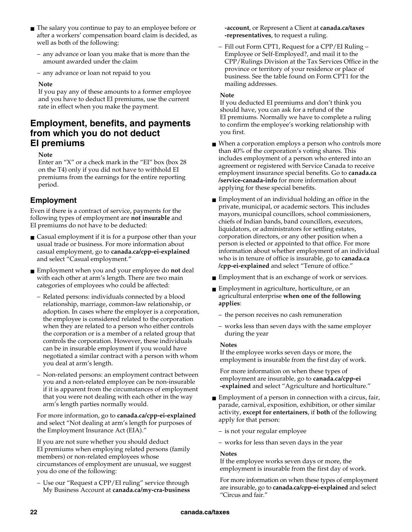- The salary you continue to pay to an employee before or after a workers' compensation board claim is decided, as well as both of the following:
	- any advance or loan you make that is more than the amount awarded under the claim
	- any advance or loan not repaid to you

#### **Note**

If you pay any of these amounts to a former employee and you have to deduct EI premiums, use the current rate in effect when you make the payment.

### **Employment, benefits, and payments from which you do not deduct EI premiums**

### **Note**

Enter an "X" or a check mark in the "EI" box (box 28 on the T4) only if you did not have to withhold EI premiums from the earnings for the entire reporting period.

### **Employment**

Even if there is a contract of service, payments for the following types of employment are **not insurable** and EI premiums do not have to be deducted:

- Casual employment if it is for a purpose other than your usual trade or business. For more information about casual employment, go to **canada.ca/cpp-ei-explained**  and select "Casual employment."
- Employment when you and your employee do **not** deal with each other at arm's length. There are two main categories of employees who could be affected:
	- Related persons: individuals connected by a blood relationship, marriage, common-law relationship, or adoption. In cases where the employer is a corporation, the employee is considered related to the corporation when they are related to a person who either controls the corporation or is a member of a related group that controls the corporation. However, these individuals can be in insurable employment if you would have negotiated a similar contract with a person with whom you deal at arm's length.
	- Non-related persons: an employment contract between you and a non-related employee can be non-insurable if it is apparent from the circumstances of employment that you were not dealing with each other in the way arm's length parties normally would.

For more information, go to **canada.ca/cpp-ei-explained**  and select "Not dealing at arm's length for purposes of the Employment Insurance Act (EIA)."

If you are not sure whether you should deduct EI premiums when employing related persons (family members) or non-related employees whose circumstances of employment are unusual, we suggest you do one of the following:

– Use our "Request a CPP/EI ruling" service through My Business Account at **canada.ca/my-cra-business**  **-account**, or Represent a Client at **canada.ca/taxes -representatives**, to request a ruling.

– Fill out Form CPT1, Request for a CPP/EI Ruling – Employee or Self-Employed?, and mail it to the CPP/Rulings Division at the Tax Services Office in the province or territory of your residence or place of business. See the table found on Form CPT1 for the mailing addresses.

#### **Note**

If you deducted EI premiums and don't think you should have, you can ask for a refund of the EI premiums. Normally we have to complete a ruling to confirm the employee's working relationship with you first.

- When a corporation employs a person who controls more than 40% of the corporation's voting shares. This includes employment of a person who entered into an agreement or registered with Service Canada to receive employment insurance special benefits. Go to **canada.ca /service-canada-info** for more information about applying for these special benefits.
- Employment of an individual holding an office in the private, municipal, or academic sectors. This includes mayors, municipal councillors, school commissioners, chiefs of Indian bands, band councillors, executors, liquidators, or administrators for settling estates, corporation directors, or any other position when a person is elected or appointed to that office. For more information about whether employment of an individual who is in tenure of office is insurable, go to **canada.ca /cpp-ei-explained** and select "Tenure of office."
- Employment that is an exchange of work or services.
- Employment in agriculture, horticulture, or an agricultural enterprise **when one of the following applies**:
	- the person receives no cash remuneration
	- works less than seven days with the same employer during the year

### **Notes**

If the employee works seven days or more, the employment is insurable from the first day of work.

For more information on when these types of employment are insurable, go to **canada.ca/cpp-ei -explained** and select "Agriculture and horticulture."

- Employment of a person in connection with a circus, fair, parade, carnival, exposition, exhibition, or other similar activity, **except for entertainers**, if **both** of the following apply for that person:
	- is not your regular employee
	- works for less than seven days in the year

#### **Notes**

If the employee works seven days or more, the employment is insurable from the first day of work.

For more information on when these types of employment are insurable, go to **canada.ca/cpp-ei-explained** and select "Circus and fair."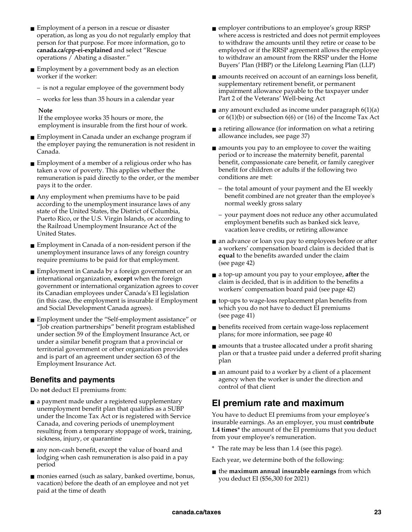- Employment of a person in a rescue or disaster operation, as long as you do not regularly employ that person for that purpose. For more information, go to **canada.ca/cpp-ei-explained** and select "Rescue operations / Abating a disaster."
- Employment by a government body as an election worker if the worker:
	- is not a regular employee of the government body
	- works for less than 35 hours in a calendar year

#### **Note**

If the employee works 35 hours or more, the employment is insurable from the first hour of work.

- Employment in Canada under an exchange program if the employer paying the remuneration is not resident in Canada.
- Employment of a member of a religious order who has taken a vow of poverty. This applies whether the remuneration is paid directly to the order, or the member pays it to the order.
- Any employment when premiums have to be paid according to the unemployment insurance laws of any state of the United States, the District of Columbia, Puerto Rico, or the U.S. Virgin Islands, or according to the Railroad Unemployment Insurance Act of the United States.
- Employment in Canada of a non-resident person if the unemployment insurance laws of any foreign country require premiums to be paid for that employment.
- Employment in Canada by a foreign government or an international organization, **except** when the foreign government or international organization agrees to cover its Canadian employees under Canada's EI legislation (in this case, the employment is insurable if Employment and Social Development Canada agrees).
- Employment under the "Self-employment assistance" or "Job creation partnerships" benefit program established under section 59 of the Employment Insurance Act, or under a similar benefit program that a provincial or territorial government or other organization provides and is part of an agreement under section 63 of the Employment Insurance Act.

### **Benefits and payments**

Do **not** deduct EI premiums from:

- a payment made under a registered supplementary unemployment benefit plan that qualifies as a SUBP under the Income Tax Act or is registered with Service Canada, and covering periods of unemployment resulting from a temporary stoppage of work, training, sickness, injury, or quarantine
- any non-cash benefit, except the value of board and lodging when cash remuneration is also paid in a pay period
- monies earned (such as salary, banked overtime, bonus, vacation) before the death of an employee and not yet paid at the time of death
- employer contributions to an employee's group RRSP where access is restricted and does not permit employees to withdraw the amounts until they retire or cease to be employed or if the RRSP agreement allows the employee to withdraw an amount from the RRSP under the Home Buyers' Plan (HBP) or the Lifelong Learning Plan (LLP)
- amounts received on account of an earnings loss benefit, supplementary retirement benefit, or permanent impairment allowance payable to the taxpayer under Part 2 of the Veterans' Well-being Act
- $\blacksquare$  any amount excluded as income under paragraph  $6(1)(a)$ or 6(1)(b) or subsection 6(6) or (16) of the Income Tax Act
- a retiring allowance (for information on what a retiring allowance includes, see page 37)
- amounts you pay to an employee to cover the waiting period or to increase the maternity benefit, parental benefit, compassionate care benefit, or family caregiver benefit for children or adults if the following two conditions are met:
	- the total amount of your payment and the EI weekly benefit combined are not greater than the employee's normal weekly gross salary
	- your payment does not reduce any other accumulated employment benefits such as banked sick leave, vacation leave credits, or retiring allowance
- an advance or loan you pay to employees before or after a workers' compensation board claim is decided that is **equal** to the benefits awarded under the claim (see page 42)
- a top-up amount you pay to your employee, **after** the claim is decided, that is in addition to the benefits a workers' compensation board paid (see page 42)
- top-ups to wage-loss replacement plan benefits from which you do not have to deduct EI premiums (see page 41)
- benefits received from certain wage-loss replacement plans; for more information, see page 40
- amounts that a trustee allocated under a profit sharing plan or that a trustee paid under a deferred profit sharing plan
- an amount paid to a worker by a client of a placement agency when the worker is under the direction and control of that client

## **EI premium rate and maximum**

You have to deduct EI premiums from your employee's insurable earnings. As an employer, you must **contribute 1.4 times**\* the amount of the EI premiums that you deduct from your employee's remuneration.

\* The rate may be less than 1.4 (see this page).

Each year, we determine both of the following:

■ the **maximum annual insurable earnings** from which you deduct EI (\$56,300 for 2021)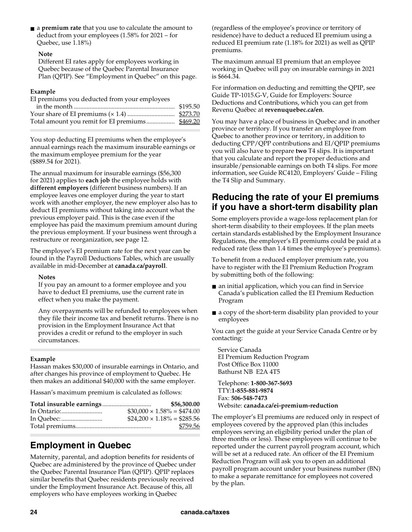■ a **premium rate** that you use to calculate the amount to deduct from your employees (1.58% for 2021 – for Quebec, use 1.18%)

#### **Note**

Different EI rates apply for employees working in Quebec because of the Quebec Parental Insurance Plan (QPIP). See "Employment in Quebec" on this page.

### **Example**

| EI premiums you deducted from your employees |  |  |
|----------------------------------------------|--|--|
|                                              |  |  |
|                                              |  |  |
|                                              |  |  |

You stop deducting EI premiums when the employee's annual earnings reach the maximum insurable earnings or the maximum employee premium for the year (\$889.54 for 2021).

The annual maximum for insurable earnings (\$56,300 for 2021) applies to **each job** the employee holds with **different employers** (different business numbers). If an employee leaves one employer during the year to start work with another employer, the new employer also has to deduct EI premiums without taking into account what the previous employer paid. This is the case even if the employee has paid the maximum premium amount during the previous employment. If your business went through a restructure or reorganization, see page 12.

The employee's EI premium rate for the next year can be found in the Payroll Deductions Tables, which are usually available in mid-December at **canada.ca/payroll**.

### **Notes**

If you pay an amount to a former employee and you have to deduct EI premiums, use the current rate in effect when you make the payment.

Any overpayments will be refunded to employees when they file their income tax and benefit returns. There is no provision in the Employment Insurance Act that provides a credit or refund to the employer in such circumstances.

### **Example**

Hassan makes \$30,000 of insurable earnings in Ontario, and after changes his province of employment to Quebec. He then makes an additional \$40,000 with the same employer.

Hassan's maximum premium is calculated as follows:

|  | \$56,300.00                       |
|--|-----------------------------------|
|  | $$30.000 \times 1.58\% = $474.00$ |
|  | $$24.200 \times 1.18\% = $285.56$ |
|  | \$759.56                          |

## **Employment in Quebec**

Maternity, parental, and adoption benefits for residents of Quebec are administered by the province of Quebec under the Quebec Parental Insurance Plan (QPIP). QPIP replaces similar benefits that Quebec residents previously received under the Employment Insurance Act. Because of this, all employers who have employees working in Quebec

(regardless of the employee's province or territory of residence) have to deduct a reduced EI premium using a reduced EI premium rate (1.18% for 2021) as well as QPIP premiums.

The maximum annual EI premium that an employee working in Quebec will pay on insurable earnings in 2021 is \$664.34.

For information on deducting and remitting the QPIP, see Guide TP-1015.G-V, Guide for Employers: Source Deductions and Contributions, which you can get from Revenu Québec at **revenuquebec.ca/en**.

You may have a place of business in Quebec and in another province or territory. If you transfer an employee from Quebec to another province or territory, in addition to deducting CPP/QPP contributions and EI/QPIP premiums you will also have to prepare **two** T4 slips. It is important that you calculate and report the proper deductions and insurable/pensionable earnings on both T4 slips. For more information, see Guide RC4120, Employers' Guide – Filing the T4 Slip and Summary.

### **Reducing the rate of your EI premiums if you have a short-term disability plan**

Some employers provide a wage-loss replacement plan for short-term disability to their employees. If the plan meets certain standards established by the Employment Insurance Regulations, the employer's EI premiums could be paid at a reduced rate (less than 1.4 times the employee's premiums).

To benefit from a reduced employer premium rate, you have to register with the EI Premium Reduction Program by submitting both of the following:

- an initial application, which you can find in Service Canada's publication called the EI Premium Reduction Program
- a copy of the short-term disability plan provided to your employees

You can get the guide at your Service Canada Centre or by contacting:

Service Canada EI Premium Reduction Program Post Office Box 11000 Bathurst NB E2A 4T5

Telephone: **1-800-367-5693**  TTY:**1-855-881-9874**  Fax: **506-548-7473**  Website: **canada.ca/ei-premium-reduction**

The employer's EI premiums are reduced only in respect of employees covered by the approved plan (this includes employees serving an eligibility period under the plan of three months or less). These employees will continue to be reported under the current payroll program account, which will be set at a reduced rate. An officer of the EI Premium Reduction Program will ask you to open an additional payroll program account under your business number (BN) to make a separate remittance for employees not covered by the plan.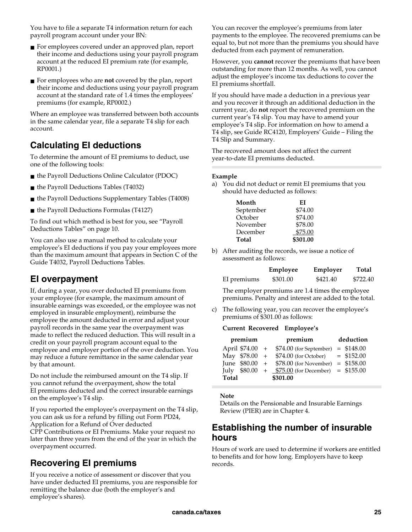You have to file a separate T4 information return for each payroll program account under your BN:

- For employees covered under an approved plan, report their income and deductions using your payroll program account at the reduced EI premium rate (for example, RP0001.)
- For employees who are **not** covered by the plan, report their income and deductions using your payroll program account at the standard rate of 1.4 times the employees' premiums (for example, RP0002.)

Where an employee was transferred between both accounts in the same calendar year, file a separate T4 slip for each account.

## **Calculating EI deductions**

To determine the amount of EI premiums to deduct, use one of the following tools:

- the Payroll Deductions Online Calculator (PDOC)
- the Payroll Deductions Tables (T4032)
- the Payroll Deductions Supplementary Tables (T4008)
- the Payroll Deductions Formulas (T4127)

To find out which method is best for you, see "Payroll Deductions Tables" on page 10.

You can also use a manual method to calculate your employee's EI deductions if you pay your employees more than the maximum amount that appears in Section C of the Guide T4032, Payroll Deductions Tables.

## **EI overpayment**

If, during a year, you over deducted EI premiums from your employee (for example, the maximum amount of insurable earnings was exceeded, or the employee was not employed in insurable employment), reimburse the employee the amount deducted in error and adjust your payroll records in the same year the overpayment was made to reflect the reduced deduction. This will result in a credit on your payroll program account equal to the employee and employer portion of the over deduction. You may reduce a future remittance in the same calendar year by that amount.

Do not include the reimbursed amount on the T4 slip. If you cannot refund the overpayment, show the total EI premiums deducted and the correct insurable earnings on the employee's T4 slip.

If you reported the employee's overpayment on the T4 slip, you can ask us for a refund by filling out Form PD24, Application for a Refund of Over deducted CPP Contributions or EI Premiums. Make your request no

later than three years from the end of the year in which the overpayment occurred.

## **Recovering EI premiums**

If you receive a notice of assessment or discover that you have under deducted EI premiums, you are responsible for remitting the balance due (both the employer's and employee's shares).

You can recover the employee's premiums from later payments to the employee. The recovered premiums can be equal to, but not more than the premiums you should have deducted from each payment of remuneration.

However, you **cannot** recover the premiums that have been outstanding for more than 12 months. As well, you cannot adjust the employee's income tax deductions to cover the EI premiums shortfall.

If you should have made a deduction in a previous year and you recover it through an additional deduction in the current year, do **not** report the recovered premium on the current year's T4 slip. You may have to amend your employee's T4 slip. For information on how to amend a T4 slip, see Guide RC4120, Employers' Guide – Filing the T4 Slip and Summary.

The recovered amount does not affect the current year-to-date EI premiums deducted.

### **Example**

a) You did not deduct or remit EI premiums that you should have deducted as follows:

| Month     | ЕI       |
|-----------|----------|
| September | \$74.00  |
| October   | \$74.00  |
| November  | \$78.00  |
| December  | \$75.00  |
| Total     | \$301.00 |

b) After auditing the records, we issue a notice of assessment as follows:

|             | Employee | Employer | Total    |
|-------------|----------|----------|----------|
| EI premiums | \$301.00 | \$421.40 | \$722.40 |

The employer premiums are 1.4 times the employee premiums. Penalty and interest are added to the total.

c) The following year, you can recover the employee's premiums of \$301.00 as follows:

### **Current Recovered Employee's**

| premium |  | premium                                          |  | deduction    |  |
|---------|--|--------------------------------------------------|--|--------------|--|
|         |  | April $$74.00 + $74.00$ (for September)          |  | $=$ \$148.00 |  |
|         |  | May $$78.00 + $74.00$ (for October)              |  | $=$ \$152.00 |  |
|         |  | June $$80.00 + $78.00$ (for November) = \$158.00 |  |              |  |
|         |  | July $$80.00 + $75.00$ (for December) = \$155.00 |  |              |  |
| Total   |  | \$301.00                                         |  |              |  |

#### **Note**

Details on the Pensionable and Insurable Earnings Review (PIER) are in Chapter 4.

### **Establishing the number of insurable hours**

Hours of work are used to determine if workers are entitled to benefits and for how long. Employers have to keep records.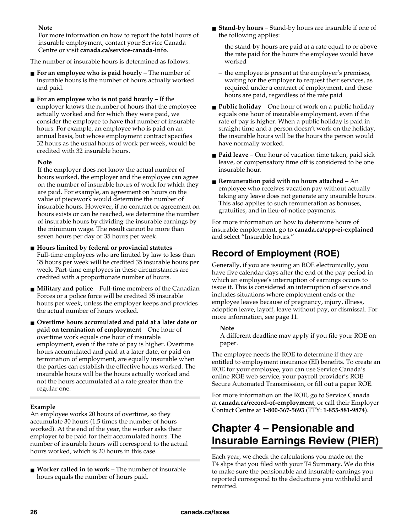### **Note**

For more information on how to report the total hours of insurable employment, contact your Service Canada Centre or visit **canada.ca/service-canada-info**.

The number of insurable hours is determined as follows:

- **For an employee who is paid hourly** The number of insurable hours is the number of hours actually worked and paid.
- **For an employee who is not paid hourly** If the employer knows the number of hours that the employee actually worked and for which they were paid, we consider the employee to have that number of insurable hours. For example, an employee who is paid on an annual basis, but whose employment contract specifies 32 hours as the usual hours of work per week, would be credited with 32 insurable hours.

### **Note**

If the employer does not know the actual number of hours worked, the employer and the employee can agree on the number of insurable hours of work for which they are paid. For example, an agreement on hours on the value of piecework would determine the number of insurable hours. However, if no contract or agreement on hours exists or can be reached, we determine the number of insurable hours by dividing the insurable earnings by the minimum wage. The result cannot be more than seven hours per day or 35 hours per week.

- **Hours limited by federal or provincial statutes** Full-time employees who are limited by law to less than 35 hours per week will be credited 35 insurable hours per week. Part-time employees in these circumstances are credited with a proportionate number of hours.
- **Military and police** Full-time members of the Canadian Forces or a police force will be credited 35 insurable hours per week, unless the employer keeps and provides the actual number of hours worked.
- Overtime hours accumulated and paid at a later date or **paid on termination of employment** – One hour of overtime work equals one hour of insurable employment, even if the rate of pay is higher. Overtime hours accumulated and paid at a later date, or paid on termination of employment, are equally insurable when the parties can establish the effective hours worked. The insurable hours will be the hours actually worked and not the hours accumulated at a rate greater than the regular one.

### **Example**

An employee works 20 hours of overtime, so they accumulate 30 hours (1.5 times the number of hours worked). At the end of the year, the worker asks their employer to be paid for their accumulated hours. The number of insurable hours will correspond to the actual hours worked, which is 20 hours in this case.

■ **Worker called in to work** – The number of insurable hours equals the number of hours paid.

- **Stand-by hours** Stand-by hours are insurable if one of the following applies:
	- the stand-by hours are paid at a rate equal to or above the rate paid for the hours the employee would have worked
	- the employee is present at the employer's premises, waiting for the employer to request their services, as required under a contract of employment, and these hours are paid, regardless of the rate paid
- **Public holiday** One hour of work on a public holiday equals one hour of insurable employment, even if the rate of pay is higher. When a public holiday is paid in straight time and a person doesn't work on the holiday, the insurable hours will be the hours the person would have normally worked.
- **Paid leave** One hour of vacation time taken, paid sick leave, or compensatory time off is considered to be one insurable hour.
- **Remuneration paid with no hours attached** An employee who receives vacation pay without actually taking any leave does not generate any insurable hours. This also applies to such remuneration as bonuses, gratuities, and in lieu-of-notice payments.

For more information on how to determine hours of insurable employment, go to **canada.ca/cpp-ei-explained**  and select "Insurable hours."

## **Record of Employment (ROE)**

Generally, if you are issuing an ROE electronically, you have five calendar days after the end of the pay period in which an employee's interruption of earnings occurs to issue it. This is considered an interruption of service and includes situations where employment ends or the employee leaves because of pregnancy, injury, illness, adoption leave, layoff, leave without pay, or dismissal. For more information, see page 11.

### **Note**

A different deadline may apply if you file your ROE on paper.

The employee needs the ROE to determine if they are entitled to employment insurance (EI) benefits. To create an ROE for your employee, you can use Service Canada's online ROE web service, your payroll provider's ROE Secure Automated Transmission, or fill out a paper ROE.

For more information on the ROE, go to Service Canada at **canada.ca/record-of-employment**, or call their Employer Contact Centre at **1-800-367-5693** (TTY: **1-855-881-9874**).

## **Chapter 4 – Pensionable and Insurable Earnings Review (PIER)**

Each year, we check the calculations you made on the T4 slips that you filed with your T4 Summary. We do this to make sure the pensionable and insurable earnings you reported correspond to the deductions you withheld and remitted.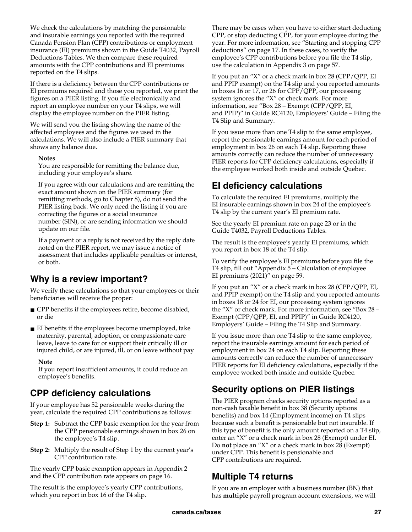We check the calculations by matching the pensionable and insurable earnings you reported with the required Canada Pension Plan (CPP) contributions or employment insurance (EI) premiums shown in the Guide T4032, Payroll Deductions Tables. We then compare these required amounts with the CPP contributions and EI premiums reported on the T4 slips.

If there is a deficiency between the CPP contributions or EI premiums required and those you reported, we print the figures on a PIER listing. If you file electronically and report an employee number on your T4 slips, we will display the employee number on the PIER listing.

We will send you the listing showing the name of the affected employees and the figures we used in the calculations. We will also include a PIER summary that shows any balance due.

#### **Notes**

You are responsible for remitting the balance due, including your employee's share.

If you agree with our calculations and are remitting the exact amount shown on the PIER summary (for remitting methods, go to Chapter 8), do not send the PIER listing back. We only need the listing if you are correcting the figures or a social insurance number (SIN), or are sending information we should update on our file.

If a payment or a reply is not received by the reply date noted on the PIER report, we may issue a notice of assessment that includes applicable penalties or interest, or both.

### **Why is a review important?**

We verify these calculations so that your employees or their beneficiaries will receive the proper:

- CPP benefits if the employees retire, become disabled, or die
- EI benefits if the employees become unemployed, take maternity, parental, adoption, or compassionate care leave, leave to care for or support their critically ill or injured child, or are injured, ill, or on leave without pay

#### **Note**

If you report insufficient amounts, it could reduce an employee's benefits.

### **CPP deficiency calculations**

If your employee has 52 pensionable weeks during the year, calculate the required CPP contributions as follows:

- **Step 1:** Subtract the CPP basic exemption for the year from the CPP pensionable earnings shown in box 26 on the employee's T4 slip.
- **Step 2:** Multiply the result of Step 1 by the current year's CPP contribution rate.

The yearly CPP basic exemption appears in Appendix 2 and the CPP contribution rate appears on page 16.

The result is the employee's yearly CPP contributions, which you report in box 16 of the T4 slip.

There may be cases when you have to either start deducting CPP, or stop deducting CPP, for your employee during the year. For more information, see "Starting and stopping CPP deductions" on page 17. In these cases, to verify the employee's CPP contributions before you file the T4 slip, use the calculation in Appendix 3 on page 57.

If you put an "X" or a check mark in box 28 (CPP/QPP, EI and PPIP exempt) on the T4 slip and you reported amounts in boxes 16 or 17, or 26 for CPP/QPP, our processing system ignores the "X" or check mark. For more information, see "Box 28 – Exempt (CPP/QPP, EI, and PPIP)" in Guide RC4120, Employers' Guide – Filing the T4 Slip and Summary.

If you issue more than one T4 slip to the same employee, report the pensionable earnings amount for each period of employment in box 26 on each T4 slip. Reporting these amounts correctly can reduce the number of unnecessary PIER reports for CPP deficiency calculations, especially if the employee worked both inside and outside Quebec.

### **EI deficiency calculations**

To calculate the required EI premiums, multiply the EI insurable earnings shown in box 24 of the employee's T4 slip by the current year's EI premium rate.

See the yearly EI premium rate on page 23 or in the Guide T4032, Payroll Deductions Tables.

The result is the employee's yearly EI premiums, which you report in box 18 of the T4 slip.

To verify the employee's EI premiums before you file the T4 slip, fill out "Appendix 5 – Calculation of employee EI premiums (2021)" on page 59.

If you put an "X" or a check mark in box 28 (CPP/QPP, EI, and PPIP exempt) on the T4 slip and you reported amounts in boxes 18 or 24 for EI, our processing system ignores the "X" or check mark. For more information, see "Box 28 – Exempt (CPP/QPP, EI, and PPIP)" in Guide RC4120, Employers' Guide – Filing the T4 Slip and Summary.

If you issue more than one T4 slip to the same employee, report the insurable earnings amount for each period of employment in box 24 on each T4 slip. Reporting these amounts correctly can reduce the number of unnecessary PIER reports for EI deficiency calculations, especially if the employee worked both inside and outside Quebec.

## **Security options on PIER listings**

The PIER program checks security options reported as a non-cash taxable benefit in box 38 (Security options benefits) and box 14 (Employment income) on T4 slips because such a benefit is pensionable but not insurable. If this type of benefit is the only amount reported on a T4 slip, enter an "X" or a check mark in box 28 (Exempt) under EI. Do **not** place an "X" or a check mark in box 28 (Exempt) under CPP. This benefit is pensionable and CPP contributions are required.

### **Multiple T4 returns**

If you are an employer with a business number (BN) that has **multiple** payroll program account extensions, we will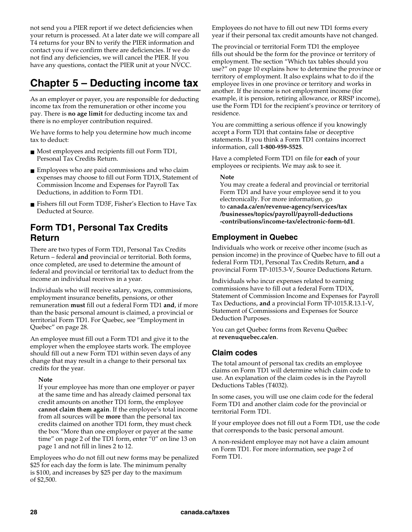not send you a PIER report if we detect deficiencies when your return is processed. At a later date we will compare all T4 returns for your BN to verify the PIER information and contact you if we confirm there are deficiencies. If we do not find any deficiencies, we will cancel the PIER. If you have any questions, contact the PIER unit at your NVCC.

## **Chapter 5 – Deducting income tax**

As an employer or payer, you are responsible for deducting income tax from the remuneration or other income you pay. There is **no age limit** for deducting income tax and there is no employer contribution required.

We have forms to help you determine how much income tax to deduct:

- Most employees and recipients fill out Form TD1, Personal Tax Credits Return.
- Employees who are paid commissions and who claim expenses may choose to fill out Form TD1X, Statement of Commission Income and Expenses for Payroll Tax Deductions, in addition to Form TD1.
- Fishers fill out Form TD3F, Fisher's Election to Have Tax Deducted at Source.

### **Form TD1, Personal Tax Credits Return**

There are two types of Form TD1, Personal Tax Credits Return – federal **and** provincial or territorial. Both forms, once completed, are used to determine the amount of federal and provincial or territorial tax to deduct from the income an individual receives in a year.

Individuals who will receive salary, wages, commissions, employment insurance benefits, pensions, or other remuneration **must** fill out a federal Form TD1 **and**, if more than the basic personal amount is claimed, a provincial or territorial Form TD1. For Quebec, see "Employment in Quebec" on page 28.

An employee must fill out a Form TD1 and give it to the employer when the employee starts work. The employee should fill out a new Form TD1 within seven days of any change that may result in a change to their personal tax credits for the year.

### **Note**

If your employee has more than one employer or payer at the same time and has already claimed personal tax credit amounts on another TD1 form, the employee **cannot claim them again**. If the employee's total income from all sources will be **more** than the personal tax credits claimed on another TD1 form, they must check the box "More than one employer or payer at the same time" on page 2 of the TD1 form, enter "0" on line 13 on page 1 and not fill in lines 2 to 12.

Employees who do not fill out new forms may be penalized \$25 for each day the form is late. The minimum penalty is \$100, and increases by \$25 per day to the maximum of \$2,500.

Employees do not have to fill out new TD1 forms every year if their personal tax credit amounts have not changed.

The provincial or territorial Form TD1 the employee fills out should be the form for the province or territory of employment. The section "Which tax tables should you use?" on page 10 explains how to determine the province or territory of employment. It also explains what to do if the employee lives in one province or territory and works in another. If the income is not employment income (for example, it is pension, retiring allowance, or RRSP income), use the Form TD1 for the recipient's province or territory of residence.

You are committing a serious offence if you knowingly accept a Form TD1 that contains false or deceptive statements. If you think a Form TD1 contains incorrect information, call **1-800-959-5525**.

Have a completed Form TD1 on file for **each** of your employees or recipients. We may ask to see it.

**Note** 

You may create a federal and provincial or territorial Form TD1 and have your employee send it to you electronically. For more information, go to **canada.ca/en/revenue-agency/services/tax /businesses/topics/payroll/payroll-deductions -contributions/income-tax/electronic-form-td1**.

### **Employment in Quebec**

Individuals who work or receive other income (such as pension income) in the province of Quebec have to fill out a federal Form TD1, Personal Tax Credits Return, **and** a provincial Form TP-1015.3-V, Source Deductions Return.

Individuals who incur expenses related to earning commissions have to fill out a federal Form TD1X, Statement of Commission Income and Expenses for Payroll Tax Deductions, **and** a provincial Form TP-1015.R.13.1-V, Statement of Commissions and Expenses for Source Deduction Purposes.

You can get Quebec forms from Revenu Québec at **revenuquebec.ca/en**.

### **Claim codes**

The total amount of personal tax credits an employee claims on Form TD1 will determine which claim code to use. An explanation of the claim codes is in the Payroll Deductions Tables (T4032).

In some cases, you will use one claim code for the federal Form TD1 and another claim code for the provincial or territorial Form TD1.

If your employee does not fill out a Form TD1, use the code that corresponds to the basic personal amount.

A non-resident employee may not have a claim amount on Form TD1. For more information, see page 2 of Form TD1.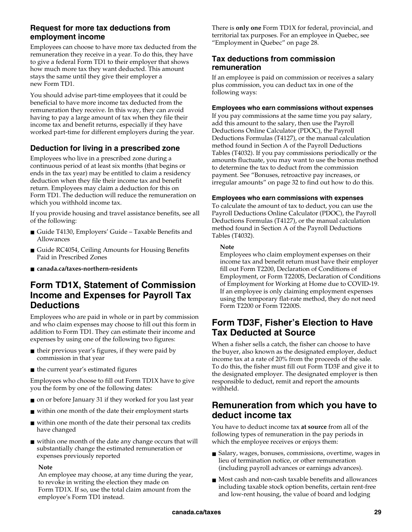### **Request for more tax deductions from employment income**

Employees can choose to have more tax deducted from the remuneration they receive in a year. To do this, they have to give a federal Form TD1 to their employer that shows how much more tax they want deducted. This amount stays the same until they give their employer a new Form TD1.

You should advise part-time employees that it could be beneficial to have more income tax deducted from the remuneration they receive. In this way, they can avoid having to pay a large amount of tax when they file their income tax and benefit returns, especially if they have worked part-time for different employers during the year.

### **Deduction for living in a prescribed zone**

Employees who live in a prescribed zone during a continuous period of at least six months (that begins or ends in the tax year) may be entitled to claim a residency deduction when they file their income tax and benefit return. Employees may claim a deduction for this on Form TD1. The deduction will reduce the remuneration on which you withhold income tax.

If you provide housing and travel assistance benefits, see all of the following:

- Guide T4130, Employers' Guide Taxable Benefits and Allowances
- Guide RC4054, Ceiling Amounts for Housing Benefits Paid in Prescribed Zones
- **canada.ca/taxes-northern-residents**

### **Form TD1X, Statement of Commission Income and Expenses for Payroll Tax Deductions**

Employees who are paid in whole or in part by commission and who claim expenses may choose to fill out this form in addition to Form TD1. They can estimate their income and expenses by using one of the following two figures:

- their previous year's figures, if they were paid by commission in that year
- the current year's estimated figures

Employees who choose to fill out Form TD1X have to give you the form by one of the following dates:

- on or before January 31 if they worked for you last year
- within one month of the date their employment starts
- within one month of the date their personal tax credits have changed
- within one month of the date any change occurs that will substantially change the estimated remuneration or expenses previously reported

### **Note**

An employee may choose, at any time during the year, to revoke in writing the election they made on Form TD1X. If so, use the total claim amount from the employee's Form TD1 instead.

There is **only one** Form TD1X for federal, provincial, and territorial tax purposes. For an employee in Quebec, see "Employment in Quebec" on page 28.

### **Tax deductions from commission remuneration**

If an employee is paid on commission or receives a salary plus commission, you can deduct tax in one of the following ways:

### **Employees who earn commissions without expenses**

If you pay commissions at the same time you pay salary, add this amount to the salary, then use the Payroll Deductions Online Calculator (PDOC), the Payroll Deductions Formulas (T4127), or the manual calculation method found in Section A of the Payroll Deductions Tables (T4032). If you pay commissions periodically or the amounts fluctuate, you may want to use the bonus method to determine the tax to deduct from the commission payment. See "Bonuses, retroactive pay increases, or irregular amounts" on page 32 to find out how to do this.

### **Employees who earn commissions with expenses**

To calculate the amount of tax to deduct, you can use the Payroll Deductions Online Calculator (PDOC), the Payroll Deductions Formulas (T4127), or the manual calculation method found in Section A of the Payroll Deductions Tables (T4032).

### **Note**

Employees who claim employment expenses on their income tax and benefit return must have their employer fill out Form T2200, Declaration of Conditions of Employment, or Form T2200S, Declaration of Conditions of Employment for Working at Home due to COVID-19. If an employee is only claiming employment expenses using the temporary flat-rate method, they do not need Form T2200 or Form T2200S.

### **Form TD3F, Fisher's Election to Have Tax Deducted at Source**

When a fisher sells a catch, the fisher can choose to have the buyer, also known as the designated employer, deduct income tax at a rate of 20% from the proceeds of the sale. To do this, the fisher must fill out Form TD3F and give it to the designated employer. The designated employer is then responsible to deduct, remit and report the amounts withheld.

### **Remuneration from which you have to deduct income tax**

You have to deduct income tax **at source** from all of the following types of remuneration in the pay periods in which the employee receives or enjoys them:

- Salary, wages, bonuses, commissions, overtime, wages in lieu of termination notice, or other remuneration (including payroll advances or earnings advances).
- Most cash and non-cash taxable benefits and allowances including taxable stock option benefits, certain rent-free and low-rent housing, the value of board and lodging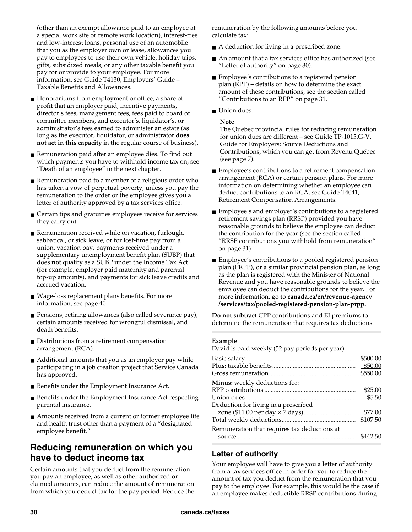(other than an exempt allowance paid to an employee at a special work site or remote work location), interest-free and low-interest loans, personal use of an automobile that you as the employer own or lease, allowances you pay to employees to use their own vehicle, holiday trips, gifts, subsidized meals, or any other taxable benefit you pay for or provide to your employee. For more information, see Guide T4130, Employers' Guide – Taxable Benefits and Allowances.

- Honorariums from employment or office, a share of profit that an employer paid, incentive payments, director's fees, management fees, fees paid to board or committee members, and executor's, liquidator's, or administrator's fees earned to administer an estate (as long as the executor, liquidator, or administrator **does not act in this capacity** in the regular course of business).
- Remuneration paid after an employee dies. To find out which payments you have to withhold income tax on, see "Death of an employee" in the next chapter.
- Remuneration paid to a member of a religious order who has taken a vow of perpetual poverty, unless you pay the remuneration to the order or the employee gives you a letter of authority approved by a tax services office.
- Certain tips and gratuities employees receive for services they carry out.
- Remuneration received while on vacation, furlough, sabbatical, or sick leave, or for lost-time pay from a union, vacation pay, payments received under a supplementary unemployment benefit plan (SUBP) that does **not** qualify as a SUBP under the Income Tax Act (for example, employer paid maternity and parental top-up amounts), and payments for sick leave credits and accrued vacation.
- Wage-loss replacement plans benefits. For more information, see page 40.
- Pensions, retiring allowances (also called severance pay), certain amounts received for wrongful dismissal, and death benefits.
- Distributions from a retirement compensation arrangement (RCA).
- Additional amounts that you as an employer pay while participating in a job creation project that Service Canada has approved.
- Benefits under the Employment Insurance Act.
- Benefits under the Employment Insurance Act respecting parental insurance.
- Amounts received from a current or former employee life and health trust other than a payment of a "designated employee benefit."

### **Reducing remuneration on which you have to deduct income tax**

Certain amounts that you deduct from the remuneration you pay an employee, as well as other authorized or claimed amounts, can reduce the amount of remuneration from which you deduct tax for the pay period. Reduce the remuneration by the following amounts before you calculate tax:

- A deduction for living in a prescribed zone.
- An amount that a tax services office has authorized (see "Letter of authority" on page 30).
- Employee's contributions to a registered pension plan (RPP) – details on how to determine the exact amount of these contributions, see the section called "Contributions to an RPP" on page 31.
- Union dues.

### **Note**

The Quebec provincial rules for reducing remuneration for union dues are different – see Guide TP-1015.G-V, Guide for Employers: Source Deductions and Contributions, which you can get from Revenu Québec (see page 7).

- Employee's contributions to a retirement compensation arrangement (RCA) or certain pension plans. For more information on determining whether an employee can deduct contributions to an RCA, see Guide T4041, Retirement Compensation Arrangements.
- Employee's and employer's contributions to a registered retirement savings plan (RRSP) provided you have reasonable grounds to believe the employee can deduct the contribution for the year (see the section called "RRSP contributions you withhold from remuneration" on page 31).
- Employee's contributions to a pooled registered pension plan (PRPP), or a similar provincial pension plan, as long as the plan is registered with the Minister of National Revenue and you have reasonable grounds to believe the employee can deduct the contributions for the year. For more information, go to **canada.ca/en/revenue-agency /services/tax/pooled-registered-pension-plan-prpp.**

**Do not subtract** CPP contributions and EI premiums to determine the remuneration that requires tax deductions.

#### **Example**

David is paid weekly (52 pay periods per year).

|                                              | \$500.00<br>\$50.00<br>\$550.00 |
|----------------------------------------------|---------------------------------|
| Minus: weekly deductions for:                |                                 |
|                                              | \$25.00                         |
|                                              | \$5.50                          |
| Deduction for living in a prescribed         |                                 |
|                                              |                                 |
|                                              | \$107.50                        |
| Remuneration that requires tax deductions at |                                 |
|                                              |                                 |

### **Letter of authority**

Your employee will have to give you a letter of authority from a tax services office in order for you to reduce the amount of tax you deduct from the remuneration that you pay to the employee. For example, this would be the case if an employee makes deductible RRSP contributions during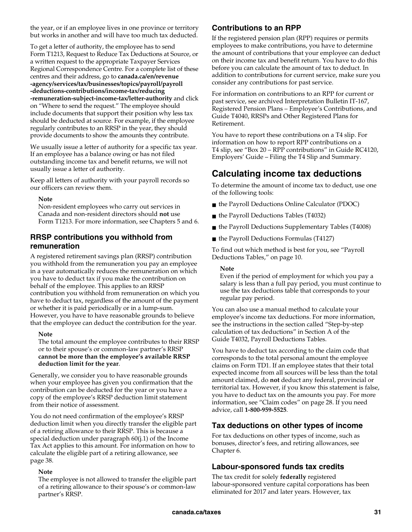the year, or if an employee lives in one province or territory but works in another and will have too much tax deducted.

To get a letter of authority, the employee has to send Form T1213, Request to Reduce Tax Deductions at Source, or a written request to the appropriate Taxpayer Services Regional Correspondence Centre. For a complete list of these centres and their address, go to **canada.ca/en/revenue -agency/services/tax/businesses/topics/payroll/payroll -deductions-contributions/income-tax/reducing -remuneration-subject-income-tax/letter-authority** and click on "Where to send the request." The employee should include documents that support their position why less tax should be deducted at source. For example, if the employee regularly contributes to an RRSP in the year, they should provide documents to show the amounts they contribute.

We usually issue a letter of authority for a specific tax year. If an employee has a balance owing or has not filed outstanding income tax and benefit returns, we will not usually issue a letter of authority.

Keep all letters of authority with your payroll records so our officers can review them.

#### **Note**

Non-resident employees who carry out services in Canada and non-resident directors should **not** use Form T1213. For more information, see Chapters 5 and 6.

### **RRSP contributions you withhold from remuneration**

A registered retirement savings plan (RRSP) contribution you withhold from the remuneration you pay an employee in a year automatically reduces the remuneration on which you have to deduct tax if you make the contribution on behalf of the employee. This applies to an RRSP contribution you withhold from remuneration on which you have to deduct tax, regardless of the amount of the payment or whether it is paid periodically or in a lump-sum. However, you have to have reasonable grounds to believe that the employee can deduct the contribution for the year.

#### **Note**

The total amount the employee contributes to their RRSP or to their spouse's or common-law partner's RRSP **cannot be more than the employee's available RRSP deduction limit for the year**.

Generally, we consider you to have reasonable grounds when your employee has given you confirmation that the contribution can be deducted for the year or you have a copy of the employee's RRSP deduction limit statement from their notice of assessment.

You do not need confirmation of the employee's RRSP deduction limit when you directly transfer the eligible part of a retiring allowance to their RRSP. This is because a special deduction under paragraph 60(j.1) of the Income Tax Act applies to this amount. For information on how to calculate the eligible part of a retiring allowance, see page 38.

#### **Note**

The employee is not allowed to transfer the eligible part of a retiring allowance to their spouse's or common-law partner's RRSP.

### **Contributions to an RPP**

If the registered pension plan (RPP) requires or permits employees to make contributions, you have to determine the amount of contributions that your employee can deduct on their income tax and benefit return. You have to do this before you can calculate the amount of tax to deduct. In addition to contributions for current service, make sure you consider any contributions for past service.

For information on contributions to an RPP for current or past service, see archived Interpretation Bulletin IT-167, Registered Pension Plans – Employee's Contributions, and Guide T4040, RRSPs and Other Registered Plans for Retirement.

You have to report these contributions on a T4 slip. For information on how to report RPP contributions on a T4 slip, see "Box 20 – RPP contributions" in Guide RC4120, Employers' Guide – Filing the T4 Slip and Summary.

## **Calculating income tax deductions**

To determine the amount of income tax to deduct, use one of the following tools:

- the Payroll Deductions Online Calculator (PDOC)
- the Payroll Deductions Tables (T4032)
- the Payroll Deductions Supplementary Tables (T4008)
- the Payroll Deductions Formulas (T4127)

To find out which method is best for you, see "Payroll Deductions Tables," on page 10.

#### **Note**

Even if the period of employment for which you pay a salary is less than a full pay period, you must continue to use the tax deductions table that corresponds to your regular pay period.

You can also use a manual method to calculate your employee's income tax deductions. For more information, see the instructions in the section called "Step-by-step calculation of tax deductions" in Section A of the Guide T4032, Payroll Deductions Tables.

You have to deduct tax according to the claim code that corresponds to the total personal amount the employee claims on Form TD1. If an employee states that their total expected income from all sources will be less than the total amount claimed, do **not** deduct any federal, provincial or territorial tax. However, if you know this statement is false, you have to deduct tax on the amounts you pay. For more information, see "Claim codes" on page 28. If you need advice, call **1-800-959-5525**.

### **Tax deductions on other types of income**

For tax deductions on other types of income, such as bonuses, director's fees, and retiring allowances, see Chapter 6.

### **Labour-sponsored funds tax credits**

The tax credit for solely **federally** registered labour-sponsored venture capital corporations has been eliminated for 2017 and later years. However, tax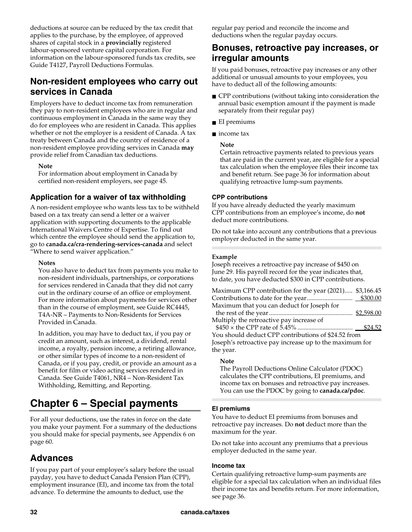deductions at source can be reduced by the tax credit that applies to the purchase, by the employee, of approved shares of capital stock in a **provincially** registered labour-sponsored venture capital corporation. For information on the labour-sponsored funds tax credits, see Guide T4127, Payroll Deductions Formulas.

### **Non-resident employees who carry out services in Canada**

Employers have to deduct income tax from remuneration they pay to non-resident employees who are in regular and continuous employment in Canada in the same way they do for employees who are resident in Canada. This applies whether or not the employer is a resident of Canada. A tax treaty between Canada and the country of residence of a non-resident employee providing services in Canada **may** provide relief from Canadian tax deductions.

#### **Note**

For information about employment in Canada by certified non-resident employers, see page 45.

### **Application for a waiver of tax withholding**

A non-resident employee who wants less tax to be withheld based on a tax treaty can send a letter or a waiver application with supporting documents to the applicable International Waivers Centre of Expertise. To find out which centre the employee should send the application to, go to **canada.ca/cra-rendering-services-canada** and select "Where to send waiver application."

#### **Notes**

You also have to deduct tax from payments you make to non-resident individuals, partnerships, or corporations for services rendered in Canada that they did not carry out in the ordinary course of an office or employment. For more information about payments for services other than in the course of employment, see Guide RC4445, T4A-NR – Payments to Non-Residents for Services Provided in Canada.

In addition, you may have to deduct tax, if you pay or credit an amount, such as interest, a dividend, rental income, a royalty, pension income, a retiring allowance, or other similar types of income to a non-resident of Canada, or if you pay, credit, or provide an amount as a benefit for film or video acting services rendered in Canada. See Guide T4061, NR4 – Non-Resident Tax Withholding, Remitting, and Reporting.

## **Chapter 6 – Special payments**

For all your deductions, use the rates in force on the date you make your payment. For a summary of the deductions you should make for special payments, see Appendix 6 on page 60.

### **Advances**

If you pay part of your employee's salary before the usual payday, you have to deduct Canada Pension Plan (CPP), employment insurance (EI), and income tax from the total advance. To determine the amounts to deduct, use the

regular pay period and reconcile the income and deductions when the regular payday occurs.

### **Bonuses, retroactive pay increases, or irregular amounts**

If you paid bonuses, retroactive pay increases or any other additional or unusual amounts to your employees, you have to deduct all of the following amounts:

- CPP contributions (without taking into consideration the annual basic exemption amount if the payment is made separately from their regular pay)
- EI premiums
- income tax

### **Note**

Certain retroactive payments related to previous years that are paid in the current year, are eligible for a special tax calculation when the employee files their income tax and benefit return. See page 36 for information about qualifying retroactive lump-sum payments.

### **CPP contributions**

If you have already deducted the yearly maximum CPP contributions from an employee's income, do **not** deduct more contributions.

Do not take into account any contributions that a previous employer deducted in the same year.

### **Example**

Joseph receives a retroactive pay increase of \$450 on June 29. His payroll record for the year indicates that, to date, you have deducted \$300 in CPP contributions.

| Maximum CPP contribution for the year (2021) \$3,166.45 |  |
|---------------------------------------------------------|--|
|                                                         |  |
| Maximum that you can deduct for Joseph for              |  |
|                                                         |  |
| Multiply the retroactive pay increase of                |  |
|                                                         |  |
|                                                         |  |

You should deduct CPP contributions of \$24.52 from Joseph's retroactive pay increase up to the maximum for the year.

### **Note**

The Payroll Deductions Online Calculator (PDOC) calculates the CPP contributions, EI premiums, and income tax on bonuses and retroactive pay increases. You can use the PDOC by going to **canada.ca/pdoc**.

### **EI premiums**

You have to deduct EI premiums from bonuses and retroactive pay increases. Do **not** deduct more than the maximum for the year.

Do not take into account any premiums that a previous employer deducted in the same year.

### **Income tax**

Certain qualifying retroactive lump-sum payments are eligible for a special tax calculation when an individual files their income tax and benefits return. For more information, see page 36.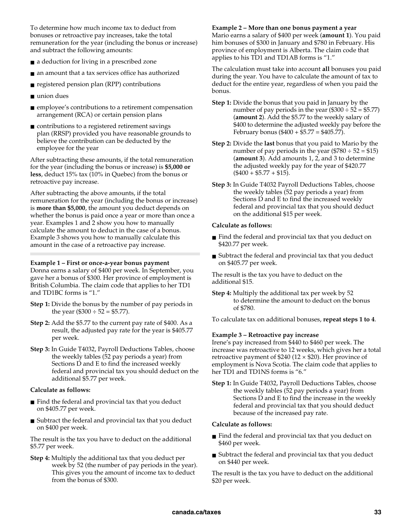To determine how much income tax to deduct from bonuses or retroactive pay increases, take the total remuneration for the year (including the bonus or increase) and subtract the following amounts:

- a deduction for living in a prescribed zone
- an amount that a tax services office has authorized
- registered pension plan (RPP) contributions
- union dues
- employee's contributions to a retirement compensation arrangement (RCA) or certain pension plans
- contributions to a registered retirement savings plan (RRSP) provided you have reasonable grounds to believe the contribution can be deducted by the employee for the year

After subtracting these amounts, if the total remuneration for the year (including the bonus or increase) is **\$5,000 or less**, deduct 15% tax (10% in Quebec) from the bonus or retroactive pay increase.

After subtracting the above amounts, if the total remuneration for the year (including the bonus or increase) is **more than \$5,000**, the amount you deduct depends on whether the bonus is paid once a year or more than once a year. Examples 1 and 2 show you how to manually calculate the amount to deduct in the case of a bonus. Example 3 shows you how to manually calculate this amount in the case of a retroactive pay increase.

#### **Example 1 – First or once-a-year bonus payment**

Donna earns a salary of \$400 per week. In September, you gave her a bonus of \$300. Her province of employment is British Columbia. The claim code that applies to her TD1 and TD1BC forms is "1."

- **Step 1:** Divide the bonus by the number of pay periods in the year  $(\$300 \div 52 = \$5.77$ ).
- **Step 2:** Add the \$5.77 to the current pay rate of \$400. As a result, the adjusted pay rate for the year is \$405.77 per week.
- **Step 3:** In Guide T4032, Payroll Deductions Tables, choose the weekly tables (52 pay periods a year) from Sections D and E to find the increased weekly federal and provincial tax you should deduct on the additional \$5.77 per week.

### **Calculate as follows:**

- Find the federal and provincial tax that you deduct on \$405.77 per week.
- Subtract the federal and provincial tax that you deduct on \$400 per week.

The result is the tax you have to deduct on the additional \$5.77 per week.

**Step 4:** Multiply the additional tax that you deduct per week by 52 (the number of pay periods in the year). This gives you the amount of income tax to deduct from the bonus of \$300.

#### **Example 2 – More than one bonus payment a year**

Mario earns a salary of \$400 per week (**amount 1**). You paid him bonuses of \$300 in January and \$780 in February. His province of employment is Alberta. The claim code that applies to his TD1 and TD1AB forms is "1."

The calculation must take into account **all** bonuses you paid during the year. You have to calculate the amount of tax to deduct for the entire year, regardless of when you paid the bonus.

- **Step 1:** Divide the bonus that you paid in January by the number of pay periods in the year  $(\$300 \div 52 = \$5.77)$ (**amount 2**). Add the \$5.77 to the weekly salary of \$400 to determine the adjusted weekly pay before the February bonus ( $$400 + $5.77 = $405.77$ ).
- **Step 2:** Divide the **last** bonus that you paid to Mario by the number of pay periods in the year  $(\$780 \div 52 = \$15)$ (**amount 3**). Add amounts 1, 2, and 3 to determine the adjusted weekly pay for the year of \$420.77  $($400 + $5.77 + $15).$
- **Step 3:** In Guide T4032 Payroll Deductions Tables, choose the weekly tables (52 pay periods a year) from Sections D and E to find the increased weekly federal and provincial tax that you should deduct on the additional \$15 per week.

#### **Calculate as follows:**

- Find the federal and provincial tax that you deduct on \$420.77 per week.
- Subtract the federal and provincial tax that you deduct on \$405.77 per week.

The result is the tax you have to deduct on the additional \$15.

**Step 4:** Multiply the additional tax per week by 52 to determine the amount to deduct on the bonus of \$780.

To calculate tax on additional bonuses, **repeat steps 1 to 4**.

#### **Example 3 – Retroactive pay increase**

Irene's pay increased from \$440 to \$460 per week. The increase was retroactive to 12 weeks, which gives her a total retroactive payment of \$240 (12  $\times$  \$20). Her province of employment is Nova Scotia. The claim code that applies to her TD1 and TD1NS forms is "6."

**Step 1:** In Guide T4032, Payroll Deductions Tables, choose the weekly tables (52 pay periods a year) from Sections D and E to find the increase in the weekly federal and provincial tax that you should deduct because of the increased pay rate.

#### **Calculate as follows:**

- Find the federal and provincial tax that you deduct on \$460 per week.
- Subtract the federal and provincial tax that you deduct on \$440 per week.

The result is the tax you have to deduct on the additional \$20 per week.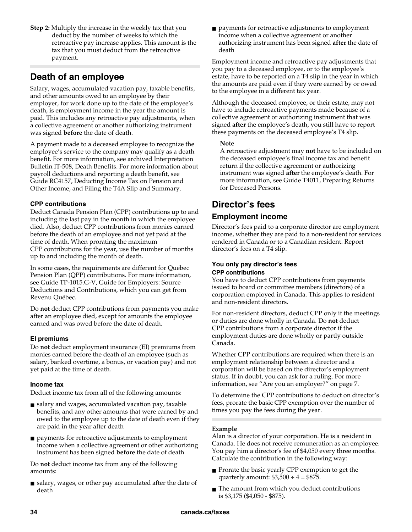**Step 2:** Multiply the increase in the weekly tax that you deduct by the number of weeks to which the retroactive pay increase applies. This amount is the tax that you must deduct from the retroactive payment.

## **Death of an employee**

Salary, wages, accumulated vacation pay, taxable benefits, and other amounts owed to an employee by their employer, for work done up to the date of the employee's death, is employment income in the year the amount is paid. This includes any retroactive pay adjustments, when a collective agreement or another authorizing instrument was signed **before** the date of death.

A payment made to a deceased employee to recognize the employee's service to the company may qualify as a death benefit. For more information, see archived Interpretation Bulletin IT-508, Death Benefits. For more information about payroll deductions and reporting a death benefit, see Guide RC4157, Deducting Income Tax on Pension and Other Income, and Filing the T4A Slip and Summary.

### **CPP contributions**

Deduct Canada Pension Plan (CPP) contributions up to and including the last pay in the month in which the employee died. Also, deduct CPP contributions from monies earned before the death of an employee and not yet paid at the time of death. When prorating the maximum CPP contributions for the year, use the number of months up to and including the month of death.

In some cases, the requirements are different for Quebec Pension Plan (QPP) contributions. For more information, see Guide TP-1015.G-V, Guide for Employers: Source Deductions and Contributions, which you can get from Revenu Québec.

Do **not** deduct CPP contributions from payments you make after an employee died, except for amounts the employee earned and was owed before the date of death.

### **EI premiums**

Do **not** deduct employment insurance (EI) premiums from monies earned before the death of an employee (such as salary, banked overtime, a bonus, or vacation pay) and not yet paid at the time of death.

### **Income tax**

Deduct income tax from all of the following amounts:

- salary and wages, accumulated vacation pay, taxable benefits, and any other amounts that were earned by and owed to the employee up to the date of death even if they are paid in the year after death
- payments for retroactive adjustments to employment income when a collective agreement or other authorizing instrument has been signed **before** the date of death

Do **not** deduct income tax from any of the following amounts:

■ salary, wages, or other pay accumulated after the date of death

■ payments for retroactive adjustments to employment income when a collective agreement or another authorizing instrument has been signed **after** the date of death

Employment income and retroactive pay adjustments that you pay to a deceased employee, or to the employee's estate, have to be reported on a T4 slip in the year in which the amounts are paid even if they were earned by or owed to the employee in a different tax year.

Although the deceased employee, or their estate, may not have to include retroactive payments made because of a collective agreement or authorizing instrument that was signed **after** the employee's death, you still have to report these payments on the deceased employee's T4 slip.

### **Note**

A retroactive adjustment may **not** have to be included on the deceased employee's final income tax and benefit return if the collective agreement or authorizing instrument was signed **after** the employee's death. For more information, see Guide T4011, Preparing Returns for Deceased Persons.

## **Director's fees**

### **Employment income**

Director's fees paid to a corporate director are employment income, whether they are paid to a non-resident for services rendered in Canada or to a Canadian resident. Report director's fees on a T4 slip.

### **You only pay director's fees CPP contributions**

You have to deduct CPP contributions from payments issued to board or committee members (directors) of a corporation employed in Canada. This applies to resident and non-resident directors.

For non-resident directors, deduct CPP only if the meetings or duties are done wholly in Canada. Do **not** deduct CPP contributions from a corporate director if the employment duties are done wholly or partly outside Canada.

Whether CPP contributions are required when there is an employment relationship between a director and a corporation will be based on the director's employment status. If in doubt, you can ask for a ruling. For more information, see "Are you an employer?" on page 7.

To determine the CPP contributions to deduct on director's fees, prorate the basic CPP exemption over the number of times you pay the fees during the year.

### **Example**

Alan is a director of your corporation. He is a resident in Canada. He does not receive remuneration as an employee. You pay him a director's fee of \$4,050 every three months. Calculate the contribution in the following way:

- Prorate the basic yearly CPP exemption to get the quarterly amount:  $$3,500 \div 4 = $875$ .
- The amount from which you deduct contributions is \$3,175 (\$4,050 - \$875).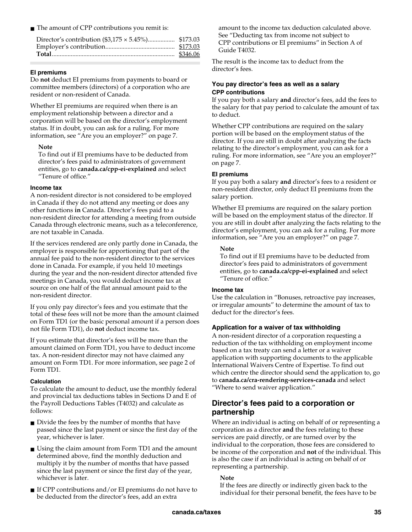■ The amount of CPP contributions you remit is:

### **EI premiums**

Do **not** deduct EI premiums from payments to board or committee members (directors) of a corporation who are resident or non-resident of Canada.

Whether EI premiums are required when there is an employment relationship between a director and a corporation will be based on the director's employment status. If in doubt, you can ask for a ruling. For more information, see "Are you an employer?" on page 7.

#### **Note**

To find out if EI premiums have to be deducted from director's fees paid to administrators of government entities, go to **canada.ca/cpp-ei-explained** and select "Tenure of office."

#### **Income tax**

A non-resident director is not considered to be employed in Canada if they do not attend any meeting or does any other functions **in** Canada. Director's fees paid to a non-resident director for attending a meeting from outside Canada through electronic means, such as a teleconference, are not taxable in Canada.

If the services rendered are only partly done in Canada, the employer is responsible for apportioning that part of the annual fee paid to the non-resident director to the services done in Canada. For example, if you held 10 meetings during the year and the non-resident director attended five meetings in Canada, you would deduct income tax at source on one half of the flat annual amount paid to the non-resident director.

If you only pay director's fees and you estimate that the total of these fees will not be more than the amount claimed on Form TD1 (or the basic personal amount if a person does not file Form TD1), do **not** deduct income tax.

If you estimate that director's fees will be more than the amount claimed on Form TD1, you have to deduct income tax. A non-resident director may not have claimed any amount on Form TD1. For more information, see page 2 of Form TD1.

### **Calculation**

To calculate the amount to deduct, use the monthly federal and provincial tax deductions tables in Sections D and E of the Payroll Deductions Tables (T4032) and calculate as follows:

- Divide the fees by the number of months that have passed since the last payment or since the first day of the year, whichever is later.
- Using the claim amount from Form TD1 and the amount determined above, find the monthly deduction and multiply it by the number of months that have passed since the last payment or since the first day of the year, whichever is later.
- If CPP contributions and/or EI premiums do not have to be deducted from the director's fees, add an extra

amount to the income tax deduction calculated above. See "Deducting tax from income not subject to CPP contributions or EI premiums" in Section A of Guide T4032.

The result is the income tax to deduct from the director's fees.

#### **You pay director's fees as well as a salary CPP contributions**

If you pay both a salary **and** director's fees, add the fees to the salary for that pay period to calculate the amount of tax to deduct.

Whether CPP contributions are required on the salary portion will be based on the employment status of the director. If you are still in doubt after analyzing the facts relating to the director's employment, you can ask for a ruling. For more information, see "Are you an employer?" on page 7.

#### **EI premiums**

If you pay both a salary **and** director's fees to a resident or non-resident director, only deduct EI premiums from the salary portion.

Whether EI premiums are required on the salary portion will be based on the employment status of the director. If you are still in doubt after analyzing the facts relating to the director's employment, you can ask for a ruling. For more information, see "Are you an employer?" on page 7.

### **Note**

To find out if EI premiums have to be deducted from director's fees paid to administrators of government entities, go to **canada.ca/cpp-ei-explained** and select "Tenure of office."

### **Income tax**

Use the calculation in "Bonuses, retroactive pay increases, or irregular amounts" to determine the amount of tax to deduct for the director's fees.

### **Application for a waiver of tax withholding**

A non-resident director of a corporation requesting a reduction of the tax withholding on employment income based on a tax treaty can send a letter or a waiver application with supporting documents to the applicable International Waivers Centre of Expertise. To find out which centre the director should send the application to, go to **canada.ca/cra-rendering-services-canada** and select "Where to send waiver application."

### **Director's fees paid to a corporation or partnership**

Where an individual is acting on behalf of or representing a corporation as a director **and** the fees relating to these services are paid directly, or are turned over by the individual to the corporation, those fees are considered to be income of the corporation and **not** of the individual. This is also the case if an individual is acting on behalf of or representing a partnership.

### **Note**

If the fees are directly or indirectly given back to the individual for their personal benefit, the fees have to be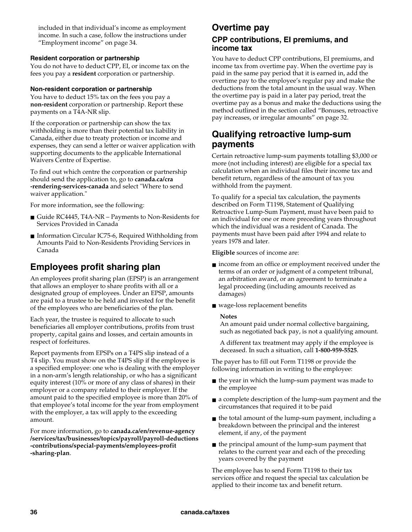included in that individual's income as employment income. In such a case, follow the instructions under "Employment income" on page 34.

### **Resident corporation or partnership**

You do not have to deduct CPP, EI, or income tax on the fees you pay a **resident** corporation or partnership.

### **Non-resident corporation or partnership**

You have to deduct 15% tax on the fees you pay a **non-resident** corporation or partnership. Report these payments on a T4A-NR slip.

If the corporation or partnership can show the tax withholding is more than their potential tax liability in Canada, either due to treaty protection or income and expenses, they can send a letter or waiver application with supporting documents to the applicable International Waivers Centre of Expertise.

To find out which centre the corporation or partnership should send the application to, go to **canada.ca/cra -rendering-services-canada** and select "Where to send waiver application."

For more information, see the following:

- Guide RC4445, T4A-NR Payments to Non-Residents for Services Provided in Canada
- Information Circular IC75-6, Required Withholding from Amounts Paid to Non-Residents Providing Services in Canada

## **Employees profit sharing plan**

An employees profit sharing plan (EPSP) is an arrangement that allows an employer to share profits with all or a designated group of employees. Under an EPSP, amounts are paid to a trustee to be held and invested for the benefit of the employees who are beneficiaries of the plan.

Each year, the trustee is required to allocate to such beneficiaries all employer contributions, profits from trust property, capital gains and losses, and certain amounts in respect of forfeitures.

Report payments from EPSPs on a T4PS slip instead of a T4 slip. You must show on the T4PS slip if the employee is a specified employee: one who is dealing with the employer in a non-arm's length relationship, or who has a significant equity interest (10% or more of any class of shares) in their employer or a company related to their employer. If the amount paid to the specified employee is more than 20% of that employee's total income for the year from employment with the employer, a tax will apply to the exceeding amount.

For more information, go to **canada.ca/en/revenue-agency /services/tax/businesses/topics/payroll/payroll-deductions -contributions/special-payments/employees-profit -sharing-plan**.

### **Overtime pay**

### **CPP contributions, EI premiums, and income tax**

You have to deduct CPP contributions, EI premiums, and income tax from overtime pay. When the overtime pay is paid in the same pay period that it is earned in, add the overtime pay to the employee's regular pay and make the deductions from the total amount in the usual way. When the overtime pay is paid in a later pay period, treat the overtime pay as a bonus and make the deductions using the method outlined in the section called "Bonuses, retroactive pay increases, or irregular amounts" on page 32.

### **Qualifying retroactive lump-sum payments**

Certain retroactive lump-sum payments totalling \$3,000 or more (not including interest) are eligible for a special tax calculation when an individual files their income tax and benefit return, regardless of the amount of tax you withhold from the payment.

To qualify for a special tax calculation, the payments described on Form T1198, Statement of Qualifying Retroactive Lump-Sum Payment, must have been paid to an individual for one or more preceding years throughout which the individual was a resident of Canada. The payments must have been paid after 1994 and relate to years 1978 and later.

**Eligible** sources of income are:

- income from an office or employment received under the terms of an order or judgment of a competent tribunal, an arbitration award, or an agreement to terminate a legal proceeding (including amounts received as damages)
- wage-loss replacement benefits

### **Notes**

An amount paid under normal collective bargaining, such as negotiated back pay, is not a qualifying amount.

A different tax treatment may apply if the employee is deceased. In such a situation, call **1-800-959-5525**.

The payer has to fill out Form T1198 or provide the following information in writing to the employee:

- the year in which the lump-sum payment was made to the employee
- a complete description of the lump-sum payment and the circumstances that required it to be paid
- the total amount of the lump-sum payment, including a breakdown between the principal and the interest element, if any, of the payment
- the principal amount of the lump-sum payment that relates to the current year and each of the preceding years covered by the payment

The employee has to send Form T1198 to their tax services office and request the special tax calculation be applied to their income tax and benefit return.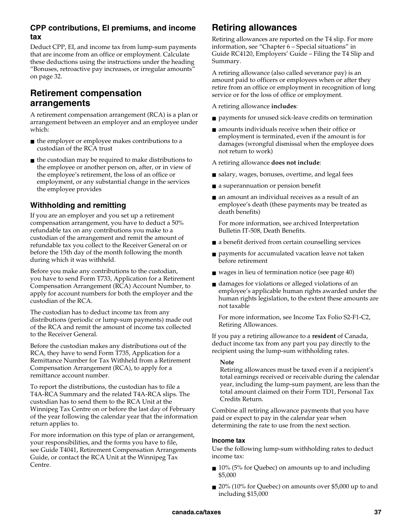### **CPP contributions, EI premiums, and income tax**

Deduct CPP, EI, and income tax from lump-sum payments that are income from an office or employment. Calculate these deductions using the instructions under the heading "Bonuses, retroactive pay increases, or irregular amounts" on page 32.

### **Retirement compensation arrangements**

A retirement compensation arrangement (RCA) is a plan or arrangement between an employer and an employee under which:

- the employer or employee makes contributions to a custodian of the RCA trust
- the custodian may be required to make distributions to the employee or another person on, after, or in view of the employee's retirement, the loss of an office or employment, or any substantial change in the services the employee provides

### **Withholding and remitting**

If you are an employer and you set up a retirement compensation arrangement, you have to deduct a 50% refundable tax on any contributions you make to a custodian of the arrangement and remit the amount of refundable tax you collect to the Receiver General on or before the 15th day of the month following the month during which it was withheld.

Before you make any contributions to the custodian, you have to send Form T733, Application for a Retirement Compensation Arrangement (RCA) Account Number, to apply for account numbers for both the employer and the custodian of the RCA.

The custodian has to deduct income tax from any distributions (periodic or lump-sum payments) made out of the RCA and remit the amount of income tax collected to the Receiver General.

Before the custodian makes any distributions out of the RCA, they have to send Form T735, Application for a Remittance Number for Tax Withheld from a Retirement Compensation Arrangement (RCA), to apply for a remittance account number.

To report the distributions, the custodian has to file a T4A-RCA Summary and the related T4A-RCA slips. The custodian has to send them to the RCA Unit at the Winnipeg Tax Centre on or before the last day of February of the year following the calendar year that the information return applies to.

For more information on this type of plan or arrangement, your responsibilities, and the forms you have to file, see Guide T4041, Retirement Compensation Arrangements Guide, or contact the RCA Unit at the Winnipeg Tax Centre.

## **Retiring allowances**

Retiring allowances are reported on the T4 slip. For more information, see "Chapter 6 – Special situations" in Guide RC4120, Employers' Guide – Filing the T4 Slip and Summary.

A retiring allowance (also called severance pay) is an amount paid to officers or employees when or after they retire from an office or employment in recognition of long service or for the loss of office or employment.

A retiring allowance **includes**:

- payments for unused sick-leave credits on termination
- amounts individuals receive when their office or employment is terminated, even if the amount is for damages (wrongful dismissal when the employee does not return to work)

A retiring allowance **does not include**:

- salary, wages, bonuses, overtime, and legal fees
- a superannuation or pension benefit
- an amount an individual receives as a result of an employee's death (these payments may be treated as death benefits)

For more information, see archived Interpretation Bulletin IT-508, Death Benefits.

- a benefit derived from certain counselling services
- payments for accumulated vacation leave not taken before retirement
- wages in lieu of termination notice (see page 40)
- damages for violations or alleged violations of an employee's applicable human rights awarded under the human rights legislation, to the extent these amounts are not taxable

For more information, see Income Tax Folio S2-F1-C2, Retiring Allowances.

If you pay a retiring allowance to a **resident** of Canada, deduct income tax from any part you pay directly to the recipient using the lump-sum withholding rates.

### **Note**

Retiring allowances must be taxed even if a recipient's total earnings received or receivable during the calendar year, including the lump-sum payment, are less than the total amount claimed on their Form TD1, Personal Tax Credits Return.

Combine all retiring allowance payments that you have paid or expect to pay in the calendar year when determining the rate to use from the next section.

### **Income tax**

Use the following lump-sum withholding rates to deduct income tax:

- 10% (5% for Quebec) on amounts up to and including \$5,000
- 20% (10% for Quebec) on amounts over \$5,000 up to and including \$15,000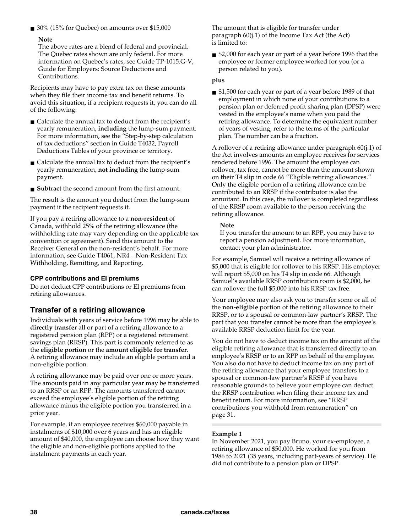■ 30% (15% for Quebec) on amounts over \$15,000

#### **Note**

The above rates are a blend of federal and provincial. The Quebec rates shown are only federal. For more information on Quebec's rates, see Guide TP-1015.G-V, Guide for Employers: Source Deductions and Contributions.

Recipients may have to pay extra tax on these amounts when they file their income tax and benefit returns. To avoid this situation, if a recipient requests it, you can do all of the following:

- Calculate the annual tax to deduct from the recipient's yearly remuneration, **including** the lump-sum payment. For more information, see the "Step-by-step calculation of tax deductions" section in Guide T4032, Payroll Deductions Tables of your province or territory.
- Calculate the annual tax to deduct from the recipient's yearly remuneration, **not including** the lump-sum payment.
- **Subtract** the second amount from the first amount.

The result is the amount you deduct from the lump-sum payment if the recipient requests it.

If you pay a retiring allowance to a **non-resident** of Canada, withhold 25% of the retiring allowance (the withholding rate may vary depending on the applicable tax convention or agreement). Send this amount to the Receiver General on the non-resident's behalf. For more information, see Guide T4061, NR4 – Non-Resident Tax Withholding, Remitting, and Reporting.

### **CPP contributions and EI premiums**

Do not deduct CPP contributions or EI premiums from retiring allowances.

### **Transfer of a retiring allowance**

Individuals with years of service before 1996 may be able to **directly transfer** all or part of a retiring allowance to a registered pension plan (RPP) or a registered retirement savings plan (RRSP). This part is commonly referred to as the **eligible portion** or the **amount eligible for transfer**. A retiring allowance may include an eligible portion and a non-eligible portion.

A retiring allowance may be paid over one or more years. The amounts paid in any particular year may be transferred to an RRSP or an RPP. The amounts transferred cannot exceed the employee's eligible portion of the retiring allowance minus the eligible portion you transferred in a prior year.

For example, if an employee receives \$60,000 payable in instalments of \$10,000 over 6 years and has an eligible amount of \$40,000, the employee can choose how they want the eligible and non-eligible portions applied to the instalment payments in each year.

The amount that is eligible for transfer under paragraph 60(j.1) of the Income Tax Act (the Act) is limited to:

■ \$2,000 for each year or part of a year before 1996 that the employee or former employee worked for you (or a person related to you).

#### **plus**

■ \$1,500 for each year or part of a year before 1989 of that employment in which none of your contributions to a pension plan or deferred profit sharing plan (DPSP) were vested in the employee's name when you paid the retiring allowance. To determine the equivalent number of years of vesting, refer to the terms of the particular plan. The number can be a fraction.

A rollover of a retiring allowance under paragraph 60(j.1) of the Act involves amounts an employee receives for services rendered before 1996. The amount the employee can rollover, tax free, cannot be more than the amount shown on their T4 slip in code 66 "Eligible retiring allowances." Only the eligible portion of a retiring allowance can be contributed to an RRSP if the contributor is also the annuitant. In this case, the rollover is completed regardless of the RRSP room available to the person receiving the retiring allowance.

#### **Note**

If you transfer the amount to an RPP, you may have to report a pension adjustment. For more information, contact your plan administrator.

For example, Samuel will receive a retiring allowance of \$5,000 that is eligible for rollover to his RRSP. His employer will report \$5,000 on his T4 slip in code 66. Although Samuel's available RRSP contribution room is \$2,000, he can rollover the full \$5,000 into his RRSP tax free.

Your employee may also ask you to transfer some or all of the **non-eligible** portion of the retiring allowance to their RRSP, or to a spousal or common-law partner's RRSP. The part that you transfer cannot be more than the employee's available RRSP deduction limit for the year.

You do not have to deduct income tax on the amount of the eligible retiring allowance that is transferred directly to an employee's RRSP or to an RPP on behalf of the employee. You also do not have to deduct income tax on any part of the retiring allowance that your employee transfers to a spousal or common-law partner's RRSP if you have reasonable grounds to believe your employee can deduct the RRSP contribution when filing their income tax and benefit return. For more information, see "RRSP contributions you withhold from remuneration" on page 31.

### **Example 1**

In November 2021, you pay Bruno, your ex-employee, a retiring allowance of \$50,000. He worked for you from 1986 to 2021 (35 years, including part-years of service). He did not contribute to a pension plan or DPSP.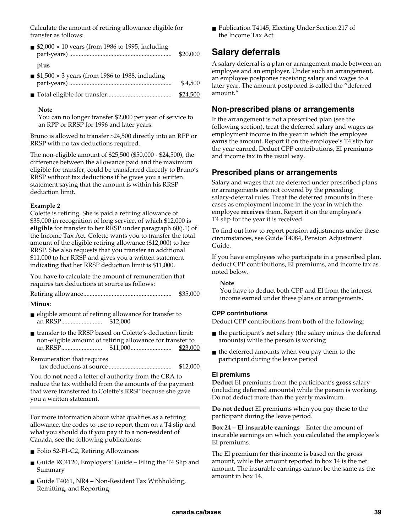Calculate the amount of retiring allowance eligible for transfer as follows:

| ■ \$2,000 $\times$ 10 years (from 1986 to 1995, including              | \$20,000 |
|------------------------------------------------------------------------|----------|
| plus<br>$\blacksquare$ \$1,500 × 3 years (from 1986 to 1988, including | \$4,500  |
|                                                                        | \$24.50  |

#### **Note**

You can no longer transfer \$2,000 per year of service to an RPP or RRSP for 1996 and later years.

Bruno is allowed to transfer \$24,500 directly into an RPP or RRSP with no tax deductions required.

The non-eligible amount of \$25,500 (\$50,000 - \$24,500), the difference between the allowance paid and the maximum eligible for transfer, could be transferred directly to Bruno's RRSP without tax deductions if he gives you a written statement saying that the amount is within his RRSP deduction limit.

#### **Example 2**

Colette is retiring. She is paid a retiring allowance of \$35,000 in recognition of long service, of which \$12,000 is **eligible** for transfer to her RRSP under paragraph 60(j.1) of the Income Tax Act. Colette wants you to transfer the total amount of the eligible retiring allowance (\$12,000) to her RRSP. She also requests that you transfer an additional \$11,000 to her RRSP and gives you a written statement indicating that her RRSP deduction limit is \$11,000.

You have to calculate the amount of remuneration that requires tax deductions at source as follows:

Retiring allowance ........................................................ \$35,000

#### **Minus:**

- eligible amount of retiring allowance for transfer to an RRSP .......................... \$12,000
- transfer to the RRSP based on Colette's deduction limit: non-eligible amount of retiring allowance for transfer to an RRSP .......................... \$11,000 .......................... \$23,000
- Remuneration that requires tax deductions at source ........................................ \$12,000

You do **not** need a letter of authority from the CRA to reduce the tax withheld from the amounts of the payment that were transferred to Colette's RRSP because she gave you a written statement.

For more information about what qualifies as a retiring allowance, the codes to use to report them on a T4 slip and what you should do if you pay it to a non-resident of Canada, see the following publications:

- Folio S2-F1-C2, Retiring Allowances
- Guide RC4120, Employers' Guide Filing the T4 Slip and Summary
- Guide T4061, NR4 Non-Resident Tax Withholding, Remitting, and Reporting

■ Publication T4145, Electing Under Section 217 of the Income Tax Act

### **Salary deferrals**

A salary deferral is a plan or arrangement made between an employee and an employer. Under such an arrangement, an employee postpones receiving salary and wages to a later year. The amount postponed is called the "deferred amount."

### **Non-prescribed plans or arrangements**

If the arrangement is not a prescribed plan (see the following section), treat the deferred salary and wages as employment income in the year in which the employee **earns** the amount. Report it on the employee's T4 slip for the year earned. Deduct CPP contributions, EI premiums and income tax in the usual way.

### **Prescribed plans or arrangements**

Salary and wages that are deferred under prescribed plans or arrangements are not covered by the preceding salary-deferral rules. Treat the deferred amounts in these cases as employment income in the year in which the employee **receives** them. Report it on the employee's T4 slip for the year it is received.

To find out how to report pension adjustments under these circumstances, see Guide T4084, Pension Adjustment Guide.

If you have employees who participate in a prescribed plan, deduct CPP contributions, EI premiums, and income tax as noted below.

#### **Note**

You have to deduct both CPP and EI from the interest income earned under these plans or arrangements.

#### **CPP contributions**

Deduct CPP contributions from **both** of the following:

- the participant's **net** salary (the salary minus the deferred amounts) while the person is working
- the deferred amounts when you pay them to the participant during the leave period

#### **EI premiums**

**Deduct** EI premiums from the participant's **gross** salary (including deferred amounts) while the person is working. Do not deduct more than the yearly maximum.

**Do not deduct** EI premiums when you pay these to the participant during the leave period.

**Box 24 – EI insurable earnings** – Enter the amount of insurable earnings on which you calculated the employee's EI premiums.

The EI premium for this income is based on the gross amount, while the amount reported in box 14 is the net amount. The insurable earnings cannot be the same as the amount in box 14.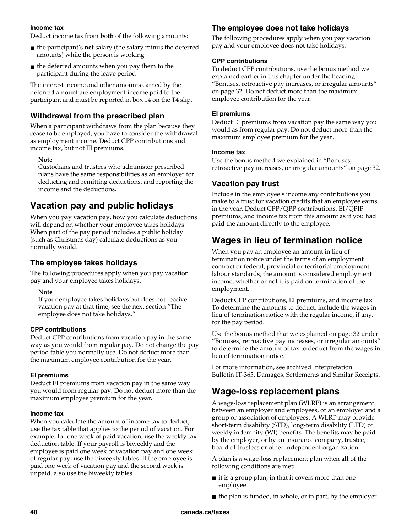#### **Income tax**

Deduct income tax from **both** of the following amounts:

- the participant's **net** salary (the salary minus the deferred amounts) while the person is working
- the deferred amounts when you pay them to the participant during the leave period

The interest income and other amounts earned by the deferred amount are employment income paid to the participant and must be reported in box 14 on the T4 slip.

### **Withdrawal from the prescribed plan**

When a participant withdraws from the plan because they cease to be employed, you have to consider the withdrawal as employment income. Deduct CPP contributions and income tax, but not EI premiums.

#### **Note**

Custodians and trustees who administer prescribed plans have the same responsibilities as an employer for deducting and remitting deductions, and reporting the income and the deductions.

### **Vacation pay and public holidays**

When you pay vacation pay, how you calculate deductions will depend on whether your employee takes holidays. When part of the pay period includes a public holiday (such as Christmas day) calculate deductions as you normally would.

### **The employee takes holidays**

The following procedures apply when you pay vacation pay and your employee takes holidays.

### **Note**

If your employee takes holidays but does not receive vacation pay at that time, see the next section "The employee does not take holidays."

### **CPP contributions**

Deduct CPP contributions from vacation pay in the same way as you would from regular pay. Do not change the pay period table you normally use. Do not deduct more than the maximum employee contribution for the year.

### **EI premiums**

Deduct EI premiums from vacation pay in the same way you would from regular pay. Do not deduct more than the maximum employee premium for the year.

#### **Income tax**

When you calculate the amount of income tax to deduct, use the tax table that applies to the period of vacation. For example, for one week of paid vacation, use the weekly tax deduction table. If your payroll is biweekly and the employee is paid one week of vacation pay and one week of regular pay, use the biweekly tables. If the employee is paid one week of vacation pay and the second week is unpaid, also use the biweekly tables.

### **The employee does not take holidays**

The following procedures apply when you pay vacation pay and your employee does **not** take holidays.

#### **CPP contributions**

To deduct CPP contributions, use the bonus method we explained earlier in this chapter under the heading "Bonuses, retroactive pay increases, or irregular amounts" on page 32. Do not deduct more than the maximum employee contribution for the year.

#### **EI premiums**

Deduct EI premiums from vacation pay the same way you would as from regular pay. Do not deduct more than the maximum employee premium for the year.

#### **Income tax**

Use the bonus method we explained in "Bonuses, retroactive pay increases, or irregular amounts" on page 32.

### **Vacation pay trust**

Include in the employee's income any contributions you make to a trust for vacation credits that an employee earns in the year. Deduct CPP/QPP contributions, EI/QPIP premiums, and income tax from this amount as if you had paid the amount directly to the employee.

### **Wages in lieu of termination notice**

When you pay an employee an amount in lieu of termination notice under the terms of an employment contract or federal, provincial or territorial employment labour standards, the amount is considered employment income, whether or not it is paid on termination of the employment.

Deduct CPP contributions, EI premiums, and income tax. To determine the amounts to deduct, include the wages in lieu of termination notice with the regular income, if any, for the pay period.

Use the bonus method that we explained on page 32 under "Bonuses, retroactive pay increases, or irregular amounts" to determine the amount of tax to deduct from the wages in lieu of termination notice.

For more information, see archived Interpretation Bulletin IT-365, Damages, Settlements and Similar Receipts.

## **Wage-loss replacement plans**

A wage-loss replacement plan (WLRP) is an arrangement between an employer and employees, or an employer and a group or association of employees. A WLRP may provide short-term disability (STD), long-term disability (LTD) or weekly indemnity (WI) benefits. The benefits may be paid by the employer, or by an insurance company, trustee, board of trustees or other independent organization.

A plan is a wage-loss replacement plan when **all** of the following conditions are met:

- $\blacksquare$  it is a group plan, in that it covers more than one employee
- $\blacksquare$  the plan is funded, in whole, or in part, by the employer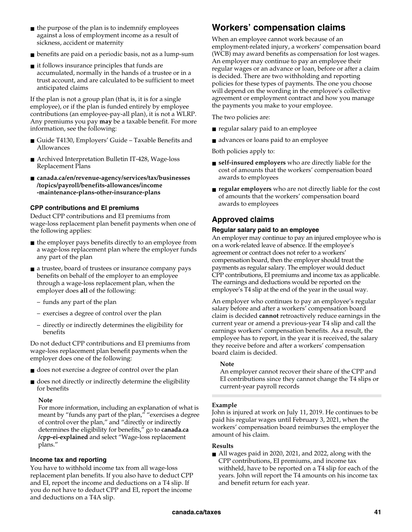- $\blacksquare$  the purpose of the plan is to indemnify employees against a loss of employment income as a result of sickness, accident or maternity
- benefits are paid on a periodic basis, not as a lump-sum
- $\blacksquare$  it follows insurance principles that funds are accumulated, normally in the hands of a trustee or in a trust account, and are calculated to be sufficient to meet anticipated claims

If the plan is not a group plan (that is, it is for a single employee), or if the plan is funded entirely by employee contributions (an employee-pay-all plan), it is not a WLRP. Any premiums you pay **may** be a taxable benefit. For more information, see the following:

- Guide T4130, Employers' Guide Taxable Benefits and Allowances
- Archived Interpretation Bulletin IT-428, Wage-loss Replacement Plans
- **canada.ca/en/revenue-agency/services/tax/businesses /topics/payroll/benefits-allowances/income -maintenance-plans-other-insurance-plans**

### **CPP contributions and EI premiums**

Deduct CPP contributions and EI premiums from wage-loss replacement plan benefit payments when one of the following applies:

- the employer pays benefits directly to an employee from a wage-loss replacement plan where the employer funds any part of the plan
- a trustee, board of trustees or insurance company pays benefits on behalf of the employer to an employee through a wage-loss replacement plan, when the employer does **all** of the following:
	- funds any part of the plan
	- exercises a degree of control over the plan
	- directly or indirectly determines the eligibility for benefits

Do not deduct CPP contributions and EI premiums from wage-loss replacement plan benefit payments when the employer does one of the following:

- does not exercise a degree of control over the plan
- does not directly or indirectly determine the eligibility for benefits

### **Note**

For more information, including an explanation of what is meant by "funds any part of the plan," "exercises a degree of control over the plan," and "directly or indirectly determines the eligibility for benefits," go to **canada.ca /cpp-ei-explained** and select "Wage-loss replacement plans."

### **Income tax and reporting**

You have to withhold income tax from all wage-loss replacement plan benefits. If you also have to deduct CPP and EI, report the income and deductions on a T4 slip. If you do not have to deduct CPP and EI, report the income and deductions on a T4A slip.

## **Workers' compensation claims**

When an employee cannot work because of an employment-related injury, a workers' compensation board (WCB) may award benefits as compensation for lost wages. An employer may continue to pay an employee their regular wages or an advance or loan, before or after a claim is decided. There are two withholding and reporting policies for these types of payments. The one you choose will depend on the wording in the employee's collective agreement or employment contract and how you manage the payments you make to your employee.

The two policies are:

- regular salary paid to an employee
- advances or loans paid to an employee

Both policies apply to:

- **self-insured employers** who are directly liable for the cost of amounts that the workers' compensation board awards to employees
- **regular employers** who are not directly liable for the cost of amounts that the workers' compensation board awards to employees

### **Approved claims**

### **Regular salary paid to an employee**

An employer may continue to pay an injured employee who is on a work-related leave of absence. If the employee's agreement or contract does not refer to a workers' compensation board, then the employer should treat the payments as regular salary. The employer would deduct CPP contributions, EI premiums and income tax as applicable. The earnings and deductions would be reported on the employee's T4 slip at the end of the year in the usual way.

An employer who continues to pay an employee's regular salary before and after a workers' compensation board claim is decided **cannot** retroactively reduce earnings in the current year or amend a previous-year T4 slip and call the earnings workers' compensation benefits. As a result, the employee has to report, in the year it is received, the salary they receive before and after a workers' compensation board claim is decided.

### **Note**

An employer cannot recover their share of the CPP and EI contributions since they cannot change the T4 slips or current-year payroll records

### **Example**

John is injured at work on July 11, 2019. He continues to be paid his regular wages until February 3, 2021, when the workers' compensation board reimburses the employer the amount of his claim.

### **Results**

■ All wages paid in 2020, 2021, and 2022, along with the CPP contributions, EI premiums, and income tax withheld, have to be reported on a T4 slip for each of the years. John will report the T4 amounts on his income tax and benefit return for each year.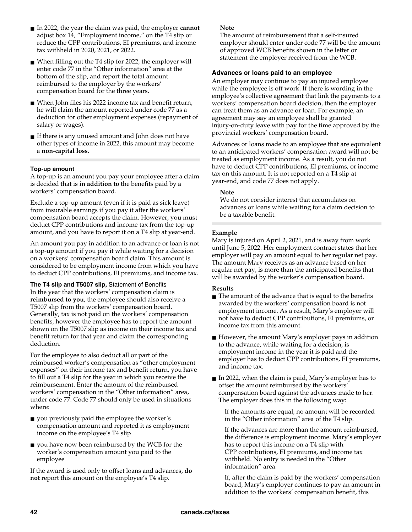- In 2022, the year the claim was paid, the employer **cannot** adjust box 14, "Employment income," on the T4 slip or reduce the CPP contributions, EI premiums, and income tax withheld in 2020, 2021, or 2022.
- When filling out the T4 slip for 2022, the employer will enter code 77 in the "Other information" area at the bottom of the slip, and report the total amount reimbursed to the employer by the workers' compensation board for the three years.
- When John files his 2022 income tax and benefit return, he will claim the amount reported under code 77 as a deduction for other employment expenses (repayment of salary or wages).
- If there is any unused amount and John does not have other types of income in 2022, this amount may become a **non-capital loss**.

#### **Top-up amount**

A top-up is an amount you pay your employee after a claim is decided that is **in addition to** the benefits paid by a workers' compensation board.

Exclude a top-up amount (even if it is paid as sick leave) from insurable earnings if you pay it after the workers' compensation board accepts the claim. However, you must deduct CPP contributions and income tax from the top-up amount, and you have to report it on a T4 slip at year-end.

An amount you pay in addition to an advance or loan is not a top-up amount if you pay it while waiting for a decision on a workers' compensation board claim. This amount is considered to be employment income from which you have to deduct CPP contributions, EI premiums, and income tax.

**The T4 slip and T5007 slip,** Statement of Benefits In the year that the workers' compensation claim is **reimbursed to you**, the employee should also receive a T5007 slip from the workers' compensation board. Generally, tax is not paid on the workers' compensation benefits, however the employee has to report the amount shown on the T5007 slip as income on their income tax and benefit return for that year and claim the corresponding deduction.

For the employee to also deduct all or part of the reimbursed worker's compensation as "other employment expenses" on their income tax and benefit return, you have to fill out a T4 slip for the year in which you receive the reimbursement. Enter the amount of the reimbursed workers' compensation in the "Other information" area, under code 77. Code 77 should only be used in situations where:

- you previously paid the employee the worker's compensation amount and reported it as employment income on the employee's T4 slip
- you have now been reimbursed by the WCB for the worker's compensation amount you paid to the employee

If the award is used only to offset loans and advances, **do not** report this amount on the employee's T4 slip.

#### **Note**

The amount of reimbursement that a self-insured employer should enter under code 77 will be the amount of approved WCB benefits shown in the letter or statement the employer received from the WCB.

#### **Advances or loans paid to an employee**

An employer may continue to pay an injured employee while the employee is off work. If there is wording in the employee's collective agreement that link the payments to a workers' compensation board decision, then the employer can treat them as an advance or loan. For example, an agreement may say an employee shall be granted injury-on-duty leave with pay for the time approved by the provincial workers' compensation board.

Advances or loans made to an employee that are equivalent to an anticipated workers' compensation award will not be treated as employment income. As a result, you do not have to deduct CPP contributions, EI premiums, or income tax on this amount. It is not reported on a T4 slip at year-end, and code 77 does not apply.

#### **Note**

We do not consider interest that accumulates on advances or loans while waiting for a claim decision to be a taxable benefit.

#### **Example**

Mary is injured on April 2, 2021, and is away from work until June 5, 2022. Her employment contract states that her employer will pay an amount equal to her regular net pay. The amount Mary receives as an advance based on her regular net pay, is more than the anticipated benefits that will be awarded by the worker's compensation board.

### **Results**

- The amount of the advance that is equal to the benefits awarded by the workers' compensation board is not employment income. As a result, Mary's employer will not have to deduct CPP contributions, EI premiums, or income tax from this amount.
- However, the amount Mary's employer pays in addition to the advance, while waiting for a decision, is employment income in the year it is paid and the employer has to deduct CPP contributions, EI premiums, and income tax.
- In 2022, when the claim is paid, Mary's employer has to offset the amount reimbursed by the workers' compensation board against the advances made to her. The employer does this in the following way:
	- If the amounts are equal, no amount will be recorded in the "Other information" area of the T4 slip.
	- If the advances are more than the amount reimbursed, the difference is employment income. Mary's employer has to report this income on a T4 slip with CPP contributions, EI premiums, and income tax withheld. No entry is needed in the "Other information" area.
	- If, after the claim is paid by the workers' compensation board, Mary's employer continues to pay an amount in addition to the workers' compensation benefit, this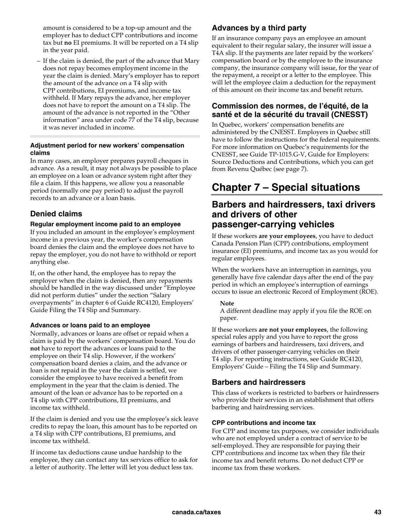amount is considered to be a top-up amount and the employer has to deduct CPP contributions and income tax but **no** EI premiums. It will be reported on a T4 slip in the year paid.

– If the claim is denied, the part of the advance that Mary does not repay becomes employment income in the year the claim is denied. Mary's employer has to report the amount of the advance on a T4 slip with CPP contributions, EI premiums, and income tax withheld. If Mary repays the advance, her employer does not have to report the amount on a T4 slip. The amount of the advance is not reported in the "Other information" area under code 77 of the T4 slip, because it was never included in income.

### **Adjustment period for new workers' compensation claims**

In many cases, an employer prepares payroll cheques in advance. As a result, it may not always be possible to place an employee on a loan or advance system right after they file a claim. If this happens, we allow you a reasonable period (normally one pay period) to adjust the payroll records to an advance or a loan basis.

### **Denied claims**

### **Regular employment income paid to an employee**

If you included an amount in the employee's employment income in a previous year, the worker's compensation board denies the claim and the employee does not have to repay the employer, you do not have to withhold or report anything else.

If, on the other hand, the employee has to repay the employer when the claim is denied, then any repayments should be handled in the way discussed under "Employee did not perform duties" under the section "Salary overpayments" in chapter 6 of Guide RC4120, Employers' Guide Filing the T4 Slip and Summary.

### **Advances or loans paid to an employee**

Normally, advances or loans are offset or repaid when a claim is paid by the workers' compensation board. You do **not** have to report the advances or loans paid to the employee on their T4 slip. However, if the workers' compensation board denies a claim, and the advance or loan is not repaid in the year the claim is settled, we consider the employee to have received a benefit from employment in the year that the claim is denied. The amount of the loan or advance has to be reported on a T4 slip with CPP contributions, EI premiums, and income tax withheld.

If the claim is denied and you use the employee's sick leave credits to repay the loan, this amount has to be reported on a T4 slip with CPP contributions, EI premiums, and income tax withheld.

If income tax deductions cause undue hardship to the employee, they can contact any tax services office to ask for a letter of authority. The letter will let you deduct less tax.

### **Advances by a third party**

If an insurance company pays an employee an amount equivalent to their regular salary, the insurer will issue a T4A slip. If the payments are later repaid by the workers' compensation board or by the employee to the insurance company, the insurance company will issue, for the year of the repayment, a receipt or a letter to the employee. This will let the employee claim a deduction for the repayment of this amount on their income tax and benefit return.

### **Commission des normes, de l'équité, de la santé et de la sécurité du travail (CNESST)**

In Quebec, workers' compensation benefits are administered by the CNESST. Employers in Quebec still have to follow the instructions for the federal requirements. For more information on Quebec's requirements for the CNESST, see Guide TP-1015.G-V, Guide for Employers: Source Deductions and Contributions, which you can get from Revenu Québec (see page 7).

## **Chapter 7 – Special situations**

### **Barbers and hairdressers, taxi drivers and drivers of other passenger-carrying vehicles**

If these workers **are your employees**, you have to deduct Canada Pension Plan (CPP) contributions, employment insurance (EI) premiums, and income tax as you would for regular employees.

When the workers have an interruption in earnings, you generally have five calendar days after the end of the pay period in which an employee's interruption of earnings occurs to issue an electronic Record of Employment (ROE).

### **Note**

A different deadline may apply if you file the ROE on paper.

If these workers **are not your employees**, the following special rules apply and you have to report the gross earnings of barbers and hairdressers, taxi drivers, and drivers of other passenger-carrying vehicles on their T4 slip. For reporting instructions, see Guide RC4120, Employers' Guide – Filing the T4 Slip and Summary.

### **Barbers and hairdressers**

This class of workers is restricted to barbers or hairdressers who provide their services in an establishment that offers barbering and hairdressing services.

### **CPP contributions and income tax**

For CPP and income tax purposes, we consider individuals who are not employed under a contract of service to be self-employed. They are responsible for paying their CPP contributions and income tax when they file their income tax and benefit returns. Do not deduct CPP or income tax from these workers.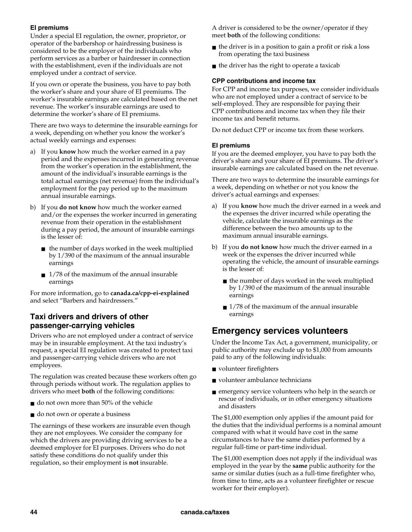### **EI premiums**

Under a special EI regulation, the owner, proprietor, or operator of the barbershop or hairdressing business is considered to be the employer of the individuals who perform services as a barber or hairdresser in connection with the establishment, even if the individuals are not employed under a contract of service.

If you own or operate the business, you have to pay both the worker's share and your share of EI premiums. The worker's insurable earnings are calculated based on the net revenue. The worker's insurable earnings are used to determine the worker's share of EI premiums.

There are two ways to determine the insurable earnings for a week, depending on whether you know the worker's actual weekly earnings and expenses:

- a) If you **know** how much the worker earned in a pay period and the expenses incurred in generating revenue from the worker's operation in the establishment, the amount of the individual's insurable earnings is the total actual earnings (net revenue) from the individual's employment for the pay period up to the maximum annual insurable earnings.
- b) If you **do not know** how much the worker earned and/or the expenses the worker incurred in generating revenue from their operation in the establishment during a pay period, the amount of insurable earnings is the lesser of:
	- the number of days worked in the week multiplied by 1/390 of the maximum of the annual insurable earnings
	- $\blacksquare$  1/78 of the maximum of the annual insurable earnings

For more information, go to **canada.ca/cpp-ei-explained**  and select "Barbers and hairdressers."

### **Taxi drivers and drivers of other passenger-carrying vehicles**

Drivers who are not employed under a contract of service may be in insurable employment. At the taxi industry's request, a special EI regulation was created to protect taxi and passenger-carrying vehicle drivers who are not employees.

The regulation was created because these workers often go through periods without work. The regulation applies to drivers who meet **both** of the following conditions:

- do not own more than 50% of the vehicle
- do not own or operate a business

The earnings of these workers are insurable even though they are not employees. We consider the company for which the drivers are providing driving services to be a deemed employer for EI purposes. Drivers who do not satisfy these conditions do not qualify under this regulation, so their employment is **not** insurable.

A driver is considered to be the owner/operator if they meet **both** of the following conditions:

- the driver is in a position to gain a profit or risk a loss from operating the taxi business
- $\blacksquare$  the driver has the right to operate a taxicab

#### **CPP contributions and income tax**

For CPP and income tax purposes, we consider individuals who are not employed under a contract of service to be self-employed. They are responsible for paying their CPP contributions and income tax when they file their income tax and benefit returns.

Do not deduct CPP or income tax from these workers.

### **EI premiums**

If you are the deemed employer, you have to pay both the driver's share and your share of EI premiums. The driver's insurable earnings are calculated based on the net revenue.

There are two ways to determine the insurable earnings for a week, depending on whether or not you know the driver's actual earnings and expenses:

- a) If you **know** how much the driver earned in a week and the expenses the driver incurred while operating the vehicle, calculate the insurable earnings as the difference between the two amounts up to the maximum annual insurable earnings.
- b) If you **do not know** how much the driver earned in a week or the expenses the driver incurred while operating the vehicle, the amount of insurable earnings is the lesser of:
	- the number of days worked in the week multiplied by 1/390 of the maximum of the annual insurable earnings
	- $\blacksquare$  1/78 of the maximum of the annual insurable earnings

### **Emergency services volunteers**

Under the Income Tax Act, a government, municipality, or public authority may exclude up to \$1,000 from amounts paid to any of the following individuals:

- volunteer firefighters
- volunteer ambulance technicians
- emergency service volunteers who help in the search or rescue of individuals, or in other emergency situations and disasters

The \$1,000 exemption only applies if the amount paid for the duties that the individual performs is a nominal amount compared with what it would have cost in the same circumstances to have the same duties performed by a regular full-time or part-time individual.

The \$1,000 exemption does not apply if the individual was employed in the year by the **same** public authority for the same or similar duties (such as a full-time firefighter who, from time to time, acts as a volunteer firefighter or rescue worker for their employer).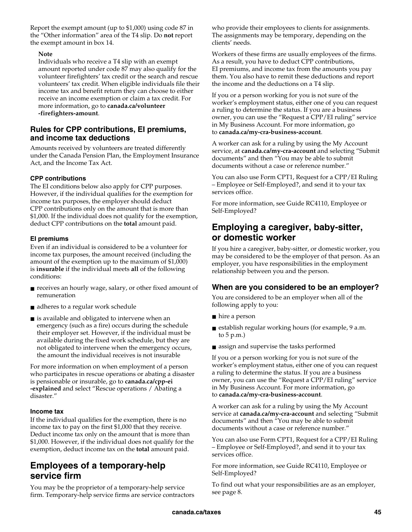Report the exempt amount (up to \$1,000) using code 87 in the "Other information" area of the T4 slip. Do **not** report the exempt amount in box 14.

### **Note**

Individuals who receive a T4 slip with an exempt amount reported under code 87 may also qualify for the volunteer firefighters' tax credit or the search and rescue volunteers' tax credit. When eligible individuals file their income tax and benefit return they can choose to either receive an income exemption or claim a tax credit. For more information, go to **canada.ca/volunteer -firefighters-amount**.

### **Rules for CPP contributions, EI premiums, and income tax deductions**

Amounts received by volunteers are treated differently under the Canada Pension Plan, the Employment Insurance Act, and the Income Tax Act.

### **CPP contributions**

The EI conditions below also apply for CPP purposes. However, if the individual qualifies for the exemption for income tax purposes, the employer should deduct CPP contributions only on the amount that is more than \$1,000. If the individual does not qualify for the exemption, deduct CPP contributions on the **total** amount paid.

### **EI premiums**

Even if an individual is considered to be a volunteer for income tax purposes, the amount received (including the amount of the exemption up to the maximum of \$1,000) is **insurable** if the individual meets **all** of the following conditions:

- receives an hourly wage, salary, or other fixed amount of remuneration
- adheres to a regular work schedule
- is available and obligated to intervene when an emergency (such as a fire) occurs during the schedule their employer set. However, if the individual must be available during the fixed work schedule, but they are not obligated to intervene when the emergency occurs, the amount the individual receives is not insurable

For more information on when employment of a person who participates in rescue operations or abating a disaster is pensionable or insurable, go to **canada.ca/cpp-ei -explained** and select "Rescue operations / Abating a disaster."

### **Income tax**

If the individual qualifies for the exemption, there is no income tax to pay on the first \$1,000 that they receive. Deduct income tax only on the amount that is more than \$1,000. However, if the individual does not qualify for the exemption, deduct income tax on the **total** amount paid.

### **Employees of a temporary-help service firm**

You may be the proprietor of a temporary-help service firm. Temporary-help service firms are service contractors who provide their employees to clients for assignments. The assignments may be temporary, depending on the clients' needs.

Workers of these firms are usually employees of the firms. As a result, you have to deduct CPP contributions, EI premiums, and income tax from the amounts you pay them. You also have to remit these deductions and report the income and the deductions on a T4 slip.

If you or a person working for you is not sure of the worker's employment status, either one of you can request a ruling to determine the status. If you are a business owner, you can use the "Request a CPP/EI ruling" service in My Business Account. For more information, go to **canada.ca/my-cra-business-account**.

A worker can ask for a ruling by using the My Account service, at **canada.ca/my-cra-account** and selecting "Submit documents" and then "You may be able to submit documents without a case or reference number."

You can also use Form CPT1, Request for a CPP/EI Ruling – Employee or Self-Employed?, and send it to your tax services office.

For more information, see Guide RC4110, Employee or Self-Employed?

### **Employing a caregiver, baby-sitter, or domestic worker**

If you hire a caregiver, baby-sitter, or domestic worker, you may be considered to be the employer of that person. As an employer, you have responsibilities in the employment relationship between you and the person.

### **When are you considered to be an employer?**

You are considered to be an employer when all of the following apply to you:

- hire a person
- establish regular working hours (for example, 9 a.m. to 5 p.m.)
- assign and supervise the tasks performed

If you or a person working for you is not sure of the worker's employment status, either one of you can request a ruling to determine the status. If you are a business owner, you can use the "Request a CPP/EI ruling" service in My Business Account. For more information, go to **canada.ca/my-cra-business-account**.

A worker can ask for a ruling by using the My Account service at **canada.ca/my-cra-account** and selecting "Submit documents" and then "You may be able to submit documents without a case or reference number."

You can also use Form CPT1, Request for a CPP/EI Ruling – Employee or Self-Employed?, and send it to your tax services office.

For more information, see Guide RC4110, Employee or Self-Employed?

To find out what your responsibilities are as an employer, see page 8.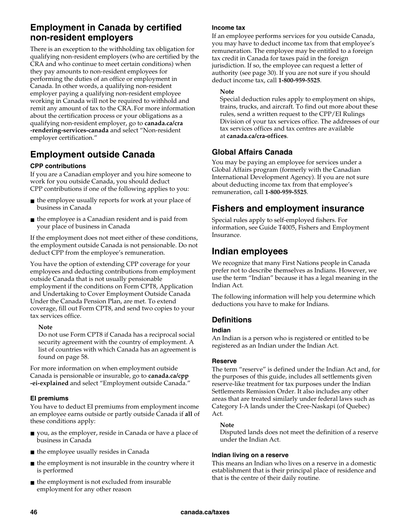## **Employment in Canada by certified non-resident employers**

There is an exception to the withholding tax obligation for qualifying non-resident employers (who are certified by the CRA and who continue to meet certain conditions) when they pay amounts to non-resident employees for performing the duties of an office or employment in Canada. In other words, a qualifying non-resident employer paying a qualifying non-resident employee working in Canada will not be required to withhold and remit any amount of tax to the CRA. For more information about the certification process or your obligations as a qualifying non-resident employer, go to **canada.ca/cra -rendering-services-canada** and select "Non-resident employer certification."

## **Employment outside Canada**

### **CPP contributions**

If you are a Canadian employer and you hire someone to work for you outside Canada, you should deduct CPP contributions if one of the following applies to you:

- the employee usually reports for work at your place of business in Canada
- the employee is a Canadian resident and is paid from your place of business in Canada

If the employment does not meet either of these conditions, the employment outside Canada is not pensionable. Do not deduct CPP from the employee's remuneration.

You have the option of extending CPP coverage for your employees and deducting contributions from employment outside Canada that is not usually pensionable employment if the conditions on Form CPT8, Application and Undertaking to Cover Employment Outside Canada Under the Canada Pension Plan, are met. To extend coverage, fill out Form CPT8, and send two copies to your tax services office.

### **Note**

Do not use Form CPT8 if Canada has a reciprocal social security agreement with the country of employment. A list of countries with which Canada has an agreement is found on page 58.

For more information on when employment outside Canada is pensionable or insurable, go to **canada.ca/cpp -ei-explained** and select "Employment outside Canada."

### **EI premiums**

You have to deduct EI premiums from employment income an employee earns outside or partly outside Canada if **all** of these conditions apply:

- you, as the employer, reside in Canada or have a place of business in Canada
- the employee usually resides in Canada
- the employment is not insurable in the country where it is performed
- the employment is not excluded from insurable employment for any other reason

### **Income tax**

If an employee performs services for you outside Canada, you may have to deduct income tax from that employee's remuneration. The employee may be entitled to a foreign tax credit in Canada for taxes paid in the foreign jurisdiction. If so, the employee can request a letter of authority (see page 30). If you are not sure if you should deduct income tax, call **1-800-959-5525**.

### **Note**

Special deduction rules apply to employment on ships, trains, trucks, and aircraft. To find out more about these rules, send a written request to the CPP/EI Rulings Division of your tax services office. The addresses of our tax services offices and tax centres are available at **canada.ca/cra-offices**.

### **Global Affairs Canada**

You may be paying an employee for services under a Global Affairs program (formerly with the Canadian International Development Agency). If you are not sure about deducting income tax from that employee's remuneration, call **1-800-959-5525**.

## **Fishers and employment insurance**

Special rules apply to self-employed fishers. For information, see Guide T4005, Fishers and Employment Insurance.

## **Indian employees**

We recognize that many First Nations people in Canada prefer not to describe themselves as Indians. However, we use the term "Indian" because it has a legal meaning in the Indian Act.

The following information will help you determine which deductions you have to make for Indians.

### **Definitions**

### **Indian**

An Indian is a person who is registered or entitled to be registered as an Indian under the Indian Act.

### **Reserve**

The term "reserve" is defined under the Indian Act and, for the purposes of this guide, includes all settlements given reserve-like treatment for tax purposes under the Indian Settlements Remission Order. It also includes any other areas that are treated similarly under federal laws such as Category I-A lands under the Cree-Naskapi (of Quebec) Act.

### **Note**

Disputed lands does not meet the definition of a reserve under the Indian Act.

### **Indian living on a reserve**

This means an Indian who lives on a reserve in a domestic establishment that is their principal place of residence and that is the centre of their daily routine.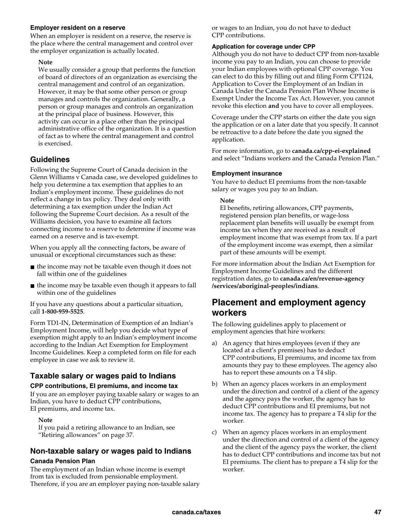#### **Employer resident on a reserve**

When an employer is resident on a reserve, the reserve is the place where the central management and control over the employer organization is actually located.

#### **Note**

We usually consider a group that performs the function of board of directors of an organization as exercising the central management and control of an organization. However, it may be that some other person or group manages and controls the organization. Generally, a person or group manages and controls an organization at the principal place of business. However, this activity can occur in a place other than the principal administrative office of the organization. It is a question of fact as to where the central management and control is exercised.

### **Guidelines**

Following the Supreme Court of Canada decision in the Glenn Williams v Canada case, we developed guidelines to help you determine a tax exemption that applies to an Indian's employment income. These guidelines do not reflect a change in tax policy. They deal only with determining a tax exemption under the Indian Act following the Supreme Court decision. As a result of the Williams decision, you have to examine all factors connecting income to a reserve to determine if income was earned on a reserve and is tax-exempt.

When you apply all the connecting factors, be aware of unusual or exceptional circumstances such as these:

- the income may not be taxable even though it does not fall within one of the guidelines
- the income may be taxable even though it appears to fall within one of the guidelines

If you have any questions about a particular situation, call **1-800-959-5525**.

Form TD1-IN, Determination of Exemption of an Indian's Employment Income, will help you decide what type of exemption might apply to an Indian's employment income according to the Indian Act Exemption for Employment Income Guidelines. Keep a completed form on file for each employee in case we ask to review it.

### **Taxable salary or wages paid to Indians**

### **CPP contributions, EI premiums, and income tax**

If you are an employer paying taxable salary or wages to an Indian, you have to deduct CPP contributions, EI premiums, and income tax.

#### **Note**

If you paid a retiring allowance to an Indian, see "Retiring allowances" on page 37.

### **Non-taxable salary or wages paid to Indians**

### **Canada Pension Plan**

The employment of an Indian whose income is exempt from tax is excluded from pensionable employment. Therefore, if you are an employer paying non-taxable salary or wages to an Indian, you do not have to deduct CPP contributions.

#### **Application for coverage under CPP**

Although you do not have to deduct CPP from non-taxable income you pay to an Indian, you can choose to provide your Indian employees with optional CPP coverage. You can elect to do this by filling out and filing Form CPT124, Application to Cover the Employment of an Indian in Canada Under the Canada Pension Plan Whose Income is Exempt Under the Income Tax Act. However, you cannot revoke this election **and** you have to cover all employees.

Coverage under the CPP starts on either the date you sign the application or on a later date that you specify. It cannot be retroactive to a date before the date you signed the application.

For more information, go to **canada.ca/cpp-ei-explained** and select "Indians workers and the Canada Pension Plan."

### **Employment insurance**

You have to deduct EI premiums from the non-taxable salary or wages you pay to an Indian.

#### **Note**

EI benefits, retiring allowances, CPP payments, registered pension plan benefits, or wage-loss replacement plan benefits will usually be exempt from income tax when they are received as a result of employment income that was exempt from tax. If a part of the employment income was exempt, then a similar part of these amounts will be exempt.

For more information about the Indian Act Exemption for Employment Income Guidelines and the different registration dates, go to **canada.ca/en/revenue-agency /services/aboriginal-peoples/indians**.

### **Placement and employment agency workers**

The following guidelines apply to placement or employment agencies that hire workers:

- a) An agency that hires employees (even if they are located at a client's premises) has to deduct CPP contributions, EI premiums, and income tax from amounts they pay to these employees. The agency also has to report these amounts on a T4 slip.
- b) When an agency places workers in an employment under the direction and control of a client of the agency and the agency pays the worker, the agency has to deduct CPP contributions and EI premiums, but not income tax. The agency has to prepare a T4 slip for the worker.
- c) When an agency places workers in an employment under the direction and control of a client of the agency and the client of the agency pays the worker, the client has to deduct CPP contributions and income tax but not EI premiums. The client has to prepare a T4 slip for the worker.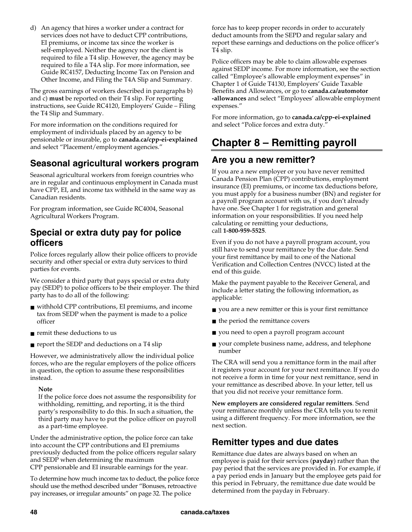d) An agency that hires a worker under a contract for services does not have to deduct CPP contributions, EI premiums, or income tax since the worker is self-employed. Neither the agency nor the client is required to file a T4 slip. However, the agency may be required to file a T4A slip. For more information, see Guide RC4157, Deducting Income Tax on Pension and Other Income, and Filing the T4A Slip and Summary.

The gross earnings of workers described in paragraphs b) and c) **must** be reported on their T4 slip. For reporting instructions, see Guide RC4120, Employers' Guide – Filing the T4 Slip and Summary.

For more information on the conditions required for employment of individuals placed by an agency to be pensionable or insurable, go to **canada.ca/cpp-ei-explained**  and select "Placement/employment agencies."

## **Seasonal agricultural workers program**

Seasonal agricultural workers from foreign countries who are in regular and continuous employment in Canada must have CPP, EI, and income tax withheld in the same way as Canadian residents.

For program information, see Guide RC4004, Seasonal Agricultural Workers Program.

### **Special or extra duty pay for police officers**

Police forces regularly allow their police officers to provide security and other special or extra duty services to third parties for events.

We consider a third party that pays special or extra duty pay (SEDP) to police officers to be their employer. The third party has to do all of the following:

- withhold CPP contributions, EI premiums, and income tax from SEDP when the payment is made to a police officer
- remit these deductions to us
- report the SEDP and deductions on a T4 slip

However, we administratively allow the individual police forces, who are the regular employers of the police officers in question, the option to assume these responsibilities instead.

### **Note**

If the police force does not assume the responsibility for withholding, remitting, and reporting, it is the third party's responsibility to do this. In such a situation, the third party may have to put the police officer on payroll as a part-time employee.

Under the administrative option, the police force can take into account the CPP contributions and EI premiums previously deducted from the police officers regular salary and SEDP when determining the maximum CPP pensionable and EI insurable earnings for the year.

To determine how much income tax to deduct, the police force should use the method described under "Bonuses, retroactive pay increases, or irregular amounts" on page 32. The police

force has to keep proper records in order to accurately deduct amounts from the SEPD and regular salary and report these earnings and deductions on the police officer's T4 slip.

Police officers may be able to claim allowable expenses against SEDP income. For more information, see the section called "Employee's allowable employment expenses" in Chapter 1 of Guide T4130, Employers' Guide Taxable Benefits and Allowances, or go to **canada.ca/automotor -allowances** and select "Employees' allowable employment expenses."

For more information, go to **canada.ca/cpp-ei-explained**  and select "Police forces and extra duty."

## **Chapter 8 – Remitting payroll**

## **Are you a new remitter?**

If you are a new employer or you have never remitted Canada Pension Plan (CPP) contributions, employment insurance (EI) premiums, or income tax deductions before, you must apply for a business number (BN) and register for a payroll program account with us, if you don't already have one. See Chapter 1 for registration and general information on your responsibilities. If you need help calculating or remitting your deductions, call **1-800-959-5525**.

Even if you do not have a payroll program account, you still have to send your remittance by the due date. Send your first remittance by mail to one of the National Verification and Collection Centres (NVCC) listed at the end of this guide.

Make the payment payable to the Receiver General, and include a letter stating the following information, as applicable:

- you are a new remitter or this is your first remittance
- the period the remittance covers
- you need to open a payroll program account
- your complete business name, address, and telephone number

The CRA will send you a remittance form in the mail after it registers your account for your next remittance. If you do not receive a form in time for your next remittance, send in your remittance as described above. In your letter, tell us that you did not receive your remittance form.

**New employers are considered regular remitters**. Send your remittance monthly unless the CRA tells you to remit using a different frequency. For more information, see the next section.

## **Remitter types and due dates**

Remittance due dates are always based on when an employee is paid for their services (**payday**) rather than the pay period that the services are provided in. For example, if a pay period ends in January but the employee gets paid for this period in February, the remittance due date would be determined from the payday in February.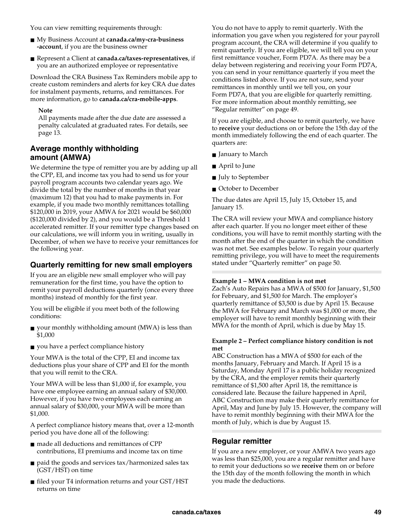You can view remitting requirements through:

- My Business Account at **canada.ca/my-cra-business -account**, if you are the business owner
- Represent a Client at **canada.ca/taxes-representatives**, if you are an authorized employee or representative

Download the CRA Business Tax Reminders mobile app to create custom reminders and alerts for key CRA due dates for instalment payments, returns, and remittances. For more information, go to **canada.ca/cra-mobile-apps**.

### **Note**

All payments made after the due date are assessed a penalty calculated at graduated rates. For details, see page 13.

### **Average monthly withholding amount (AMWA)**

We determine the type of remitter you are by adding up all the CPP, EI, and income tax you had to send us for your payroll program accounts two calendar years ago. We divide the total by the number of months in that year (maximum 12) that you had to make payments in. For example, if you made two monthly remittances totalling \$120,000 in 2019, your AMWA for 2021 would be \$60,000 (\$120,000 divided by 2), and you would be a Threshold 1 accelerated remitter. If your remitter type changes based on our calculations, we will inform you in writing, usually in December, of when we have to receive your remittances for the following year.

### **Quarterly remitting for new small employers**

If you are an eligible new small employer who will pay remuneration for the first time, you have the option to remit your payroll deductions quarterly (once every three months) instead of monthly for the first year.

You will be eligible if you meet both of the following conditions:

- $\blacksquare$  your monthly withholding amount (MWA) is less than \$1,000
- you have a perfect compliance history

Your MWA is the total of the CPP, EI and income tax deductions plus your share of CPP and EI for the month that you will remit to the CRA.

Your MWA will be less than \$1,000 if, for example, you have one employee earning an annual salary of \$30,000. However, if you have two employees each earning an annual salary of \$30,000, your MWA will be more than \$1,000.

A perfect compliance history means that, over a 12-month period you have done all of the following:

- made all deductions and remittances of CPP contributions, EI premiums and income tax on time
- $\blacksquare$  paid the goods and services tax/harmonized sales tax (GST/HST) on time
- filed your T4 information returns and your GST/HST returns on time

You do not have to apply to remit quarterly. With the information you gave when you registered for your payroll program account, the CRA will determine if you qualify to remit quarterly. If you are eligible, we will tell you on your first remittance voucher, Form PD7A. As there may be a delay between registering and receiving your Form PD7A, you can send in your remittance quarterly if you meet the conditions listed above. If you are not sure, send your remittances in monthly until we tell you, on your Form PD7A, that you are eligible for quarterly remitting. For more information about monthly remitting, see "Regular remitter" on page 49.

If you are eligible, and choose to remit quarterly, we have to **receive** your deductions on or before the 15th day of the month immediately following the end of each quarter. The quarters are:

- January to March
- April to June
- July to September
- October to December

The due dates are April 15, July 15, October 15, and January 15.

The CRA will review your MWA and compliance history after each quarter. If you no longer meet either of these conditions, you will have to remit monthly starting with the month after the end of the quarter in which the condition was not met. See examples below. To regain your quarterly remitting privilege, you will have to meet the requirements stated under "Quarterly remitter" on page 50.

### **Example 1 – MWA condition is not met**

Zach's Auto Repairs has a MWA of \$500 for January, \$1,500 for February, and \$1,500 for March. The employer's quarterly remittance of \$3,500 is due by April 15. Because the MWA for February and March was \$1,000 or more, the employer will have to remit monthly beginning with their MWA for the month of April, which is due by May 15.

#### **Example 2 – Perfect compliance history condition is not met**

ABC Construction has a MWA of \$500 for each of the months January, February and March. If April 15 is a Saturday, Monday April 17 is a public holiday recognized by the CRA, and the employer remits their quarterly remittance of \$1,500 after April 18, the remittance is considered late. Because the failure happened in April, ABC Construction may make their quarterly remittance for April, May and June by July 15. However, the company will have to remit monthly beginning with their MWA for the month of July, which is due by August 15.

### **Regular remitter**

If you are a new employer, or your AMWA two years ago was less than \$25,000, you are a regular remitter and have to remit your deductions so we **receive** them on or before the 15th day of the month following the month in which you made the deductions.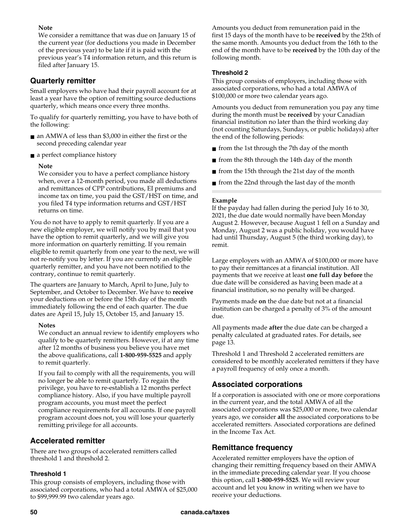### **Note**

We consider a remittance that was due on January 15 of the current year (for deductions you made in December of the previous year) to be late if it is paid with the previous year's T4 information return, and this return is filed after January 15.

### **Quarterly remitter**

Small employers who have had their payroll account for at least a year have the option of remitting source deductions quarterly, which means once every three months.

To qualify for quarterly remitting, you have to have both of the following:

- an AMWA of less than \$3,000 in either the first or the second preceding calendar year
- a perfect compliance history

### **Note**

We consider you to have a perfect compliance history when, over a 12-month period, you made all deductions and remittances of CPP contributions, EI premiums and income tax on time, you paid the GST/HST on time, and you filed T4 type information returns and GST/HST returns on time.

You do not have to apply to remit quarterly. If you are a new eligible employer, we will notify you by mail that you have the option to remit quarterly, and we will give you more information on quarterly remitting. If you remain eligible to remit quarterly from one year to the next, we will not re-notify you by letter. If you are currently an eligible quarterly remitter, and you have not been notified to the contrary, continue to remit quarterly.

The quarters are January to March, April to June, July to September, and October to December. We have to **receive**  your deductions on or before the 15th day of the month immediately following the end of each quarter. The due dates are April 15, July 15, October 15, and January 15.

### **Notes**

We conduct an annual review to identify employers who qualify to be quarterly remitters. However, if at any time after 12 months of business you believe you have met the above qualifications, call **1-800-959-5525** and apply to remit quarterly.

If you fail to comply with all the requirements, you will no longer be able to remit quarterly. To regain the privilege, you have to re-establish a 12 months perfect compliance history. Also, if you have multiple payroll program accounts, you must meet the perfect compliance requirements for all accounts. If one payroll program account does not, you will lose your quarterly remitting privilege for all accounts.

### **Accelerated remitter**

There are two groups of accelerated remitters called threshold 1 and threshold 2.

### **Threshold 1**

This group consists of employers, including those with associated corporations, who had a total AMWA of \$25,000 to \$99,999.99 two calendar years ago.

Amounts you deduct from remuneration paid in the first 15 days of the month have to be **received** by the 25th of the same month. Amounts you deduct from the 16th to the end of the month have to be **received** by the 10th day of the following month.

### **Threshold 2**

This group consists of employers, including those with associated corporations, who had a total AMWA of \$100,000 or more two calendar years ago.

Amounts you deduct from remuneration you pay any time during the month must be **received** by your Canadian financial institution no later than the third working day (not counting Saturdays, Sundays, or public holidays) after the end of the following periods:

- from the 1st through the 7th day of the month
- from the 8th through the 14th day of the month
- from the 15th through the 21st day of the month
- from the 22nd through the last day of the month

### **Example**

If the payday had fallen during the period July 16 to 30, 2021, the due date would normally have been Monday August 2. However, because August 1 fell on a Sunday and Monday, August 2 was a public holiday, you would have had until Thursday, August 5 (the third working day), to remit.

Large employers with an AMWA of \$100,000 or more have to pay their remittances at a financial institution. All payments that we receive at least **one full day before** the due date will be considered as having been made at a financial institution, so no penalty will be charged.

Payments made **on** the due date but not at a financial institution can be charged a penalty of 3% of the amount due.

All payments made **after** the due date can be charged a penalty calculated at graduated rates. For details, see page 13.

Threshold 1 and Threshold 2 accelerated remitters are considered to be monthly accelerated remitters if they have a payroll frequency of only once a month.

### **Associated corporations**

If a corporation is associated with one or more corporations in the current year, and the total AMWA of all the associated corporations was \$25,000 or more, two calendar years ago, we consider **all** the associated corporations to be accelerated remitters. Associated corporations are defined in the Income Tax Act.

### **Remittance frequency**

Accelerated remitter employers have the option of changing their remitting frequency based on their AMWA in the immediate preceding calendar year. If you choose this option, call **1-800-959-5525**. We will review your account and let you know in writing when we have to receive your deductions.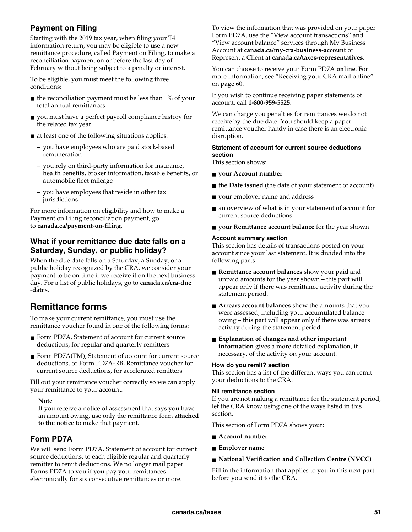### **Payment on Filing**

Starting with the 2019 tax year, when filing your T4 information return, you may be eligible to use a new remittance procedure, called Payment on Filing, to make a reconciliation payment on or before the last day of February without being subject to a penalty or interest.

To be eligible, you must meet the following three conditions:

- $\blacksquare$  the reconciliation payment must be less than 1% of your total annual remittances
- you must have a perfect payroll compliance history for the related tax year
- at least one of the following situations applies:
	- you have employees who are paid stock-based remuneration
	- you rely on third-party information for insurance, health benefits, broker information, taxable benefits, or automobile fleet mileage
	- you have employees that reside in other tax jurisdictions

For more information on eligibility and how to make a Payment on Filing reconciliation payment, go to **canada.ca/payment-on-filing**.

### **What if your remittance due date falls on a Saturday, Sunday, or public holiday?**

When the due date falls on a Saturday, a Sunday, or a public holiday recognized by the CRA, we consider your payment to be on time if we receive it on the next business day. For a list of public holidays, go to **canada.ca/cra-due -dates**.

## **Remittance forms**

To make your current remittance, you must use the remittance voucher found in one of the following forms:

- Form PD7A, Statement of account for current source deductions, for regular and quarterly remitters
- Form PD7A(TM), Statement of account for current source deductions, or Form PD7A-RB, Remittance voucher for current source deductions, for accelerated remitters

Fill out your remittance voucher correctly so we can apply your remittance to your account.

### **Note**

If you receive a notice of assessment that says you have an amount owing, use only the remittance form **attached to the notice** to make that payment.

### **Form PD7A**

We will send Form PD7A, Statement of account for current source deductions, to each eligible regular and quarterly remitter to remit deductions. We no longer mail paper Forms PD7A to you if you pay your remittances electronically for six consecutive remittances or more.

To view the information that was provided on your paper Form PD7A, use the "View account transactions" and "View account balance" services through My Business Account at **canada.ca/my-cra-business-account** or Represent a Client at **canada.ca/taxes-representatives**.

You can choose to receive your Form PD7A **online**. For more information, see "Receiving your CRA mail online" on page 60.

If you wish to continue receiving paper statements of account, call **1-800-959-5525**.

We can charge you penalties for remittances we do not receive by the due date. You should keep a paper remittance voucher handy in case there is an electronic disruption.

### **Statement of account for current source deductions section**

This section shows:

- your **Account number**
- the **Date issued** (the date of your statement of account)
- your employer name and address
- an overview of what is in your statement of account for current source deductions
- your **Remittance account balance** for the year shown

#### **Account summary section**

This section has details of transactions posted on your account since your last statement. It is divided into the following parts:

- **Remittance account balances** show your paid and unpaid amounts for the year shown – this part will appear only if there was remittance activity during the statement period.
- **Arrears account balances** show the amounts that you were assessed, including your accumulated balance owing – this part will appear only if there was arrears activity during the statement period.
- **Explanation of changes and other important information** gives a more detailed explanation, if necessary, of the activity on your account.

#### **How do you remit? section**

This section has a list of the different ways you can remit your deductions to the CRA.

#### **Nil remittance section**

If you are not making a remittance for the statement period, let the CRA know using one of the ways listed in this section.

This section of Form PD7A shows your:

- **Account number**
- **Employer name**
- **National Verification and Collection Centre (NVCC)**

Fill in the information that applies to you in this next part before you send it to the CRA.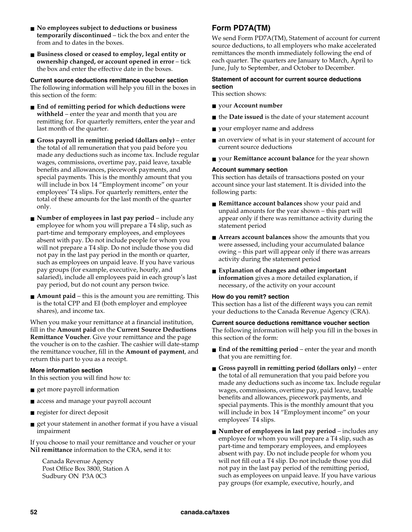- **No employees subject to deductions or business temporarily discontinued** – tick the box and enter the from and to dates in the boxes.
- **Business closed or ceased to employ, legal entity or ownership changed, or account opened in error** – tick the box and enter the effective date in the boxes.

**Current source deductions remittance voucher section** The following information will help you fill in the boxes in this section of the form:

- **End of remitting period for which deductions were withheld** – enter the year and month that you are remitting for. For quarterly remitters, enter the year and last month of the quarter.
- **Gross payroll in remitting period (dollars only)** enter the total of all remuneration that you paid before you made any deductions such as income tax. Include regular wages, commissions, overtime pay, paid leave, taxable benefits and allowances, piecework payments, and special payments. This is the monthly amount that you will include in box 14 "Employment income" on your employees' T4 slips. For quarterly remitters, enter the total of these amounts for the last month of the quarter only.
- **Number of employees in last pay period** include any employee for whom you will prepare a T4 slip, such as part-time and temporary employees, and employees absent with pay. Do not include people for whom you will not prepare a T4 slip. Do not include those you did not pay in the last pay period in the month or quarter, such as employees on unpaid leave. If you have various pay groups (for example, executive, hourly, and salaried), include all employees paid in each group's last pay period, but do not count any person twice.
- **Amount paid** this is the amount you are remitting. This is the total CPP and EI (both employer and employee shares), and income tax.

When you make your remittance at a financial institution, fill in the **Amount paid** on the **Current Source Deductions Remittance Voucher**. Give your remittance and the page the voucher is on to the cashier. The cashier will date-stamp the remittance voucher, fill in the **Amount of payment**, and return this part to you as a receipt.

#### **More information section**

In this section you will find how to:

- get more payroll information
- access and manage your payroll account
- register for direct deposit
- get your statement in another format if you have a visual impairment

If you choose to mail your remittance and voucher or your **Nil remittance** information to the CRA, send it to:

Canada Revenue Agency Post Office Box 3800, Station A Sudbury ON P3A 0C3

### **Form PD7A(TM)**

We send Form PD7A(TM), Statement of account for current source deductions, to all employers who make accelerated remittances the month immediately following the end of each quarter. The quarters are January to March, April to June, July to September, and October to December.

#### **Statement of account for current source deductions section**

This section shows:

- your **Account number**
- the **Date issued** is the date of your statement account
- your employer name and address
- an overview of what is in your statement of account for current source deductions
- your **Remittance account balance** for the year shown

#### **Account summary section**

This section has details of transactions posted on your account since your last statement. It is divided into the following parts:

- **Remittance account balances** show your paid and unpaid amounts for the year shown – this part will appear only if there was remittance activity during the statement period
- **Arrears account balances** show the amounts that you were assessed, including your accumulated balance owing – this part will appear only if there was arrears activity during the statement period
- **Explanation of changes and other important information** gives a more detailed explanation, if necessary, of the activity on your account

#### **How do you remit? section**

This section has a list of the different ways you can remit your deductions to the Canada Revenue Agency (CRA).

#### **Current source deductions remittance voucher section**

The following information will help you fill in the boxes in this section of the form:

- **End of the remitting period** enter the year and month that you are remitting for.
- **Gross payroll in remitting period (dollars only)** enter the total of all remuneration that you paid before you made any deductions such as income tax. Include regular wages, commissions, overtime pay, paid leave, taxable benefits and allowances, piecework payments, and special payments. This is the monthly amount that you will include in box 14 "Employment income" on your employees' T4 slips.
- **Number of employees in last pay period** includes any employee for whom you will prepare a T4 slip, such as part-time and temporary employees, and employees absent with pay. Do not include people for whom you will not fill out a T4 slip. Do not include those you did not pay in the last pay period of the remitting period, such as employees on unpaid leave. If you have various pay groups (for example, executive, hourly, and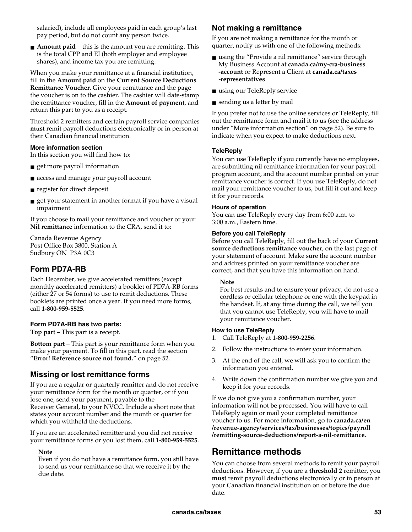salaried), include all employees paid in each group's last pay period, but do not count any person twice.

■ **Amount paid** – this is the amount you are remitting. This is the total CPP and EI (both employer and employee shares), and income tax you are remitting.

When you make your remittance at a financial institution, fill in the **Amount paid** on the **Current Source Deductions Remittance Voucher**. Give your remittance and the page the voucher is on to the cashier. The cashier will date-stamp the remittance voucher, fill in the **Amount of payment**, and return this part to you as a receipt.

Threshold 2 remitters and certain payroll service companies **must** remit payroll deductions electronically or in person at their Canadian financial institution.

#### **More information section**

In this section you will find how to:

- get more payroll information
- access and manage your payroll account
- register for direct deposit
- get your statement in another format if you have a visual impairment

If you choose to mail your remittance and voucher or your **Nil remittance** information to the CRA, send it to:

Canada Revenue Agency Post Office Box 3800, Station A Sudbury ON P3A 0C3

### **Form PD7A-RB**

Each December, we give accelerated remitters (except monthly accelerated remitters) a booklet of PD7A-RB forms (either 27 or 54 forms) to use to remit deductions. These booklets are printed once a year. If you need more forms, call **1-800-959-5525**.

#### **Form PD7A-RB has two parts:**

**Top part** – This part is a receipt.

**Bottom part** – This part is your remittance form when you make your payment. To fill in this part, read the section "**Error! Reference source not found.**" on page 52.

### **Missing or lost remittance forms**

If you are a regular or quarterly remitter and do not receive your remittance form for the month or quarter, or if you lose one, send your payment, payable to the Receiver General, to your NVCC. Include a short note that states your account number and the month or quarter for which you withheld the deductions.

If you are an accelerated remitter and you did not receive your remittance forms or you lost them, call **1-800-959-5525**.

#### **Note**

Even if you do not have a remittance form, you still have to send us your remittance so that we receive it by the due date.

### **Not making a remittance**

If you are not making a remittance for the month or quarter, notify us with one of the following methods:

- using the "Provide a nil remittance" service through My Business Account at **canada.ca/my-cra-business -account** or Represent a Client at **canada.ca/taxes -representatives**
- using our TeleReply service
- sending us a letter by mail

If you prefer not to use the online services or TeleReply, fill out the remittance form and mail it to us (see the address under "More information section" on page 52). Be sure to indicate when you expect to make deductions next.

#### **TeleReply**

You can use TeleReply if you currently have no employees, are submitting nil remittance information for your payroll program account, and the account number printed on your remittance voucher is correct. If you use TeleReply, do not mail your remittance voucher to us, but fill it out and keep it for your records.

#### **Hours of operation**

You can use TeleReply every day from 6:00 a.m. to 3:00 a.m., Eastern time.

#### **Before you call TeleReply**

Before you call TeleReply, fill out the back of your **Current source deductions remittance voucher**, on the last page of your statement of account. Make sure the account number and address printed on your remittance voucher are correct, and that you have this information on hand.

#### **Note**

For best results and to ensure your privacy, do not use a cordless or cellular telephone or one with the keypad in the handset. If, at any time during the call, we tell you that you cannot use TeleReply, you will have to mail your remittance voucher.

#### **How to use TeleReply**

- 1. Call TeleReply at **1-800-959-2256**.
- 2. Follow the instructions to enter your information.
- 3. At the end of the call, we will ask you to confirm the information you entered.
- 4. Write down the confirmation number we give you and keep it for your records.

If we do not give you a confirmation number, your information will not be processed. You will have to call TeleReply again or mail your completed remittance voucher to us. For more information, go to **canada.ca/en /revenue-agency/services/tax/businesses/topics/payroll /remitting-source-deductions/report-a-nil-remittance**.

### **Remittance methods**

You can choose from several methods to remit your payroll deductions. However, if you are a **threshold 2** remitter, you **must** remit payroll deductions electronically or in person at your Canadian financial institution on or before the due date.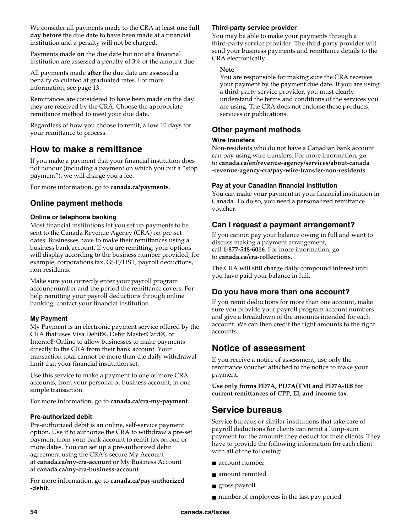We consider all payments made to the CRA at least **one full day before** the due date to have been made at a financial institution and a penalty will not be charged.

Payments made **on** the due date but not at a financial institution are assessed a penalty of 3% of the amount due.

All payments made **after** the due date are assessed a penalty calculated at graduated rates. For more information, see page 13.

Remittances are considered to have been made on the day they are received by the CRA. Choose the appropriate remittance method to meet your due date.

Regardless of how you choose to remit, allow 10 days for your remittance to process.

### **How to make a remittance**

If you make a payment that your financial institution does not honour (including a payment on which you put a "stop payment"), we will charge you a fee.

For more information, go to **canada.ca/payments**.

### **Online payment methods**

### **Online or telephone banking**

Most financial institutions let you set up payments to be sent to the Canada Revenue Agency (CRA) on pre-set dates. Businesses have to make their remittances using a business bank account. If you are remitting, your options will display according to the business number provided, for example, corporations tax, GST/HST, payroll deductions, non-residents.

Make sure you correctly enter your payroll program account number and the period the remittance covers. For help remitting your payroll deductions through online banking, contact your financial institution.

### **My Payment**

My Payment is an electronic payment service offered by the CRA that uses Visa Debit®, Debit MasterCard®, or Interac® Online to allow businesses to make payments directly to the CRA from their bank account. Your transaction total cannot be more than the daily withdrawal limit that your financial institution set.

Use this service to make a payment to one or more CRA accounts, from your personal or business account, in one simple transaction.

For more information, go to **canada.ca/cra-my-payment**.

### **Pre-authorized debit**

Pre-authorized debit is an online, self-service payment option. Use it to authorize the CRA to withdraw a pre-set payment from your bank account to remit tax on one or more dates. You can set up a pre-authorized debit agreement using the CRA's secure My Account at **canada.ca/my-cra-account** or My Business Account at **canada.ca/my-cra-business-account**.

For more information, go to **canada.ca/pay-authorized -debit**.

### **Third-party service provider**

You may be able to make your payments through a third-party service provider. The third-party provider will send your business payments and remittance details to the CRA electronically.

#### **Note**

You are responsible for making sure the CRA receives your payment by the payment due date. If you are using a third-party service provider, you must clearly understand the terms and conditions of the services you are using. The CRA does not endorse these products, services or publications.

### **Other payment methods**

### **Wire transfers**

Non-residents who do not have a Canadian bank account can pay using wire transfers. For more information, go to **canada.ca/en/revenue-agency/services/about-canada -revenue-agency-cra/pay-wire-transfer-non-residents**.

### **Pay at your Canadian financial institution**

You can make your payment at your financial institution in Canada. To do so, you need a personalized remittance voucher.

### **Can I request a payment arrangement?**

If you cannot pay your balance owing in full and want to discuss making a payment arrangement, call **1-877-548-6016**. For more information, go to **canada.ca/cra-collections**.

The CRA will still charge daily compound interest until you have paid your balance in full.

### **Do you have more than one account?**

If you remit deductions for more than one account, make sure you provide your payroll program account numbers and give a breakdown of the amounts intended for each account. We can then credit the right amounts to the right accounts.

### **Notice of assessment**

If you receive a notice of assessment, use only the remittance voucher attached to the notice to make your payment.

**Use only forms PD7A, PD7A(TM) and PD7A-RB for current remittances of CPP, EI, and income tax**.

### **Service bureaus**

Service bureaus or similar institutions that take care of payroll deductions for clients can remit a lump-sum payment for the amounts they deduct for their clients. They have to provide the following information for each client with all of the following:

- account number
- amount remitted
- gross payroll
- number of employees in the last pay period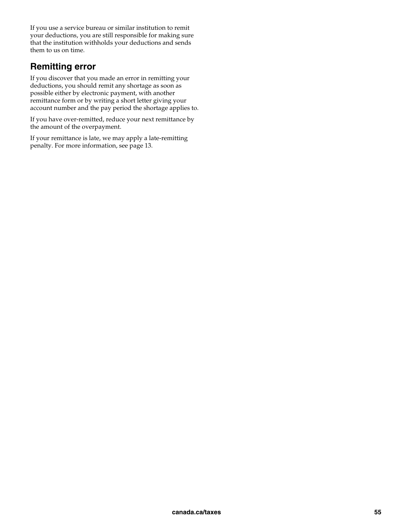If you use a service bureau or similar institution to remit your deductions, you are still responsible for making sure that the institution withholds your deductions and sends them to us on time.

### **Remitting error**

If you discover that you made an error in remitting your deductions, you should remit any shortage as soon as possible either by electronic payment, with another remittance form or by writing a short letter giving your account number and the pay period the shortage applies to.

If you have over-remitted, reduce your next remittance by the amount of the overpayment.

If your remittance is late, we may apply a late-remitting penalty. For more information, see page 13.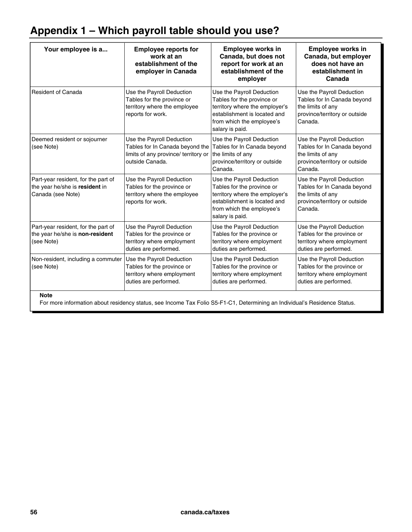## **Appendix 1 – Which payroll table should you use?**

| Your employee is a                                                                                                                       | <b>Employee reports for</b><br>work at an<br>establishment of the<br>employer in Canada                                 | <b>Employee works in</b><br>Canada, but does not<br>report for work at an<br>establishment of the<br>employer                                                             | Employee works in<br>Canada, but employer<br>does not have an<br>establishment in<br>Canada                               |  |
|------------------------------------------------------------------------------------------------------------------------------------------|-------------------------------------------------------------------------------------------------------------------------|---------------------------------------------------------------------------------------------------------------------------------------------------------------------------|---------------------------------------------------------------------------------------------------------------------------|--|
| <b>Resident of Canada</b>                                                                                                                | Use the Payroll Deduction<br>Tables for the province or<br>territory where the employee<br>reports for work.            | Use the Payroll Deduction<br>Tables for the province or<br>territory where the employer's<br>establishment is located and<br>from which the employee's<br>salary is paid. | Use the Payroll Deduction<br>Tables for In Canada beyond<br>the limits of any<br>province/territory or outside<br>Canada. |  |
| Deemed resident or sojourner<br>(see Note)                                                                                               | Use the Payroll Deduction<br>Tables for In Canada beyond the<br>limits of any province/ territory or<br>outside Canada. | Use the Payroll Deduction<br>Tables for In Canada beyond<br>the limits of any<br>province/territory or outside<br>Canada.                                                 | Use the Payroll Deduction<br>Tables for In Canada beyond<br>the limits of any<br>province/territory or outside<br>Canada. |  |
| Part-year resident, for the part of<br>the year he/she is resident in<br>Canada (see Note)                                               | Use the Payroll Deduction<br>Tables for the province or<br>territory where the employee<br>reports for work.            | Use the Payroll Deduction<br>Tables for the province or<br>territory where the employer's<br>establishment is located and<br>from which the employee's<br>salary is paid. | Use the Payroll Deduction<br>Tables for In Canada beyond<br>the limits of any<br>province/territory or outside<br>Canada. |  |
| Part-year resident, for the part of<br>the year he/she is non-resident<br>(see Note)                                                     | Use the Payroll Deduction<br>Tables for the province or<br>territory where employment<br>duties are performed.          | Use the Payroll Deduction<br>Tables for the province or<br>territory where employment<br>duties are performed.                                                            | Use the Payroll Deduction<br>Tables for the province or<br>territory where employment<br>duties are performed.            |  |
| Non-resident, including a commuter<br>(see Note)                                                                                         | Use the Payroll Deduction<br>Tables for the province or<br>territory where employment<br>duties are performed.          | Use the Payroll Deduction<br>Tables for the province or<br>territory where employment<br>duties are performed.                                                            | Use the Payroll Deduction<br>Tables for the province or<br>territory where employment<br>duties are performed.            |  |
| <b>Note</b><br>For more information about residency status, see Income Tax Folio S5-F1-C1, Determining an Individual's Residence Status. |                                                                                                                         |                                                                                                                                                                           |                                                                                                                           |  |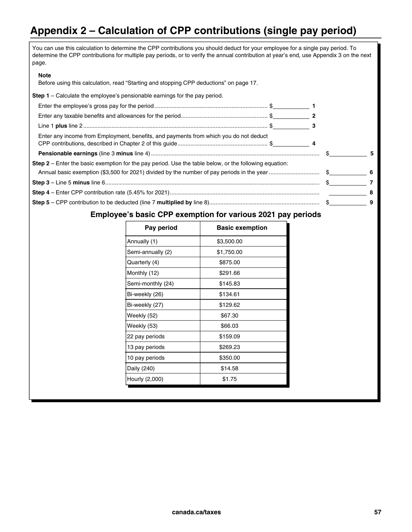## **Appendix 2 – Calculation of CPP contributions (single pay period)**

| You can use this calculation to determine the CPP contributions you should deduct for your employee for a single pay period. To<br>determine the CPP contributions for multiple pay periods, or to verify the annual contribution at year's end, use Appendix 3 on the next<br>page. |   |
|--------------------------------------------------------------------------------------------------------------------------------------------------------------------------------------------------------------------------------------------------------------------------------------|---|
| <b>Note</b><br>Before using this calculation, read "Starting and stopping CPP deductions" on page 17.                                                                                                                                                                                |   |
| <b>Step 1</b> – Calculate the employee's pensionable earnings for the pay period.                                                                                                                                                                                                    |   |
|                                                                                                                                                                                                                                                                                      |   |
|                                                                                                                                                                                                                                                                                      |   |
|                                                                                                                                                                                                                                                                                      |   |
| Enter any income from Employment, benefits, and payments from which you do not deduct                                                                                                                                                                                                |   |
|                                                                                                                                                                                                                                                                                      |   |
| Step 2 - Enter the basic exemption for the pay period. Use the table below, or the following equation:                                                                                                                                                                               |   |
|                                                                                                                                                                                                                                                                                      |   |
|                                                                                                                                                                                                                                                                                      |   |
|                                                                                                                                                                                                                                                                                      | 9 |

## **Employee's basic CPP exemption for various 2021 pay periods**

| Pay period        | <b>Basic exemption</b> |
|-------------------|------------------------|
| Annually (1)      | \$3,500.00             |
| Semi-annually (2) | \$1,750.00             |
| Quarterly (4)     | \$875.00               |
| Monthly (12)      | \$291.66               |
| Semi-monthly (24) | \$145.83               |
| Bi-weekly (26)    | \$134.61               |
| Bi-weekly (27)    | \$129.62               |
| Weekly (52)       | \$67.30                |
| Weekly (53)       | \$66.03                |
| 22 pay periods    | \$159.09               |
| 13 pay periods    | \$269.23               |
| 10 pay periods    | \$350.00               |
| Daily (240)       | \$14.58                |
| Hourly (2,000)    | \$1.75                 |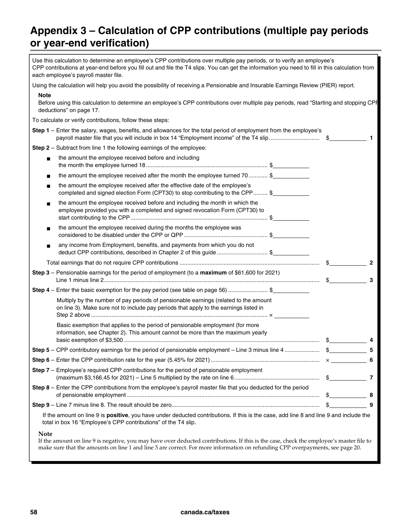## **Appendix 3 – Calculation of CPP contributions (multiple pay periods or year-end verification)**

| Use this calculation to determine an employee's CPP contributions over multiple pay periods, or to verify an employee's<br>CPP contributions at year-end before you fill out and file the T4 slips. You can get the information you need to fill in this calculation from<br>each employee's payroll master file. |                                              |
|-------------------------------------------------------------------------------------------------------------------------------------------------------------------------------------------------------------------------------------------------------------------------------------------------------------------|----------------------------------------------|
| Using the calculation will help you avoid the possibility of receiving a Pensionable and Insurable Earnings Review (PIER) report.                                                                                                                                                                                 |                                              |
| <b>Note</b><br>Before using this calculation to determine an employee's CPP contributions over multiple pay periods, read "Starting and stopping CPF<br>deductions" on page 17.                                                                                                                                   |                                              |
| To calculate or verify contributions, follow these steps:                                                                                                                                                                                                                                                         |                                              |
| Step 1 - Enter the salary, wages, benefits, and allowances for the total period of employment from the employee's                                                                                                                                                                                                 |                                              |
| Step 2 - Subtract from line 1 the following earnings of the employee:                                                                                                                                                                                                                                             |                                              |
| the amount the employee received before and including                                                                                                                                                                                                                                                             |                                              |
| the amount the employee received after the month the employee turned 70 \$                                                                                                                                                                                                                                        |                                              |
| the amount the employee received after the effective date of the employee's<br>completed and signed election Form (CPT30) to stop contributing to the CPP \$                                                                                                                                                      |                                              |
| the amount the employee received before and including the month in which the<br>employee provided you with a completed and signed revocation Form (CPT30) to                                                                                                                                                      |                                              |
| the amount the employee received during the months the employee was                                                                                                                                                                                                                                               |                                              |
| any income from Employment, benefits, and payments from which you do not<br>deduct CPP contributions, described in Chapter 2 of this guide \$                                                                                                                                                                     |                                              |
|                                                                                                                                                                                                                                                                                                                   |                                              |
| Step 3 - Pensionable earnings for the period of employment (to a maximum of \$61,600 for 2021)                                                                                                                                                                                                                    | 3                                            |
| Step 4 – Enter the basic exemption for the pay period (see table on page 56) \$                                                                                                                                                                                                                                   |                                              |
| Multiply by the number of pay periods of pensionable earnings (related to the amount<br>on line 3). Make sure not to include pay periods that apply to the earnings listed in                                                                                                                                     |                                              |
| Basic exemption that applies to the period of pensionable employment (for more<br>information, see Chapter 2). This amount cannot be more than the maximum yearly                                                                                                                                                 |                                              |
|                                                                                                                                                                                                                                                                                                                   |                                              |
|                                                                                                                                                                                                                                                                                                                   |                                              |
| <b>Step 7</b> – Employee's required CPP contributions for the period of pensionable employment                                                                                                                                                                                                                    |                                              |
| Step 8 – Enter the CPP contributions from the employee's payroll master file that you deducted for the period                                                                                                                                                                                                     | $\textcolor{red}{\textcircled{\small{5}}}$ 8 |
|                                                                                                                                                                                                                                                                                                                   | 9<br>$\mathbb{S}$                            |
| If the amount on line 9 is positive, you have under deducted contributions. If this is the case, add line 8 and line 9 and include the<br>total in box 16 "Employee's CPP contributions" of the T4 slip.                                                                                                          |                                              |
| Note                                                                                                                                                                                                                                                                                                              |                                              |

If the amount on line 9 is negative, you may have over deducted contributions. If this is the case, check the employee's master file to make sure that the amounts on line 1 and line 3 are correct. For more information on refunding CPP overpayments, see page 20.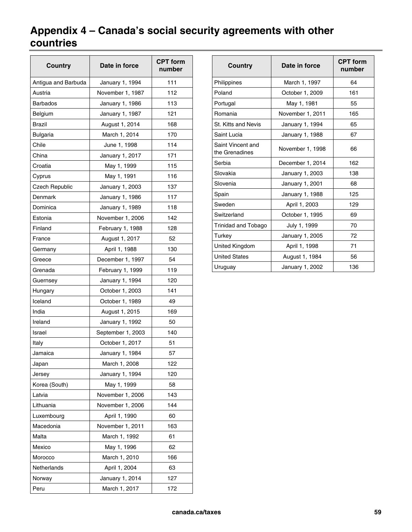## **Appendix 4 – Canada's social security agreements with other countries**

| Country             | Date in force     | <b>CPT form</b><br>number |  |
|---------------------|-------------------|---------------------------|--|
| Antigua and Barbuda | January 1, 1994   | 111                       |  |
| Austria             | November 1, 1987  | 112                       |  |
| <b>Barbados</b>     | January 1, 1986   | 113                       |  |
| Belgium             | January 1, 1987   | 121                       |  |
| <b>Brazil</b>       | August 1, 2014    | 168                       |  |
| <b>Bulgaria</b>     | March 1, 2014     | 170                       |  |
| Chile               | June 1, 1998      | 114                       |  |
| China               | January 1, 2017   | 171                       |  |
| Croatia             | May 1, 1999       | 115                       |  |
| Cyprus              | May 1, 1991       | 116                       |  |
| Czech Republic      | January 1, 2003   | 137                       |  |
| Denmark             | January 1, 1986   | 117                       |  |
| Dominica            | January 1, 1989   | 118                       |  |
| Estonia             | November 1, 2006  | 142                       |  |
| Finland             | February 1, 1988  | 128                       |  |
| France              | August 1, 2017    | 52                        |  |
| Germany             | April 1, 1988     | 130                       |  |
| Greece              | December 1, 1997  | 54                        |  |
| Grenada             | February 1, 1999  | 119                       |  |
| Guernsey            | January 1, 1994   | 120                       |  |
| Hungary             | October 1, 2003   | 141                       |  |
| Iceland             | October 1, 1989   | 49                        |  |
| India               | August 1, 2015    | 169                       |  |
| Ireland             | January 1, 1992   | 50                        |  |
| Israel              | September 1, 2003 | 140                       |  |
| Italy               | October 1, 2017   | 51                        |  |
| Jamaica             | January 1, 1984   | 57                        |  |
| Japan               | March 1, 2008     | 122                       |  |
| Jersey              | January 1, 1994   | 120                       |  |
| Korea (South)       | May 1, 1999       | 58                        |  |
| Latvia              | November 1, 2006  | 143                       |  |
| Lithuania           | November 1, 2006  | 144                       |  |
| Luxembourg          | April 1, 1990     | 60                        |  |
| Macedonia           | November 1, 2011  | 163                       |  |
| Malta               | March 1, 1992     | 61                        |  |
| Mexico              | May 1, 1996       | 62                        |  |
| Morocco             | March 1, 2010     | 166                       |  |
| Netherlands         | April 1, 2004     | 63                        |  |
| Norway              | January 1, 2014   | 127                       |  |
| Peru                | March 1, 2017     | 172                       |  |

| Country                             | Date in force    | <b>CPT form</b><br>number |
|-------------------------------------|------------------|---------------------------|
| Philippines                         | March 1, 1997    | 64                        |
| Poland                              | October 1, 2009  | 161                       |
| Portugal                            | May 1, 1981      | 55                        |
| Romania                             | November 1, 2011 | 165                       |
| <b>St. Kitts and Nevis</b>          | January 1, 1994  | 65                        |
| Saint Lucia                         | January 1, 1988  | 67                        |
| Saint Vincent and<br>the Grenadines | November 1, 1998 | 66                        |
| Serbia                              | December 1, 2014 | 162                       |
| Slovakia                            | January 1, 2003  | 138                       |
| Slovenia                            | January 1, 2001  | 68                        |
| Spain                               | January 1, 1988  | 125                       |
| Sweden                              | April 1, 2003    | 129                       |
| Switzerland                         | October 1, 1995  | 69                        |
| Trinidad and Tobago                 | July 1, 1999     | 70                        |
| Turkey                              | January 1, 2005  | 72                        |
| United Kingdom                      | April 1, 1998    | 71                        |
| <b>United States</b>                | August 1, 1984   | 56                        |
| Uruguay                             | January 1, 2002  | 136                       |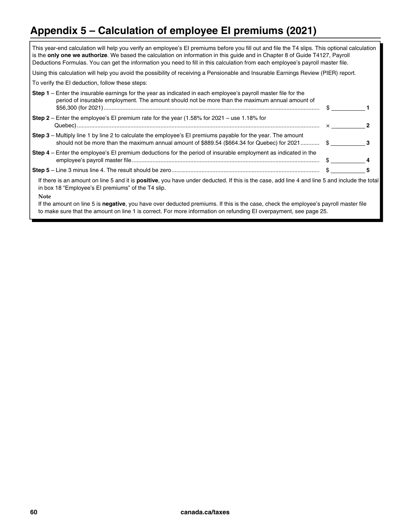## **Appendix 5 – Calculation of employee EI premiums (2021)**

| This year-end calculation will help you verify an employee's EI premiums before you fill out and file the T4 slips. This optional calculation<br>is the only one we authorize. We based the calculation on information in this guide and in Chapter 8 of Guide T4127, Payroll<br>Deductions Formulas. You can get the information you need to fill in this calculation from each employee's payroll master file. |               |   |
|------------------------------------------------------------------------------------------------------------------------------------------------------------------------------------------------------------------------------------------------------------------------------------------------------------------------------------------------------------------------------------------------------------------|---------------|---|
| Using this calculation will help you avoid the possibility of receiving a Pensionable and Insurable Earnings Review (PIER) report.                                                                                                                                                                                                                                                                               |               |   |
| To verify the EI deduction, follow these steps:                                                                                                                                                                                                                                                                                                                                                                  |               |   |
| <b>Step 1</b> – Enter the insurable earnings for the year as indicated in each employee's payroll master file for the<br>period of insurable employment. The amount should not be more than the maximum annual amount of                                                                                                                                                                                         | $\frac{1}{2}$ |   |
| Step $2$ – Enter the employee's EI premium rate for the year (1.58% for 2021 – use 1.18% for                                                                                                                                                                                                                                                                                                                     |               |   |
| Step 3 - Multiply line 1 by line 2 to calculate the employee's EI premiums payable for the year. The amount<br>should not be more than the maximum annual amount of \$889.54 (\$664.34 for Quebec) for 2021 \$                                                                                                                                                                                                   |               | з |
| Step 4 – Enter the employee's El premium deductions for the period of insurable employment as indicated in the                                                                                                                                                                                                                                                                                                   |               |   |
|                                                                                                                                                                                                                                                                                                                                                                                                                  |               |   |
| If there is an amount on line 5 and it is positive, you have under deducted. If this is the case, add line 4 and line 5 and include the total<br>in box 18 "Employee's El premiums" of the T4 slip.                                                                                                                                                                                                              |               |   |
| <b>Note</b><br>If the amount on line 5 is negative, you have over deducted premiums. If this is the case, check the employee's payroll master file<br>to make sure that the amount on line 1 is correct. For more information on refunding EI overpayment, see page 25.                                                                                                                                          |               |   |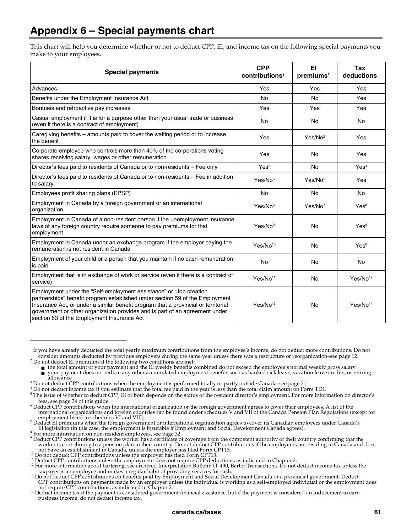## **Appendix 6 – Special payments chart**

This chart will help you determine whether or not to deduct CPP, EI, and income tax on the following special payments you make to your employees.

| <b>Special payments</b>                                                                                                                                                                                                                                                                                                                                               | <b>CPP</b><br>contributions <sup>1</sup> | EI<br>premiums <sup>1</sup> | Tax<br>deductions    |
|-----------------------------------------------------------------------------------------------------------------------------------------------------------------------------------------------------------------------------------------------------------------------------------------------------------------------------------------------------------------------|------------------------------------------|-----------------------------|----------------------|
| Advances                                                                                                                                                                                                                                                                                                                                                              | Yes                                      | Yes                         | Yes                  |
| Benefits under the Employment Insurance Act                                                                                                                                                                                                                                                                                                                           | <b>No</b>                                | <b>No</b>                   | Yes                  |
| Bonuses and retroactive pay increases                                                                                                                                                                                                                                                                                                                                 | Yes                                      | Yes                         | Yes                  |
| Casual employment if it is for a purpose other than your usual trade or business<br>(even if there is a contract of employment)                                                                                                                                                                                                                                       | <b>No</b>                                | <b>No</b>                   | No                   |
| Caregiving benefits - amounts paid to cover the waiting period or to increase<br>the benefit                                                                                                                                                                                                                                                                          | Yes                                      | Yes/No <sup>2</sup>         | Yes                  |
| Corporate employee who controls more than 40% of the corporations voting<br>shares receiving salary, wages or other remuneration                                                                                                                                                                                                                                      | Yes                                      | <b>No</b>                   | Yes                  |
| Director's fees paid to residents of Canada or to non-residents - Fee only                                                                                                                                                                                                                                                                                            | Yes <sup>3</sup>                         | <b>No</b>                   | Yes <sup>4</sup>     |
| Director's fees paid to residents of Canada or to non-residents - Fee in addition<br>to salary                                                                                                                                                                                                                                                                        | Yes/No <sup>5</sup>                      | Yes/No <sup>5</sup>         | Yes                  |
| Employees profit sharing plans (EPSP)                                                                                                                                                                                                                                                                                                                                 | <b>No</b>                                | <b>No</b>                   | <b>No</b>            |
| Employment in Canada by a foreign government or an international<br>organization                                                                                                                                                                                                                                                                                      | Yes/No <sup>6</sup>                      | Yes/No <sup>7</sup>         | Yes <sup>8</sup>     |
| Employment in Canada of a non-resident person if the unemployment insurance<br>laws of any foreign country require someone to pay premiums for that<br>employment                                                                                                                                                                                                     | Yes/No <sup>9</sup>                      | <b>No</b>                   | Yes <sup>8</sup>     |
| Employment in Canada under an exchange program if the employer paying the<br>remuneration is not resident in Canada                                                                                                                                                                                                                                                   | Yes/No <sup>10</sup>                     | <b>No</b>                   | Yes <sup>8</sup>     |
| Employment of your child or a person that you maintain if no cash remuneration<br>is paid                                                                                                                                                                                                                                                                             | No                                       | No                          | No                   |
| Employment that is in exchange of work or service (even if there is a contract of<br>service)                                                                                                                                                                                                                                                                         | Yes/No <sup>11</sup>                     | <b>No</b>                   | Yes/No <sup>12</sup> |
| Employment under the "Self-employment assistance" or "Job creation<br>partnerships" benefit program established under section 59 of the Employment<br>Insurance Act, or under a similar benefit program that a provincial or territorial<br>government or other organization provides and is part of an agreement under<br>section 63 of the Employment Insurance Act | Yes/No <sup>13</sup>                     | No                          | Yes/No <sup>14</sup> |

<sup>&</sup>lt;sup>1</sup> If you have already deducted the total yearly maximum contributions from the employee's income, do not deduct more contributions. Do not consider amounts deducted by previous employers during the same year unless there was a restructure or reorganization–see page 12.<br><sup>2</sup> Do not deduct EI premiums if the following two conditions are met:<br>**<sup>2</sup>** Do not deduct

 $\overline{a}$ 

<sup>8</sup> For more information on non-resident employees, see page 32.

<sup>■</sup> your payment does not reduce any other accumulated employment benefits such as banked sick leave, vacation leave credits, or retiring allowance

allowance<br><sup>3</sup> Do not deduct CPP contributions when the employment is performed totally or partly outside Canada–see page 21.<br><sup>4</sup> Do not deduct income tax if you estimate that the total fee paid in the year is less than the

<sup>&</sup>lt;sup>4</sup> Do not deduct income tax if you estimate that the total fee paid in the year is less than the total claim amount on Form TD1.<br><sup>5</sup> The issue of whether to deduct CPP. ELor both depends on the status of the resident dire

<sup>&</sup>lt;sup>5</sup>The issue of whether to deduct CPP, EI or both depends on the status of the resident director's employment. For more information on director's

fees, see page 34 of this guide. 6 Deduct CPP contributions when the international organization or the foreign government agrees to cover their employees. A list of the international organizations and foreign countries can be found under schedules V and VII of the Canada Pension Plan Regulations (except for employment listed in schedules VI and VIII).

 $^7$  Deduct EI premiums when the foreign government or international organization agrees to cover its Canadian employees under Canada's EI legislation (in this case, the employment is insurable if Employment and Social Development Canada agrees). 8

 $^9$  Deduct CPP contributions unless the worker has a certificate of coverage from the competent authority of their country confirming that the worker is contributing to a pension plan in their country. Do not deduct CPP contributions if the employer is not residing in Canada and does not have an establishment in Canada, unless the employer has filed Form CPT13.

<sup>&</sup>lt;sup>10</sup> Do not deduct CPP contributions unless the employer has filed Form CPT13.<br><sup>11</sup> Deduct CPP contributions unless the employment does not require CPP deductions, as indicated in Chapter 2.<br><sup>12</sup> For more information about

<sup>&</sup>lt;sup>13</sup> Do not deduct CPP contributions on benefits paid by Employment and Social Development Canada or a provincial government. Deduct CPP contributions on payments made by an employer unless the individual is working as a self-employed individual or the employment does not require CPP contributions, as indicated in Chapter 2.

<sup>&</sup>lt;sup>14</sup> Deduct income tax if the payment is considered government financial assistance, but if the payment is considered an inducement to earn business income, do not deduct income tax.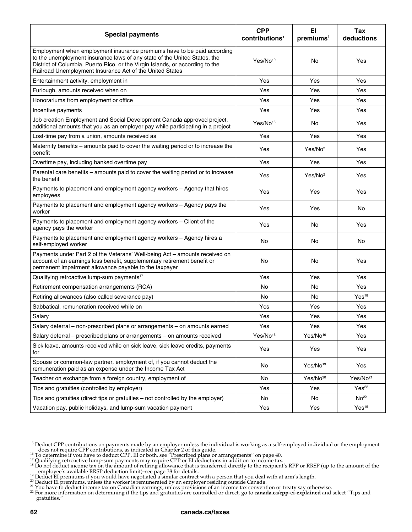| <b>Special payments</b>                                                                                                                                                                                                                                                                           | <b>CPP</b><br>contributions <sup>1</sup> | EI<br>premiums <sup>1</sup> | Tax<br>deductions    |
|---------------------------------------------------------------------------------------------------------------------------------------------------------------------------------------------------------------------------------------------------------------------------------------------------|------------------------------------------|-----------------------------|----------------------|
| Employment when employment insurance premiums have to be paid according<br>to the unemployment insurance laws of any state of the United States, the<br>District of Columbia, Puerto Rico, or the Virgin Islands, or according to the<br>Railroad Unemployment Insurance Act of the United States | Yes/No <sup>10</sup>                     | No                          | Yes                  |
| Entertainment activity, employment in                                                                                                                                                                                                                                                             | Yes                                      | Yes                         | Yes                  |
| Furlough, amounts received when on                                                                                                                                                                                                                                                                | Yes                                      | Yes                         | Yes                  |
| Honorariums from employment or office                                                                                                                                                                                                                                                             | Yes                                      | Yes                         | Yes                  |
| Incentive payments                                                                                                                                                                                                                                                                                | Yes                                      | Yes                         | Yes                  |
| Job creation Employment and Social Development Canada approved project,<br>additional amounts that you as an employer pay while participating in a project                                                                                                                                        | Yes/No <sup>15</sup>                     | No                          | Yes                  |
| Lost-time pay from a union, amounts received as                                                                                                                                                                                                                                                   | Yes                                      | Yes                         | Yes                  |
| Maternity benefits – amounts paid to cover the waiting period or to increase the<br>benefit                                                                                                                                                                                                       | Yes                                      | Yes/No <sup>2</sup>         | Yes                  |
| Overtime pay, including banked overtime pay                                                                                                                                                                                                                                                       | Yes                                      | Yes                         | Yes                  |
| Parental care benefits - amounts paid to cover the waiting period or to increase<br>the benefit                                                                                                                                                                                                   | Yes                                      | Yes/No <sup>2</sup>         | Yes                  |
| Payments to placement and employment agency workers - Agency that hires<br>employees                                                                                                                                                                                                              | Yes                                      | Yes                         | Yes                  |
| Payments to placement and employment agency workers - Agency pays the<br>worker                                                                                                                                                                                                                   | Yes                                      | Yes                         | No                   |
| Payments to placement and employment agency workers - Client of the<br>agency pays the worker                                                                                                                                                                                                     | Yes                                      | No                          | Yes                  |
| Payments to placement and employment agency workers - Agency hires a<br>self-employed worker                                                                                                                                                                                                      | No                                       | No                          | No                   |
| Payments under Part 2 of the Veterans' Well-being Act - amounts received on<br>account of an earnings loss benefit, supplementary retirement benefit or<br>permanent impairment allowance payable to the taxpayer                                                                                 | No                                       | No                          | Yes                  |
| Qualifying retroactive lump-sum payments <sup>17</sup>                                                                                                                                                                                                                                            | Yes                                      | Yes                         | Yes                  |
| Retirement compensation arrangements (RCA)                                                                                                                                                                                                                                                        | No                                       | No                          | Yes                  |
| Retiring allowances (also called severance pay)                                                                                                                                                                                                                                                   | No                                       | No                          | Yes <sup>18</sup>    |
| Sabbatical, remuneration received while on                                                                                                                                                                                                                                                        | Yes                                      | Yes                         | Yes                  |
| Salary                                                                                                                                                                                                                                                                                            | Yes                                      | Yes                         | Yes                  |
| Salary deferral - non-prescribed plans or arrangements - on amounts earned                                                                                                                                                                                                                        | Yes                                      | Yes                         | Yes                  |
| Salary deferral - prescribed plans or arrangements - on amounts received                                                                                                                                                                                                                          | Yes/No <sup>16</sup>                     | Yes/No <sup>16</sup>        | Yes                  |
| Sick leave, amounts received while on sick leave, sick leave credits, payments<br>for                                                                                                                                                                                                             | Yes                                      | Yes                         | Yes                  |
| Spouse or common-law partner, employment of, if you cannot deduct the<br>remuneration paid as an expense under the Income Tax Act                                                                                                                                                                 | No                                       | Yes/No <sup>19</sup>        | Yes                  |
| Teacher on exchange from a foreign country, employment of                                                                                                                                                                                                                                         | No                                       | Yes/No <sup>20</sup>        | Yes/No <sup>21</sup> |
| Tips and gratuities (controlled by employer)                                                                                                                                                                                                                                                      | Yes                                      | Yes                         | Yes <sup>22</sup>    |
| Tips and gratuities (direct tips or gratuities – not controlled by the employer)                                                                                                                                                                                                                  | No                                       | No                          | No <sup>22</sup>     |
| Vacation pay, public holidays, and lump-sum vacation payment                                                                                                                                                                                                                                      | Yes                                      | Yes                         | Yes <sup>15</sup>    |

<sup>&</sup>lt;sup>15</sup> Deduct CPP contributions on payments made by an employer unless the individual is working as a self-employed individual or the employment does not require CPP contributions, as indicated in Chapter 2 of this guide.<br><sup>16</sup> To determine if you have to deduct CPP, EI or both, see "Prescribed plans or arrangements" on page 40.<br><sup>17</sup> Qualifying retroactive lump-sum

 $\overline{\phantom{0}}$ 

<sup>&</sup>lt;sup>17</sup> Qualifying retroactive lump-sum payments may require CPP or EI deductions in addition to income tax.<br><sup>18</sup> Do not deduct income tax on the amount of retiring allowance that is transferred directly to the recipient's RP

<sup>&</sup>lt;sup>19</sup> Deduct EI premiums if you would have negotiated a similar contrails.<br><sup>19</sup> Deduct EI premiums if you would have negotiated a similar contract with a person that you deal with at arm's length.<br><sup>20</sup> Deduct EI premiums, u gratuities."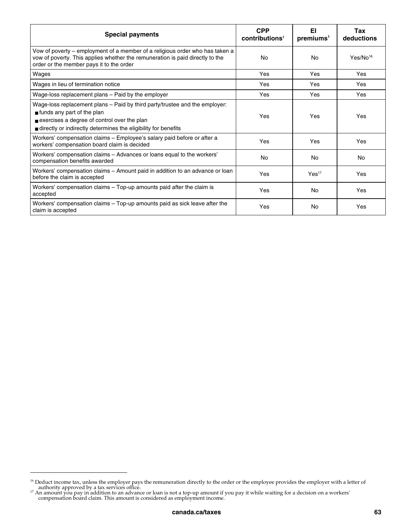| <b>Special payments</b>                                                                                                                                                                                                                   | <b>CPP</b><br>contributions <sup>1</sup> | EI<br>preminus <sup>1</sup> | Tax<br>deductions    |
|-------------------------------------------------------------------------------------------------------------------------------------------------------------------------------------------------------------------------------------------|------------------------------------------|-----------------------------|----------------------|
| Vow of poverty – employment of a member of a religious order who has taken a<br>yow of poverty. This applies whether the remuneration is paid directly to the<br>order or the member pays it to the order                                 | No                                       | No                          | Yes/No <sup>16</sup> |
| Wages                                                                                                                                                                                                                                     | Yes                                      | Yes                         | Yes                  |
| Wages in lieu of termination notice                                                                                                                                                                                                       | Yes                                      | Yes                         | Yes                  |
| Wage-loss replacement plans - Paid by the employer                                                                                                                                                                                        | Yes                                      | Yes                         | Yes                  |
| Wage-loss replacement plans - Paid by third party/trustee and the employer:<br>$\blacksquare$ funds any part of the plan<br>exercises a degree of control over the plan<br>directly or indirectly determines the eligibility for benefits | Yes                                      | Yes                         | Yes                  |
| Workers' compensation claims - Employee's salary paid before or after a<br>workers' compensation board claim is decided                                                                                                                   | Yes                                      | Yes                         | Yes                  |
| Workers' compensation claims - Advances or loans equal to the workers'<br>compensation benefits awarded                                                                                                                                   | No                                       | No                          | No                   |
| Workers' compensation claims – Amount paid in addition to an advance or loan<br>before the claim is accepted                                                                                                                              | Yes                                      | Yes <sup>17</sup>           | Yes                  |
| Workers' compensation claims - Top-up amounts paid after the claim is<br>accepted                                                                                                                                                         | Yes                                      | No                          | Yes                  |
| Workers' compensation claims – Top-up amounts paid as sick leave after the<br>claim is accepted                                                                                                                                           | Yes                                      | No                          | Yes                  |

 $\overline{a}$ 

<sup>&</sup>lt;sup>16</sup> Deduct income tax, unless the employer pays the remuneration directly to the order or the employee provides the employer with a letter of

authority approved by a tax services office.<br><sup>17</sup> An amount you pay in addition to an advance or loan is not a top-up amount if you pay it while waiting for a decision on a workers' compensation board claim. This amount is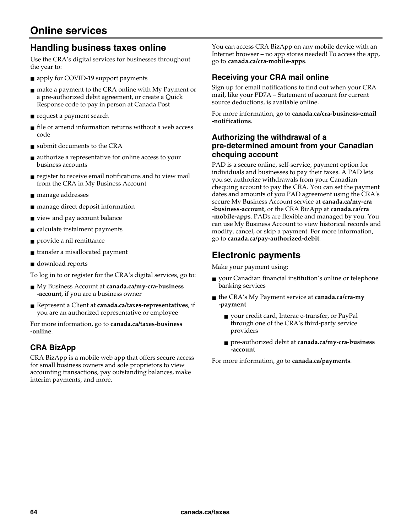## **Handling business taxes online**

Use the CRA's digital services for businesses throughout the year to:

- apply for COVID-19 support payments
- make a payment to the CRA online with My Payment or a pre-authorized debit agreement, or create a Quick Response code to pay in person at Canada Post
- request a payment search
- file or amend information returns without a web access code
- submit documents to the CRA
- authorize a representative for online access to your business accounts
- register to receive email notifications and to view mail from the CRA in My Business Account
- manage addresses
- manage direct deposit information
- view and pay account balance
- calculate instalment payments
- provide a nil remittance
- transfer a misallocated payment
- download reports

To log in to or register for the CRA's digital services, go to:

- My Business Account at **canada.ca/my-cra-business -account**, if you are a business owner
- Represent a Client at **canada.ca/taxes-representatives**, if you are an authorized representative or employee

For more information, go to **canada.ca/taxes-business -online**.

### **CRA BizApp**

CRA BizApp is a mobile web app that offers secure access for small business owners and sole proprietors to view accounting transactions, pay outstanding balances, make interim payments, and more.

You can access CRA BizApp on any mobile device with an Internet browser – no app stores needed! To access the app, go to **canada.ca/cra-mobile-apps**.

### **Receiving your CRA mail online**

Sign up for email notifications to find out when your CRA mail, like your PD7A – Statement of account for current source deductions, is available online.

For more information, go to **canada.ca/cra-business-email -notifications**.

### **Authorizing the withdrawal of a pre-determined amount from your Canadian chequing account**

PAD is a secure online, self-service, payment option for individuals and businesses to pay their taxes. A PAD lets you set authorize withdrawals from your Canadian chequing account to pay the CRA. You can set the payment dates and amounts of you PAD agreement using the CRA's secure My Business Account service at **canada.ca/my-cra -business-account**, or the CRA BizApp at **canada.ca/cra -mobile-apps**. PADs are flexible and managed by you. You can use My Business Account to view historical records and modify, cancel, or skip a payment. For more information, go to **canada.ca/pay-authorized-debit**.

## **Electronic payments**

Make your payment using:

- your Canadian financial institution's online or telephone banking services
- the CRA's My Payment service at **canada.ca/cra-my -payment**
	- your credit card, Interac e-transfer, or PayPal through one of the CRA's third-party service providers
	- pre-authorized debit at **canada.ca/my-cra-business -account**

For more information, go to **canada.ca/payments**.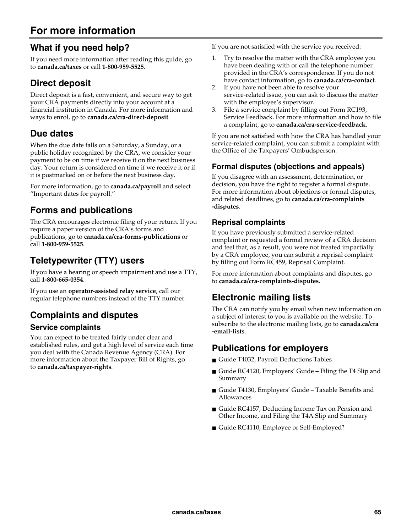## **For more information**

## **What if you need help?**

If you need more information after reading this guide, go to **canada.ca/taxes** or call **1-800-959-5525**.

## **Direct deposit**

Direct deposit is a fast, convenient, and secure way to get your CRA payments directly into your account at a financial institution in Canada. For more information and ways to enrol, go to **canada.ca/cra-direct-deposit**.

## **Due dates**

When the due date falls on a Saturday, a Sunday, or a public holiday recognized by the CRA, we consider your payment to be on time if we receive it on the next business day. Your return is considered on time if we receive it or if it is postmarked on or before the next business day.

For more information, go to **canada.ca/payroll** and select "Important dates for payroll."

## **Forms and publications**

The CRA encourages electronic filing of your return. If you require a paper version of the CRA's forms and publications, go to **canada.ca/cra-forms-publications** or call **1-800-959-5525**.

## **Teletypewriter (TTY) users**

If you have a hearing or speech impairment and use a TTY, call **1-800-665-0354**.

If you use an **operator-assisted relay service**, call our regular telephone numbers instead of the TTY number.

## **Complaints and disputes**

### **Service complaints**

You can expect to be treated fairly under clear and established rules, and get a high level of service each time you deal with the Canada Revenue Agency (CRA). For more information about the Taxpayer Bill of Rights, go to **canada.ca/taxpayer-rights**.

If you are not satisfied with the service you received:

- 1. Try to resolve the matter with the CRA employee you have been dealing with or call the telephone number provided in the CRA's correspondence. If you do not have contact information, go to **canada.ca/cra-contact**.
- 2. If you have not been able to resolve your service-related issue, you can ask to discuss the matter with the employee's supervisor.
- 3. File a service complaint by filling out Form RC193, Service Feedback. For more information and how to file a complaint, go to **canada.ca/cra-service-feedback**.

If you are not satisfied with how the CRA has handled your service-related complaint, you can submit a complaint with the Office of the Taxpayers' Ombudsperson.

### **Formal disputes (objections and appeals)**

If you disagree with an assessment, determination, or decision, you have the right to register a formal dispute. For more information about objections or formal disputes, and related deadlines, go to **canada.ca/cra-complaints -disputes**.

### **Reprisal complaints**

If you have previously submitted a service-related complaint or requested a formal review of a CRA decision and feel that, as a result, you were not treated impartially by a CRA employee, you can submit a reprisal complaint by filling out Form RC459, Reprisal Complaint.

For more information about complaints and disputes, go to **canada.ca/cra-complaints-disputes**.

### **Electronic mailing lists**

The CRA can notify you by email when new information on a subject of interest to you is available on the website. To subscribe to the electronic mailing lists, go to **canada.ca/cra -email-lists**.

## **Publications for employers**

- Guide T4032, Payroll Deductions Tables
- Guide RC4120, Employers' Guide Filing the T4 Slip and Summary
- Guide T4130, Employers' Guide Taxable Benefits and Allowances
- Guide RC4157, Deducting Income Tax on Pension and Other Income, and Filing the T4A Slip and Summary
- Guide RC4110, Employee or Self-Employed?